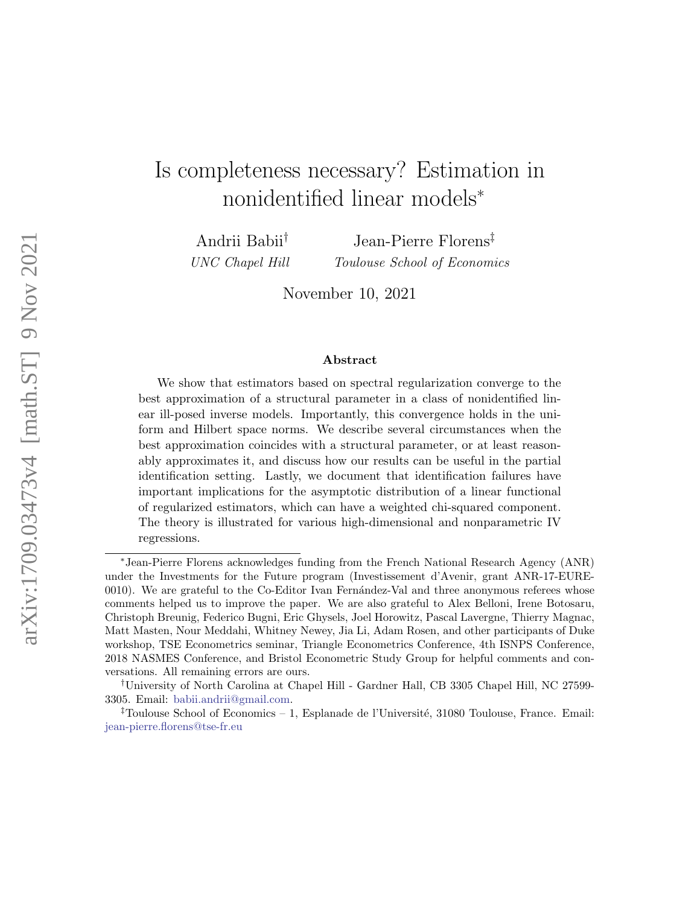# Is completeness necessary? Estimation in nonidentified linear models<sup>∗</sup>

Andrii Babii† UNC Chapel Hill

Jean-Pierre Florens‡ Toulouse School of Economics

November 10, 2021

#### Abstract

We show that estimators based on spectral regularization converge to the best approximation of a structural parameter in a class of nonidentified linear ill-posed inverse models. Importantly, this convergence holds in the uniform and Hilbert space norms. We describe several circumstances when the best approximation coincides with a structural parameter, or at least reasonably approximates it, and discuss how our results can be useful in the partial identification setting. Lastly, we document that identification failures have important implications for the asymptotic distribution of a linear functional of regularized estimators, which can have a weighted chi-squared component. The theory is illustrated for various high-dimensional and nonparametric IV regressions.

<sup>∗</sup>Jean-Pierre Florens acknowledges funding from the French National Research Agency (ANR) under the Investments for the Future program (Investissement d'Avenir, grant ANR-17-EURE-0010). We are grateful to the Co-Editor Ivan Fernandez-Val and three anonymous referees whose comments helped us to improve the paper. We are also grateful to Alex Belloni, Irene Botosaru, Christoph Breunig, Federico Bugni, Eric Ghysels, Joel Horowitz, Pascal Lavergne, Thierry Magnac, Matt Masten, Nour Meddahi, Whitney Newey, Jia Li, Adam Rosen, and other participants of Duke workshop, TSE Econometrics seminar, Triangle Econometrics Conference, 4th ISNPS Conference, 2018 NASMES Conference, and Bristol Econometric Study Group for helpful comments and conversations. All remaining errors are ours.

<sup>†</sup>University of North Carolina at Chapel Hill - Gardner Hall, CB 3305 Chapel Hill, NC 27599- 3305. Email: [babii.andrii@gmail.com.](mailto:babii.andrii@gmail.com)

<sup>&</sup>lt;sup>‡</sup>Toulouse School of Economics – 1, Esplanade de l'Université, 31080 Toulouse, France. Email: [jean-pierre.florens@tse-fr.eu](mailto:jean-pierre.florens@tse-fr.eu)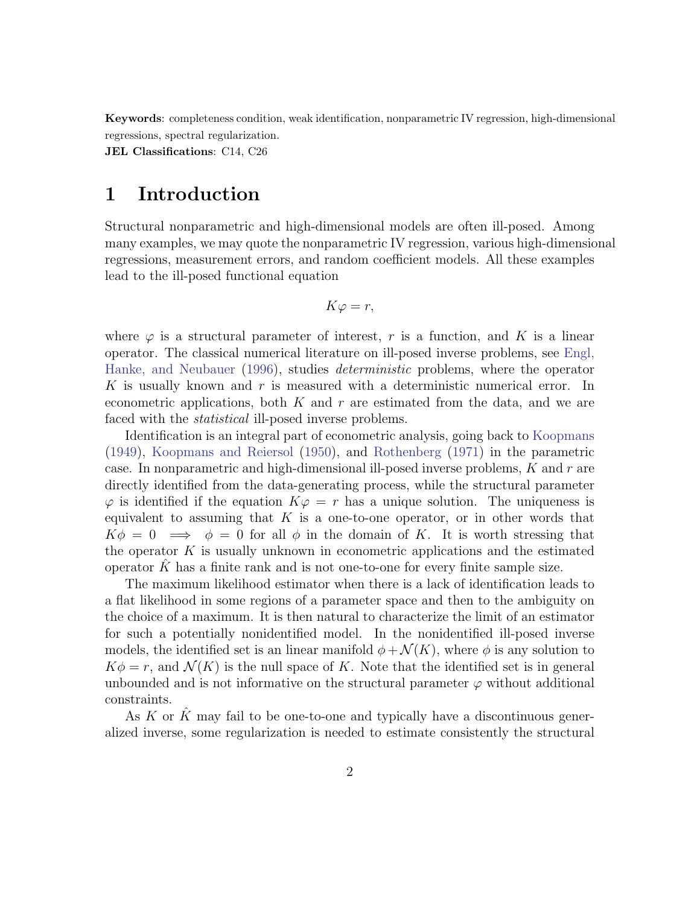Keywords: completeness condition, weak identification, nonparametric IV regression, high-dimensional regressions, spectral regularization.

JEL Classifications: C14, C26

## <span id="page-1-0"></span>1 Introduction

Structural nonparametric and high-dimensional models are often ill-posed. Among many examples, we may quote the nonparametric IV regression, various high-dimensional regressions, measurement errors, and random coefficient models. All these examples lead to the ill-posed functional equation

$$
K\varphi = r,
$$

where  $\varphi$  is a structural parameter of interest, r is a function, and K is a linear operator. The classical numerical literature on ill-posed inverse problems, see [Engl,](#page-22-0) [Hanke, and Neubauer](#page-22-0) [\(1996\)](#page-22-0), studies *deterministic* problems, where the operator K is usually known and r is measured with a deterministic numerical error. In econometric applications, both  $K$  and  $r$  are estimated from the data, and we are faced with the *statistical* ill-posed inverse problems.

Identification is an integral part of econometric analysis, going back to [Koopmans](#page-23-0) [\(1949\)](#page-23-0), [Koopmans and Reiersol](#page-23-1) [\(1950\)](#page-23-1), and [Rothenberg](#page-24-0) [\(1971\)](#page-24-0) in the parametric case. In nonparametric and high-dimensional ill-posed inverse problems,  $K$  and  $r$  are directly identified from the data-generating process, while the structural parameter  $\varphi$  is identified if the equation  $K\varphi = r$  has a unique solution. The uniqueness is equivalent to assuming that  $K$  is a one-to-one operator, or in other words that  $K\phi = 0 \implies \phi = 0$  for all  $\phi$  in the domain of K. It is worth stressing that the operator  $K$  is usually unknown in econometric applications and the estimated operator  $K$  has a finite rank and is not one-to-one for every finite sample size.

The maximum likelihood estimator when there is a lack of identification leads to a flat likelihood in some regions of a parameter space and then to the ambiguity on the choice of a maximum. It is then natural to characterize the limit of an estimator for such a potentially nonidentified model. In the nonidentified ill-posed inverse models, the identified set is an linear manifold  $\phi + \mathcal{N}(K)$ , where  $\phi$  is any solution to  $K\phi = r$ , and  $\mathcal{N}(K)$  is the null space of K. Note that the identified set is in general unbounded and is not informative on the structural parameter  $\varphi$  without additional constraints.

As  $K$  or  $K$  may fail to be one-to-one and typically have a discontinuous generalized inverse, some regularization is needed to estimate consistently the structural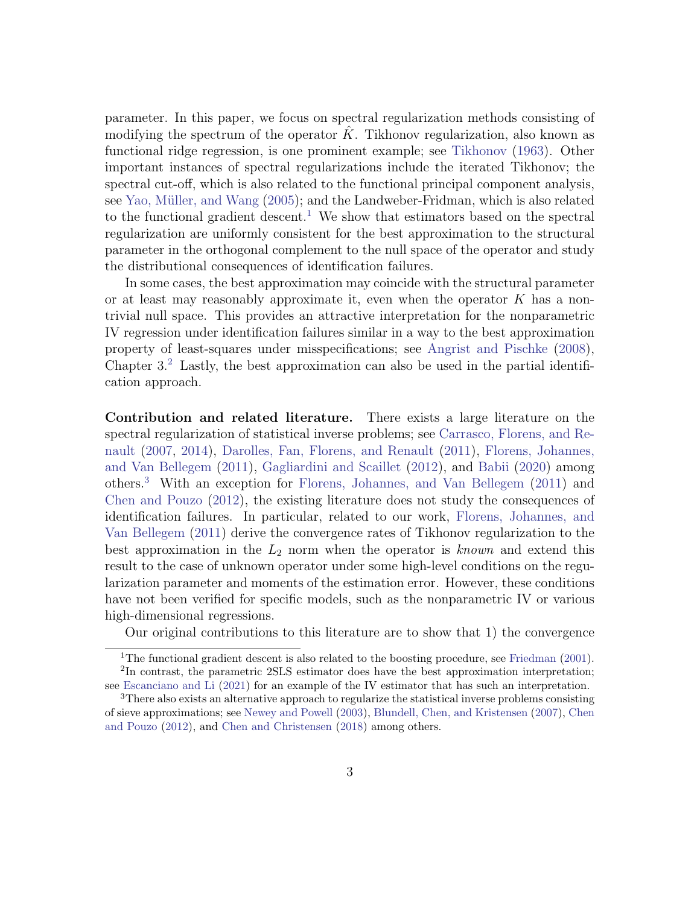parameter. In this paper, we focus on spectral regularization methods consisting of modifying the spectrum of the operator  $\tilde{K}$ . Tikhonov regularization, also known as functional ridge regression, is one prominent example; see [Tikhonov](#page-24-1) [\(1963\)](#page-24-1). Other important instances of spectral regularizations include the iterated Tikhonov; the spectral cut-off, which is also related to the functional principal component analysis, see Yao, Müller, and Wang [\(2005\)](#page-24-2); and the Landweber-Fridman, which is also related to the functional gradient descent.<sup>[1](#page-2-0)</sup> We show that estimators based on the spectral regularization are uniformly consistent for the best approximation to the structural parameter in the orthogonal complement to the null space of the operator and study the distributional consequences of identification failures.

In some cases, the best approximation may coincide with the structural parameter or at least may reasonably approximate it, even when the operator  $K$  has a nontrivial null space. This provides an attractive interpretation for the nonparametric IV regression under identification failures similar in a way to the best approximation property of least-squares under misspecifications; see [Angrist and Pischke](#page-20-0) [\(2008\)](#page-20-0), Chapter 3.[2](#page-2-1) Lastly, the best approximation can also be used in the partial identification approach.

Contribution and related literature. There exists a large literature on the spectral regularization of statistical inverse problems; see [Carrasco, Florens, and Re](#page-21-0)[nault](#page-21-0) [\(2007,](#page-21-0) [2014\)](#page-21-1), [Darolles, Fan, Florens, and Renault](#page-22-1) [\(2011\)](#page-22-1), [Florens, Johannes,](#page-22-2) [and Van Bellegem](#page-22-2) [\(2011\)](#page-22-2), [Gagliardini and Scaillet](#page-23-2) [\(2012\)](#page-23-2), and [Babii](#page-20-1) [\(2020\)](#page-20-1) among others.[3](#page-2-2) With an exception for [Florens, Johannes, and Van Bellegem](#page-22-2) [\(2011\)](#page-22-2) and [Chen and Pouzo](#page-21-2) [\(2012\)](#page-21-2), the existing literature does not study the consequences of identification failures. In particular, related to our work, [Florens, Johannes, and](#page-22-2) [Van Bellegem](#page-22-2) [\(2011\)](#page-22-2) derive the convergence rates of Tikhonov regularization to the best approximation in the  $L_2$  norm when the operator is known and extend this result to the case of unknown operator under some high-level conditions on the regularization parameter and moments of the estimation error. However, these conditions have not been verified for specific models, such as the nonparametric IV or various high-dimensional regressions.

Our original contributions to this literature are to show that 1) the convergence

<span id="page-2-1"></span><span id="page-2-0"></span><sup>&</sup>lt;sup>1</sup>The functional gradient descent is also related to the boosting procedure, see [Friedman](#page-22-3) [\(2001\)](#page-22-3). <sup>2</sup>In contrast, the parametric 2SLS estimator does have the best approximation interpretation;

<span id="page-2-2"></span>see [Escanciano and Li](#page-22-4) [\(2021\)](#page-22-4) for an example of the IV estimator that has such an interpretation. <sup>3</sup>There also exists an alternative approach to regularize the statistical inverse problems consisting

of sieve approximations; see [Newey and Powell](#page-24-3) [\(2003\)](#page-24-3), [Blundell, Chen, and Kristensen](#page-21-3) [\(2007\)](#page-21-3), [Chen](#page-21-2) [and Pouzo](#page-21-2) [\(2012\)](#page-21-2), and [Chen and Christensen](#page-21-4) [\(2018\)](#page-21-4) among others.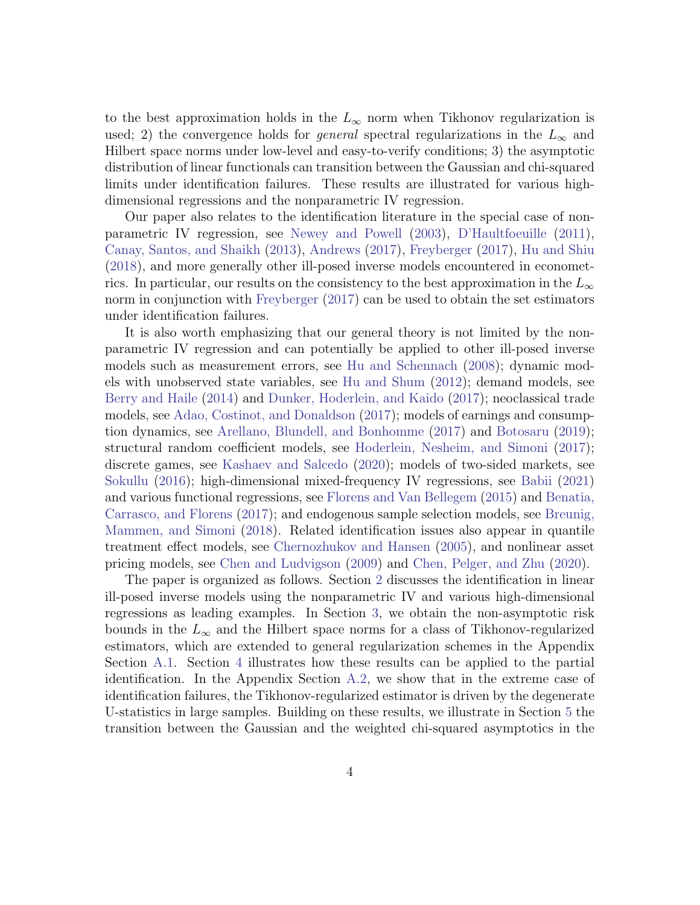to the best approximation holds in the  $L_{\infty}$  norm when Tikhonov regularization is used; 2) the convergence holds for *general* spectral regularizations in the  $L_{\infty}$  and Hilbert space norms under low-level and easy-to-verify conditions; 3) the asymptotic distribution of linear functionals can transition between the Gaussian and chi-squared limits under identification failures. These results are illustrated for various highdimensional regressions and the nonparametric IV regression.

Our paper also relates to the identification literature in the special case of nonparametric IV regression, see [Newey and Powell](#page-24-3) [\(2003\)](#page-24-3), [D'Haultfoeuille](#page-22-5) [\(2011\)](#page-22-5), [Canay, Santos, and Shaikh](#page-21-5) [\(2013\)](#page-21-5), [Andrews](#page-20-2) [\(2017\)](#page-20-2), [Freyberger](#page-22-6) [\(2017\)](#page-22-6), [Hu and Shiu](#page-23-3) [\(2018\)](#page-23-3), and more generally other ill-posed inverse models encountered in econometrics. In particular, our results on the consistency to the best approximation in the  $L_{\infty}$ norm in conjunction with [Freyberger](#page-22-6) [\(2017\)](#page-22-6) can be used to obtain the set estimators under identification failures.

It is also worth emphasizing that our general theory is not limited by the nonparametric IV regression and can potentially be applied to other ill-posed inverse models such as measurement errors, see [Hu and Schennach](#page-23-4) [\(2008\)](#page-23-4); dynamic models with unobserved state variables, see [Hu and Shum](#page-23-5) [\(2012\)](#page-23-5); demand models, see [Berry and Haile](#page-20-3) [\(2014\)](#page-20-3) and [Dunker, Hoderlein, and Kaido](#page-22-7) [\(2017\)](#page-22-7); neoclassical trade models, see [Adao, Costinot, and Donaldson](#page-20-4) [\(2017\)](#page-20-4); models of earnings and consumption dynamics, see [Arellano, Blundell, and Bonhomme](#page-20-5) [\(2017\)](#page-20-5) and [Botosaru](#page-21-6) [\(2019\)](#page-21-6); structural random coefficient models, see [Hoderlein, Nesheim, and Simoni](#page-23-6) [\(2017\)](#page-23-6); discrete games, see [Kashaev and Salcedo](#page-23-7) [\(2020\)](#page-23-7); models of two-sided markets, see [Sokullu](#page-24-4) [\(2016\)](#page-24-4); high-dimensional mixed-frequency IV regressions, see [Babii](#page-20-6) [\(2021\)](#page-20-6) and various functional regressions, see [Florens and Van Bellegem](#page-22-8) [\(2015\)](#page-22-8) and [Benatia,](#page-20-7) [Carrasco, and Florens](#page-20-7) [\(2017\)](#page-20-7); and endogenous sample selection models, see [Breunig,](#page-21-7) [Mammen, and Simoni](#page-21-7) [\(2018\)](#page-21-7). Related identification issues also appear in quantile treatment effect models, see [Chernozhukov and Hansen](#page-22-9) [\(2005\)](#page-22-9), and nonlinear asset pricing models, see [Chen and Ludvigson](#page-21-8) [\(2009\)](#page-21-8) and [Chen, Pelger, and Zhu](#page-21-9) [\(2020\)](#page-21-9).

The paper is organized as follows. Section [2](#page-4-0) discusses the identification in linear ill-posed inverse models using the nonparametric IV and various high-dimensional regressions as leading examples. In Section [3,](#page-7-0) we obtain the non-asymptotic risk bounds in the  $L_{\infty}$  and the Hilbert space norms for a class of Tikhonov-regularized estimators, which are extended to general regularization schemes in the Appendix Section [A.1.](#page-1-0) Section [4](#page-12-0) illustrates how these results can be applied to the partial identification. In the Appendix Section [A.2,](#page-4-0) we show that in the extreme case of identification failures, the Tikhonov-regularized estimator is driven by the degenerate U-statistics in large samples. Building on these results, we illustrate in Section [5](#page-14-0) the transition between the Gaussian and the weighted chi-squared asymptotics in the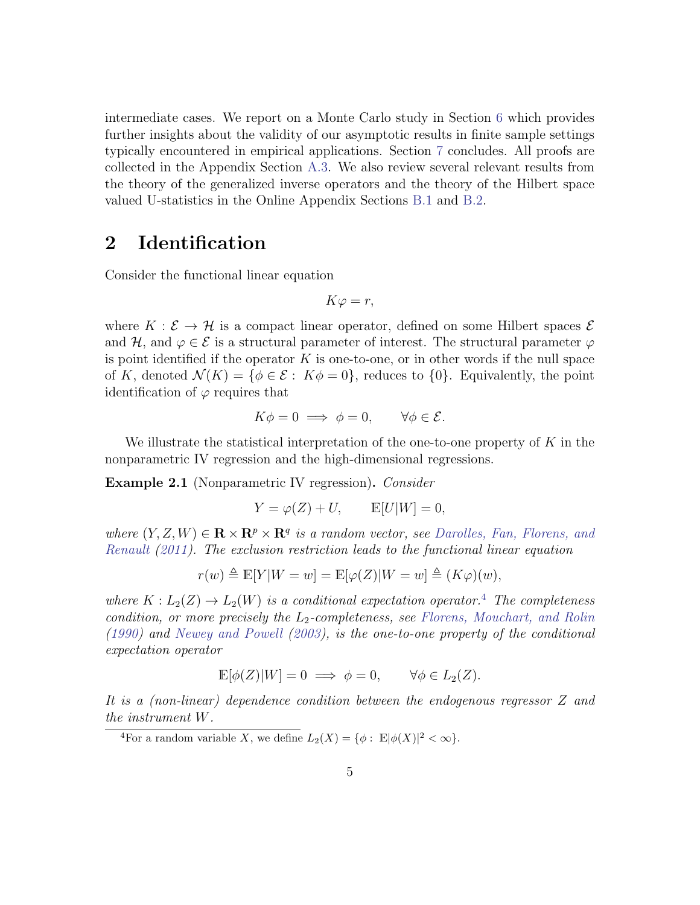intermediate cases. We report on a Monte Carlo study in Section [6](#page-17-0) which provides further insights about the validity of our asymptotic results in finite sample settings typically encountered in empirical applications. Section [7](#page-18-0) concludes. All proofs are collected in the Appendix Section [A.3.](#page-7-0) We also review several relevant results from the theory of the generalized inverse operators and the theory of the Hilbert space valued U-statistics in the Online Appendix Sections [B.1](#page-1-0) and [B.2.](#page-4-0)

### <span id="page-4-0"></span>2 Identification

Consider the functional linear equation

$$
K\varphi = r,
$$

where  $K : \mathcal{E} \to \mathcal{H}$  is a compact linear operator, defined on some Hilbert spaces  $\mathcal{E}$ and H, and  $\varphi \in \mathcal{E}$  is a structural parameter of interest. The structural parameter  $\varphi$ is point identified if the operator  $K$  is one-to-one, or in other words if the null space of K, denoted  $\mathcal{N}(K) = \{ \phi \in \mathcal{E} : K\phi = 0 \}$ , reduces to  $\{0\}$ . Equivalently, the point identification of  $\varphi$  requires that

$$
K\phi = 0 \implies \phi = 0, \qquad \forall \phi \in \mathcal{E}.
$$

We illustrate the statistical interpretation of the one-to-one property of  $K$  in the nonparametric IV regression and the high-dimensional regressions.

<span id="page-4-2"></span>**Example 2.1** (Nonparametric IV regression). Consider

$$
Y = \varphi(Z) + U, \qquad \mathbb{E}[U|W] = 0,
$$

where  $(Y, Z, W) \in \mathbf{R} \times \mathbf{R}^p \times \mathbf{R}^q$  is a random vector, see [Darolles, Fan, Florens, and](#page-22-1) [Renault](#page-22-1) [\(2011\)](#page-22-1). The exclusion restriction leads to the functional linear equation

$$
r(w) \triangleq \mathbb{E}[Y|W=w] = \mathbb{E}[\varphi(Z)|W=w] \triangleq (K\varphi)(w),
$$

where  $K : L_2(Z) \to L_2(W)$  is a conditional expectation operator.<sup>[4](#page-4-1)</sup> The completeness condition, or more precisely the  $L_2$ -completeness, see [Florens, Mouchart, and Rolin](#page-22-10) [\(1990\)](#page-22-10) and [Newey and Powell](#page-24-3) [\(2003\)](#page-24-3), is the one-to-one property of the conditional expectation operator

$$
\mathbb{E}[\phi(Z)|W] = 0 \implies \phi = 0, \qquad \forall \phi \in L_2(Z).
$$

It is a (non-linear) dependence condition between the endogenous regressor Z and the instrument W.

<span id="page-4-1"></span><sup>&</sup>lt;sup>4</sup>For a random variable X, we define  $L_2(X) = \{ \phi : \mathbb{E} |\phi(X)|^2 < \infty \}.$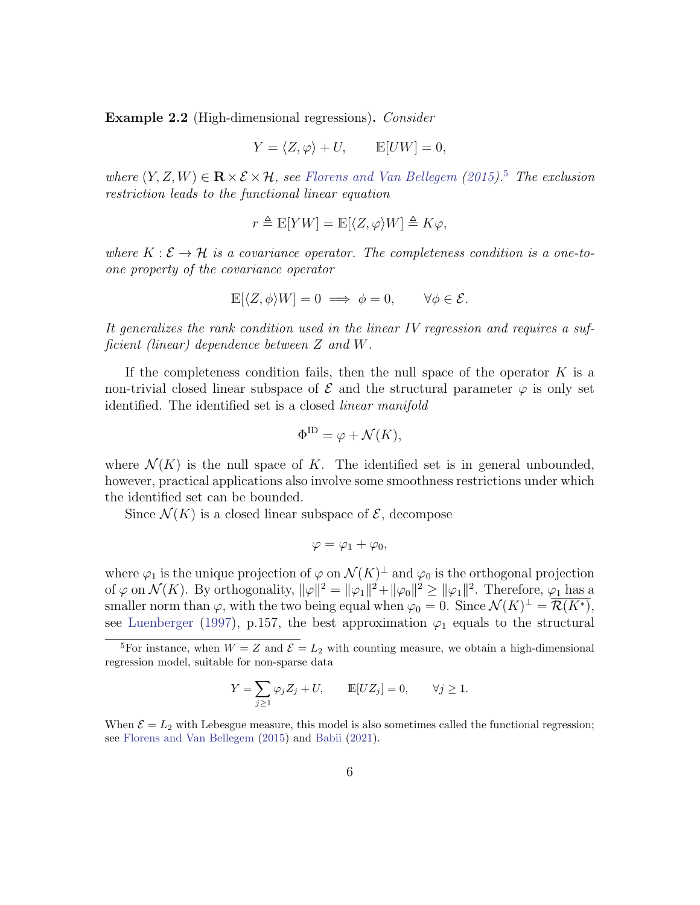<span id="page-5-1"></span>Example 2.2 (High-dimensional regressions). Consider

$$
Y = \langle Z, \varphi \rangle + U, \qquad \mathbb{E}[UW] = 0,
$$

where  $(Y, Z, W) \in \mathbf{R} \times \mathcal{E} \times \mathcal{H}$ , see [Florens and Van Bellegem](#page-22-8) [\(2015\)](#page-22-8).<sup>[5](#page-5-0)</sup> The exclusion restriction leads to the functional linear equation

$$
r \triangleq \mathbb{E}[YW] = \mathbb{E}[\langle Z, \varphi \rangle W] \triangleq K\varphi,
$$

where  $K : \mathcal{E} \to \mathcal{H}$  is a covariance operator. The completeness condition is a one-toone property of the covariance operator

$$
\mathbb{E}[\langle Z, \phi \rangle W] = 0 \implies \phi = 0, \qquad \forall \phi \in \mathcal{E}.
$$

It generalizes the rank condition used in the linear IV regression and requires a sufficient (linear) dependence between Z and W.

If the completeness condition fails, then the null space of the operator  $K$  is a non-trivial closed linear subspace of  $\mathcal E$  and the structural parameter  $\varphi$  is only set identified. The identified set is a closed *linear manifold* 

$$
\Phi^{\text{ID}} = \varphi + \mathcal{N}(K),
$$

where  $\mathcal{N}(K)$  is the null space of K. The identified set is in general unbounded, however, practical applications also involve some smoothness restrictions under which the identified set can be bounded.

Since  $\mathcal{N}(K)$  is a closed linear subspace of  $\mathcal{E}$ , decompose

$$
\varphi = \varphi_1 + \varphi_0,
$$

where  $\varphi_1$  is the unique projection of  $\varphi$  on  $\mathcal{N}(K)^{\perp}$  and  $\varphi_0$  is the orthogonal projection of  $\varphi$  on  $\mathcal{N}(K)$ . By orthogonality,  $\|\varphi\|^2 = \|\varphi_1\|^2 + \|\varphi_0\|^2 \ge \|\varphi_1\|^2$ . Therefore,  $\varphi_1$  has a smaller norm than  $\varphi$ , with the two being equal when  $\varphi_0 = 0$ . Since  $\mathcal{N}(K)^{\perp} = \overline{\mathcal{R}(K^*)}$ , see [Luenberger](#page-23-8) [\(1997\)](#page-23-8), p.157, the best approximation  $\varphi_1$  equals to the structural

$$
Y = \sum_{j\geq 1} \varphi_j Z_j + U, \qquad \mathbb{E}[UZ_j] = 0, \qquad \forall j \geq 1.
$$

When  $\mathcal{E} = L_2$  with Lebesgue measure, this model is also sometimes called the functional regression; see [Florens and Van Bellegem](#page-22-8) [\(2015\)](#page-22-8) and [Babii](#page-20-6) [\(2021\)](#page-20-6).

<span id="page-5-0"></span><sup>&</sup>lt;sup>5</sup>For instance, when  $W = Z$  and  $\mathcal{E} = L_2$  with counting measure, we obtain a high-dimensional regression model, suitable for non-sparse data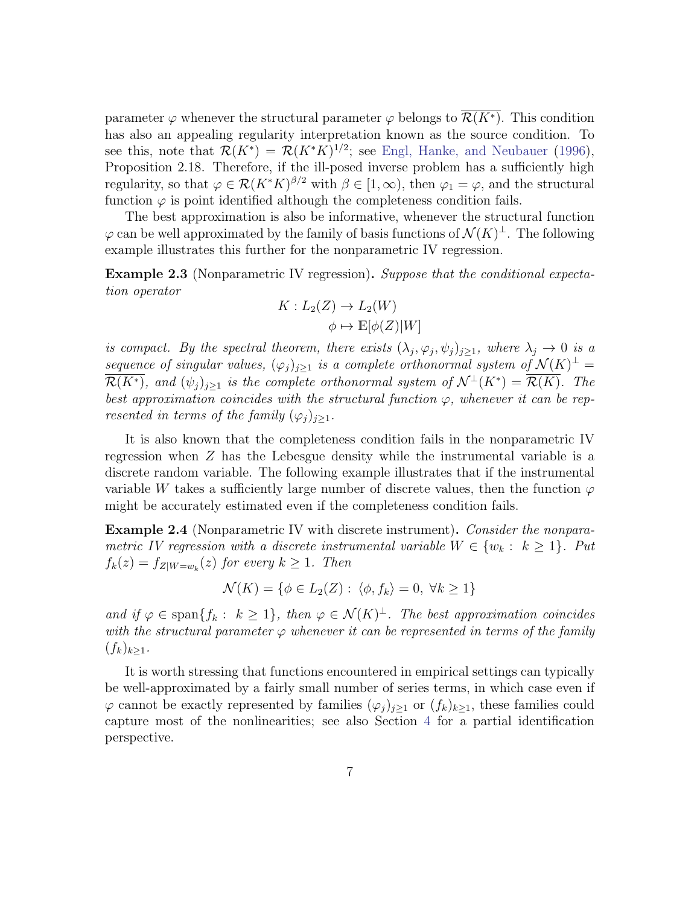parameter  $\varphi$  whenever the structural parameter  $\varphi$  belongs to  $\mathcal{R}(K^*)$ . This condition has also an appealing regularity interpretation known as the source condition. To see this, note that  $\mathcal{R}(K^*) = \mathcal{R}(K^*K)^{1/2}$ ; see [Engl, Hanke, and Neubauer](#page-22-0) [\(1996\)](#page-22-0), Proposition 2.18. Therefore, if the ill-posed inverse problem has a sufficiently high regularity, so that  $\varphi \in \mathcal{R}(K^*K)^{\beta/2}$  with  $\beta \in [1,\infty)$ , then  $\varphi_1 = \varphi$ , and the structural function  $\varphi$  is point identified although the completeness condition fails.

The best approximation is also be informative, whenever the structural function  $\varphi$  can be well approximated by the family of basis functions of  $\mathcal{N}(K)^{\perp}$ . The following example illustrates this further for the nonparametric IV regression.

**Example 2.3** (Nonparametric IV regression). Suppose that the conditional expectation operator

$$
K: L_2(Z) \to L_2(W)
$$

$$
\phi \mapsto \mathbb{E}[\phi(Z)|W]
$$

is compact. By the spectral theorem, there exists  $(\lambda_j, \varphi_j, \psi_j)_{j \geq 1}$ , where  $\lambda_j \to 0$  is a sequence of singular values,  $(\varphi_j)_{j\geq 1}$  is a complete orthonormal system of  $\mathcal{N}(K)^{\perp} =$  $\overline{\mathcal{R}(K^*)}$ , and  $(\psi_j)_{j\geq 1}$  is the complete orthonormal system of  $\mathcal{N}^{\perp}(K^*)=\overline{\mathcal{R}(K)}$ . The best approximation coincides with the structural function  $\varphi$ , whenever it can be represented in terms of the family  $(\varphi_i)_{i\geq 1}$ .

It is also known that the completeness condition fails in the nonparametric IV regression when Z has the Lebesgue density while the instrumental variable is a discrete random variable. The following example illustrates that if the instrumental variable W takes a sufficiently large number of discrete values, then the function  $\varphi$ might be accurately estimated even if the completeness condition fails.

Example 2.4 (Nonparametric IV with discrete instrument). Consider the nonparametric IV regression with a discrete instrumental variable  $W \in \{w_k : k \geq 1\}$ . Put  $f_k(z) = f_{Z|W=w_k}(z)$  for every  $k \geq 1$ . Then

$$
\mathcal{N}(K) = \{ \phi \in L_2(Z) : \langle \phi, f_k \rangle = 0, \ \forall k \ge 1 \}
$$

and if  $\varphi \in \text{span}\{f_k : k \geq 1\}$ , then  $\varphi \in \mathcal{N}(K)^{\perp}$ . The best approximation coincides with the structural parameter  $\varphi$  whenever it can be represented in terms of the family  $(f_k)_{k>1}$ .

It is worth stressing that functions encountered in empirical settings can typically be well-approximated by a fairly small number of series terms, in which case even if  $\varphi$  cannot be exactly represented by families  $(\varphi_j)_{j\geq 1}$  or  $(f_k)_{k\geq 1}$ , these families could capture most of the nonlinearities; see also Section [4](#page-12-0) for a partial identification perspective.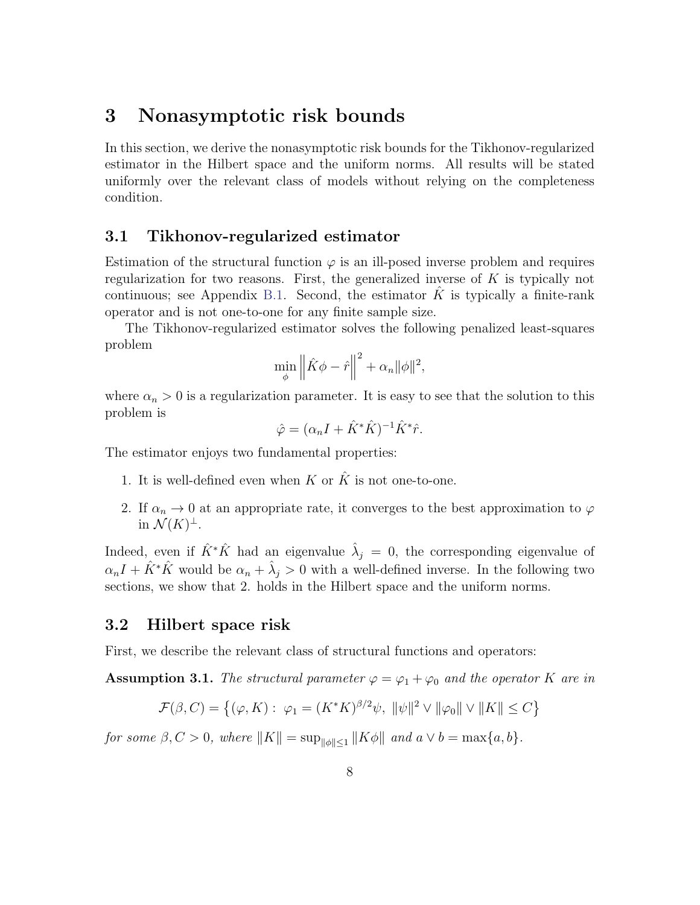## <span id="page-7-0"></span>3 Nonasymptotic risk bounds

In this section, we derive the nonasymptotic risk bounds for the Tikhonov-regularized estimator in the Hilbert space and the uniform norms. All results will be stated uniformly over the relevant class of models without relying on the completeness condition.

#### 3.1 Tikhonov-regularized estimator

Estimation of the structural function  $\varphi$  is an ill-posed inverse problem and requires regularization for two reasons. First, the generalized inverse of  $K$  is typically not continuous; see Appendix [B.1.](#page-1-0) Second, the estimator  $K$  is typically a finite-rank operator and is not one-to-one for any finite sample size.

The Tikhonov-regularized estimator solves the following penalized least-squares problem

$$
\min_{\phi} \left\| \hat{K}\phi - \hat{r} \right\|^2 + \alpha_n \|\phi\|^2,
$$

where  $\alpha_n > 0$  is a regularization parameter. It is easy to see that the solution to this problem is

$$
\hat{\varphi} = (\alpha_n I + \hat{K}^* \hat{K})^{-1} \hat{K}^* \hat{r}.
$$

The estimator enjoys two fundamental properties:

- 1. It is well-defined even when K or  $\hat{K}$  is not one-to-one.
- 2. If  $\alpha_n \to 0$  at an appropriate rate, it converges to the best approximation to  $\varphi$ in  $\mathcal{N}(K)^{\perp}$ .

Indeed, even if  $\hat{K}^* \hat{K}$  had an eigenvalue  $\hat{\lambda}_j = 0$ , the corresponding eigenvalue of  $\alpha_n I + \hat{K}^* \hat{K}$  would be  $\alpha_n + \hat{\lambda}_j > 0$  with a well-defined inverse. In the following two sections, we show that 2. holds in the Hilbert space and the uniform norms.

#### 3.2 Hilbert space risk

First, we describe the relevant class of structural functions and operators:

<span id="page-7-1"></span>**Assumption 3.1.** The structural parameter  $\varphi = \varphi_1 + \varphi_0$  and the operator K are in

$$
\mathcal{F}(\beta, C) = \left\{ (\varphi, K) : \ \varphi_1 = (K^* K)^{\beta/2} \psi, \ \|\psi\|^2 \vee \|\varphi_0\| \vee \|K\| \le C \right\}
$$

for some  $\beta, C > 0$ , where  $||K|| = \sup_{||\phi|| \leq 1} ||K\phi||$  and  $a \vee b = \max\{a, b\}.$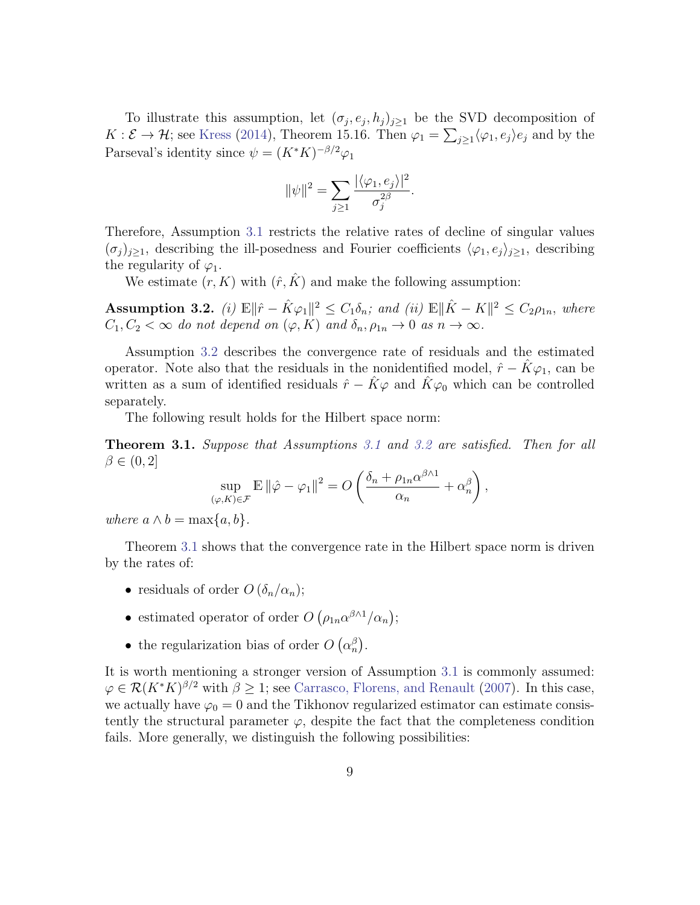To illustrate this assumption, let  $(\sigma_j, e_j, h_j)_{j \geq 1}$  be the SVD decomposition of  $K: \mathcal{E} \to \mathcal{H}$ ; see [Kress](#page-23-9) [\(2014\)](#page-23-9), Theorem 15.16. Then  $\varphi_1 = \sum_{j\geq 1} \langle \varphi_1, e_j \rangle e_j$  and by the Parseval's identity since  $\psi = (K^*K)^{-\beta/2}\varphi_1$ 

$$
\|\psi\|^2 = \sum_{j\geq 1} \frac{|\langle \varphi_1, e_j \rangle|^2}{\sigma_j^{2\beta}}.
$$

Therefore, Assumption [3.1](#page-7-1) restricts the relative rates of decline of singular values  $(\sigma_j)_{j\geq1}$ , describing the ill-posedness and Fourier coefficients  $\langle \varphi_1, e_j \rangle_{j\geq1}$ , describing the regularity of  $\varphi_1$ .

We estimate  $(r, K)$  with  $(\hat{r}, \hat{K})$  and make the following assumption:

<span id="page-8-0"></span>Assumption 3.2. (i)  $\mathbb{E} \|\hat{r} - \hat{K}\varphi_1\|^2 \leq C_1 \delta_n$ ; and (ii)  $\mathbb{E} \|\hat{K} - K\|^2 \leq C_2 \rho_{1n}$ , where  $C_1, C_2 < \infty$  do not depend on  $(\varphi, K)$  and  $\delta_n, \rho_{1n} \to 0$  as  $n \to \infty$ .

Assumption [3.2](#page-8-0) describes the convergence rate of residuals and the estimated operator. Note also that the residuals in the nonidentified model,  $\hat{r} - \hat{K}\varphi_1$ , can be written as a sum of identified residuals  $\hat{r} - \hat{K}\varphi$  and  $\hat{K}\varphi_0$  which can be controlled separately.

The following result holds for the Hilbert space norm:

<span id="page-8-1"></span>**Theorem [3.1](#page-7-1).** Suppose that Assumptions 3.1 and [3.2](#page-8-0) are satisfied. Then for all  $\beta \in (0, 2]$ 

$$
\sup_{(\varphi,K)\in\mathcal{F}} \mathbb{E} \left\|\hat{\varphi} - \varphi_1\right\|^2 = O\left(\frac{\delta_n + \rho_{1n}\alpha^{\beta\wedge 1}}{\alpha_n} + \alpha_n^{\beta}\right),\,
$$

where  $a \wedge b = \max\{a, b\}.$ 

Theorem [3.1](#page-8-1) shows that the convergence rate in the Hilbert space norm is driven by the rates of:

- residuals of order  $O(\delta_n/\alpha_n);$
- estimated operator of order  $O(\rho_{1n}\alpha^{\beta\wedge1}/\alpha_n);$
- the regularization bias of order  $O(\alpha_n^{\beta})$ .

It is worth mentioning a stronger version of Assumption [3.1](#page-7-1) is commonly assumed:  $\varphi \in \mathcal{R}(K^*K)^{\beta/2}$  with  $\beta \geq 1$ ; see [Carrasco, Florens, and Renault](#page-21-0) [\(2007\)](#page-21-0). In this case, we actually have  $\varphi_0 = 0$  and the Tikhonov regularized estimator can estimate consistently the structural parameter  $\varphi$ , despite the fact that the completeness condition fails. More generally, we distinguish the following possibilities: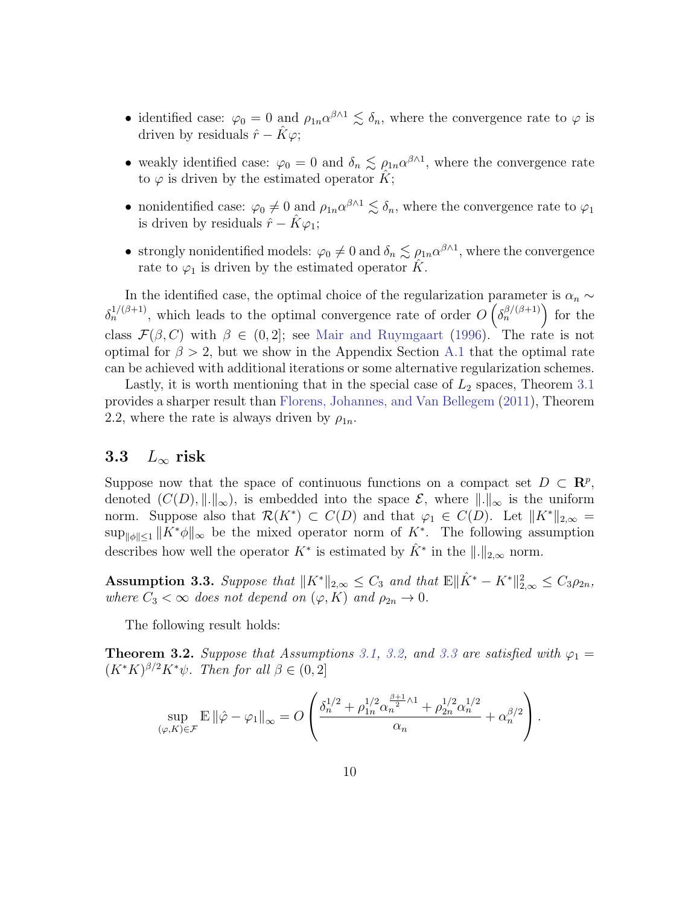- identified case:  $\varphi_0 = 0$  and  $\rho_{1n} \alpha^{\beta \wedge 1} \leq \delta_n$ , where the convergence rate to  $\varphi$  is driven by residuals  $\hat{r} - \hat{K}\varphi$ ;
- weakly identified case:  $\varphi_0 = 0$  and  $\delta_n \lesssim \rho_{1n} \alpha^{\beta \wedge 1}$ , where the convergence rate to  $\varphi$  is driven by the estimated operator K;
- nonidentified case:  $\varphi_0 \neq 0$  and  $\rho_{1n} \alpha^{\beta \wedge 1} \leq \delta_n$ , where the convergence rate to  $\varphi_1$ is driven by residuals  $\hat{r} - \hat{K}\varphi_1$ ;
- strongly nonidentified models:  $\varphi_0 \neq 0$  and  $\delta_n \lesssim \rho_{1n} \alpha^{\beta \wedge 1}$ , where the convergence rate to  $\varphi_1$  is driven by the estimated operator  $\hat{K}$ .

In the identified case, the optimal choice of the regularization parameter is  $\alpha_n \sim$  $\delta_n^{1/(\beta+1)}$ , which leads to the optimal convergence rate of order  $O\left(\delta_n^{\beta/(\beta+1)}\right)$  for the class  $\mathcal{F}(\beta, C)$  with  $\beta \in (0, 2]$ ; see [Mair and Ruymgaart](#page-24-5) [\(1996\)](#page-24-5). The rate is not optimal for  $\beta > 2$ , but we show in the Appendix Section [A.1](#page-1-0) that the optimal rate can be achieved with additional iterations or some alternative regularization schemes.

Lastly, it is worth mentioning that in the special case of  $L_2$  spaces, Theorem [3.1](#page-8-1) provides a sharper result than [Florens, Johannes, and Van Bellegem](#page-22-2) [\(2011\)](#page-22-2), Theorem 2.2, where the rate is always driven by  $\rho_{1n}$ .

#### 3.3  $L_{\infty}$  risk

Suppose now that the space of continuous functions on a compact set  $D \subset \mathbb{R}^p$ , denoted  $(C(D), \|.\|_{\infty})$ , is embedded into the space  $\mathcal{E}$ , where  $\|.\|_{\infty}$  is the uniform norm. Suppose also that  $\mathcal{R}(K^*) \subset C(D)$  and that  $\varphi_1 \in C(D)$ . Let  $||K^*||_{2,\infty} =$  $\sup_{\|\phi\|\leq 1} \|K^*\phi\|_{\infty}$  be the mixed operator norm of  $K^*$ . The following assumption describes how well the operator  $K^*$  is estimated by  $\hat{K}^*$  in the  $\|.\|_{2,\infty}$  norm.

<span id="page-9-0"></span>Assumption 3.3. Suppose that  $||K^*||_{2,\infty} \leq C_3$  and that  $\mathbb{E} \|\hat{K}^* - K^*\|_{2,\infty}^2 \leq C_3 \rho_{2n}$ , where  $C_3 < \infty$  does not depend on  $(\varphi, K)$  and  $\rho_{2n} \to 0$ .

The following result holds:

<span id="page-9-1"></span>**Theorem 3.2.** Suppose that Assumptions [3.1,](#page-7-1) [3.2,](#page-8-0) and [3.3](#page-9-0) are satisfied with  $\varphi_1 =$  $(K^*K)^{\beta/2}K^*\psi$ . Then for all  $\beta \in (0,2]$ 

$$
\sup_{(\varphi,K)\in\mathcal{F}}\mathbb{E}\left\|\hat{\varphi}-\varphi_1\right\|_{\infty}=O\left(\frac{\delta_n^{1/2}+\rho_{1n}^{1/2}\alpha_n^{\frac{\beta+1}{2}\wedge 1}+\rho_{2n}^{1/2}\alpha_n^{1/2}}{\alpha_n}+\alpha_n^{\beta/2}\right).
$$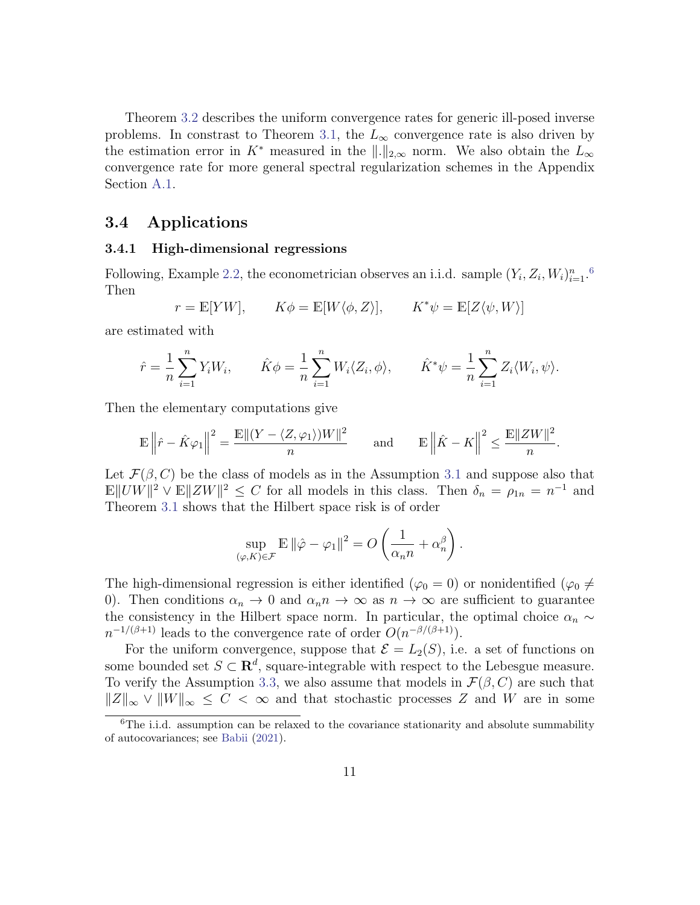Theorem [3.2](#page-9-1) describes the uniform convergence rates for generic ill-posed inverse problems. In constrast to Theorem [3.1,](#page-8-1) the  $L_{\infty}$  convergence rate is also driven by the estimation error in K<sup>\*</sup> measured in the  $\|.\|_{2,\infty}$  norm. We also obtain the  $L_{\infty}$ convergence rate for more general spectral regularization schemes in the Appendix Section [A.1.](#page-1-0)

#### 3.4 Applications

#### 3.4.1 High-dimensional regressions

Following, Example [2.2,](#page-5-1) the econometrician observes an i.i.d. sample  $(Y_i, Z_i, W_i)_{i=1}^n$ . Then

$$
r = \mathbb{E}[YW], \qquad K\phi = \mathbb{E}[W\langle \phi, Z \rangle], \qquad K^*\psi = \mathbb{E}[Z\langle \psi, W \rangle]
$$

are estimated with

$$
\hat{r} = \frac{1}{n} \sum_{i=1}^{n} Y_i W_i, \qquad \hat{K} \phi = \frac{1}{n} \sum_{i=1}^{n} W_i \langle Z_i, \phi \rangle, \qquad \hat{K}^* \psi = \frac{1}{n} \sum_{i=1}^{n} Z_i \langle W_i, \psi \rangle.
$$

Then the elementary computations give

$$
\mathbb{E}\left\|\hat{r}-\hat{K}\varphi_1\right\|^2=\frac{\mathbb{E}\|(Y-\langle Z, \varphi_1\rangle)W\|^2}{n}\qquad \text{and}\qquad \mathbb{E}\left\|\hat{K}-K\right\|^2\leq \frac{\mathbb{E}\|ZW\|^2}{n}.
$$

Let  $\mathcal{F}(\beta, C)$  be the class of models as in the Assumption [3.1](#page-7-1) and suppose also that  $\mathbb{E} \|UW\|^2 \vee \mathbb{E} \|ZW\|^2 \leq C$  for all models in this class. Then  $\delta_n = \rho_{1n} = n^{-1}$  and Theorem [3.1](#page-8-1) shows that the Hilbert space risk is of order

$$
\sup_{(\varphi,K)\in\mathcal{F}} \mathbb{E} \left\|\hat{\varphi} - \varphi_1\right\|^2 = O\left(\frac{1}{\alpha_n n} + \alpha_n^{\beta}\right).
$$

The high-dimensional regression is either identified ( $\varphi_0 = 0$ ) or nonidentified ( $\varphi_0 \neq 0$ 0). Then conditions  $\alpha_n \to 0$  and  $\alpha_n n \to \infty$  as  $n \to \infty$  are sufficient to guarantee the consistency in the Hilbert space norm. In particular, the optimal choice  $\alpha_n \sim$  $n^{-1/(\beta+1)}$  leads to the convergence rate of order  $O(n^{-\beta/(\beta+1)})$ .

For the uniform convergence, suppose that  $\mathcal{E} = L_2(S)$ , i.e. a set of functions on some bounded set  $S \subset \mathbf{R}^d$ , square-integrable with respect to the Lebesgue measure. To verify the Assumption [3.3,](#page-9-0) we also assume that models in  $\mathcal{F}(\beta, C)$  are such that  $||Z||_{\infty} \vee ||W||_{\infty} \leq C < \infty$  and that stochastic processes Z and W are in some

<span id="page-10-0"></span> ${}^{6}$ The i.i.d. assumption can be relaxed to the covariance stationarity and absolute summability of autocovariances; see [Babii](#page-20-6) [\(2021\)](#page-20-6).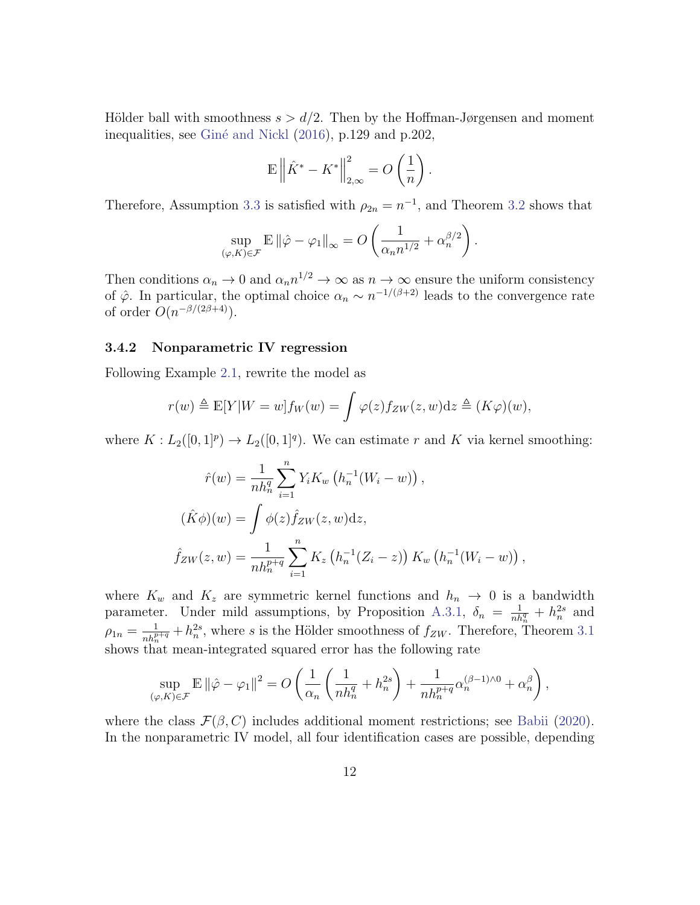Hölder ball with smoothness  $s > d/2$ . Then by the Hoffman-Jørgensen and moment inequalities, see Giné and Nickl [\(2016\)](#page-23-10), p.129 and p.202,

$$
\mathbb{E}\left\|\hat{K}^* - K^*\right\|_{2,\infty}^2 = O\left(\frac{1}{n}\right).
$$

Therefore, Assumption [3.3](#page-9-0) is satisfied with  $\rho_{2n} = n^{-1}$ , and Theorem [3.2](#page-9-1) shows that

$$
\sup_{(\varphi,K)\in\mathcal{F}} \mathbb{E} \left\|\hat{\varphi} - \varphi_1\right\|_{\infty} = O\left(\frac{1}{\alpha_n n^{1/2}} + \alpha_n^{\beta/2}\right)
$$

.

,

Then conditions  $\alpha_n \to 0$  and  $\alpha_n n^{1/2} \to \infty$  as  $n \to \infty$  ensure the uniform consistency of  $\hat{\varphi}$ . In particular, the optimal choice  $\alpha_n \sim n^{-1/(\beta+2)}$  leads to the convergence rate of order  $O(n^{-\beta/(2\beta+4)})$ .

#### 3.4.2 Nonparametric IV regression

Following Example [2.1,](#page-4-2) rewrite the model as

$$
r(w) \triangleq \mathbb{E}[Y|W=w]f_W(w) = \int \varphi(z)f_{ZW}(z,w)dz \triangleq (K\varphi)(w),
$$

where  $K: L_2([0,1]^p) \to L_2([0,1]^q)$ . We can estimate r and K via kernel smoothing:

$$
\hat{r}(w) = \frac{1}{nh_n^q} \sum_{i=1}^n Y_i K_w \left( h_n^{-1}(W_i - w) \right),
$$
  

$$
(\hat{K}\phi)(w) = \int \phi(z) \hat{f}_{ZW}(z, w) dz,
$$
  

$$
\hat{f}_{ZW}(z, w) = \frac{1}{nh_n^{p+q}} \sum_{i=1}^n K_z \left( h_n^{-1}(Z_i - z) \right) K_w \left( h_n^{-1}(W_i - w) \right)
$$

where  $K_w$  and  $K_z$  are symmetric kernel functions and  $h_n \to 0$  is a bandwidth parameter. Under mild assumptions, by Proposition [A.3.1,](#page-36-0)  $\delta_n = \frac{1}{nh_n^q} + h_n^{2s}$  and  $\rho_{1n} = \frac{1}{nh_n^{p+q}} + h_n^{2s}$ , where s is the Hölder smoothness of  $f_{ZW}$ . Therefore, Theorem [3.1](#page-8-1) shows that mean-integrated squared error has the following rate

$$
\sup_{(\varphi,K)\in\mathcal{F}} \mathbb{E} \left\|\hat{\varphi} - \varphi_1\right\|^2 = O\left(\frac{1}{\alpha_n} \left(\frac{1}{nh_n^q} + h_n^{2s}\right) + \frac{1}{nh_n^{p+q}} \alpha_n^{(\beta-1)\wedge 0} + \alpha_n^{\beta}\right),\,
$$

where the class  $\mathcal{F}(\beta, C)$  includes additional moment restrictions; see [Babii](#page-20-1) [\(2020\)](#page-20-1). In the nonparametric IV model, all four identification cases are possible, depending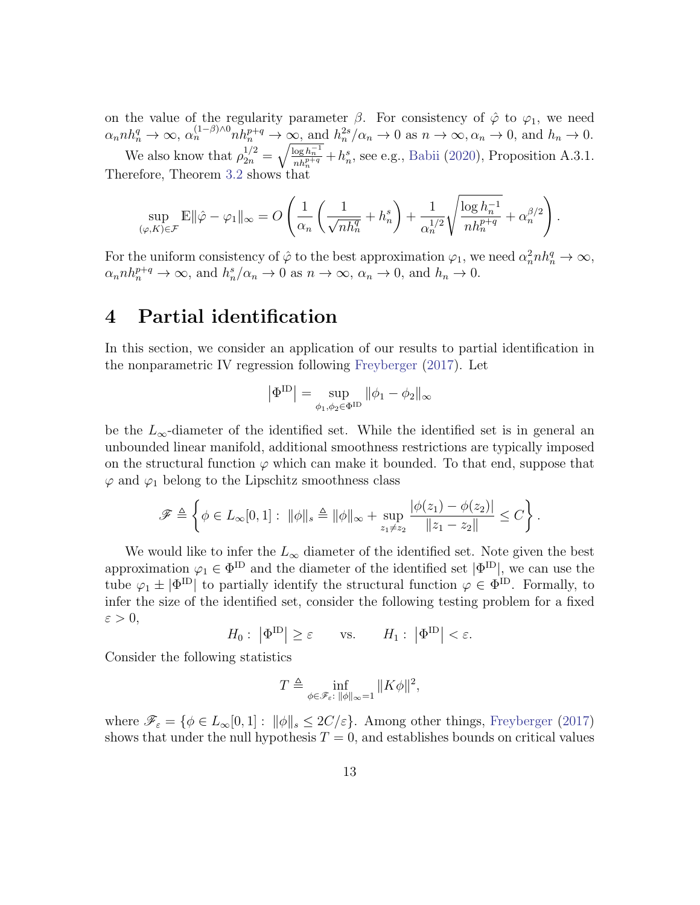on the value of the regularity parameter  $\beta$ . For consistency of  $\hat{\varphi}$  to  $\varphi_1$ , we need  $\alpha_n n h_n^q \to \infty$ ,  $\alpha_n^{(1-\beta)\wedge 0} n h_n^{p+q} \to \infty$ , and  $h_n^{2s}/\alpha_n \to 0$  as  $n \to \infty$ ,  $\alpha_n \to 0$ , and  $h_n \to 0$ . We also know that  $\rho_{2n}^{1/2} = \sqrt{\frac{\log h_n^{-1}}{nh_n^{1+q}}} + h_n^s$ , see e.g., [Babii](#page-20-1) [\(2020\)](#page-20-1), Proposition A.3.1. Therefore, Theorem [3.2](#page-9-1) shows that

$$
\sup_{(\varphi,K)\in\mathcal{F}} \mathbb{E} \|\hat{\varphi} - \varphi_1\|_{\infty} = O\left(\frac{1}{\alpha_n} \left(\frac{1}{\sqrt{nh_n^q}} + h_n^s\right) + \frac{1}{\alpha_n^{1/2}} \sqrt{\frac{\log h_n^{-1}}{nh_n^{p+q}}} + \alpha_n^{\beta/2}\right).
$$

For the uniform consistency of  $\hat{\varphi}$  to the best approximation  $\varphi_1$ , we need  $\alpha_n^2 n h_n^q \to \infty$ ,  $\alpha_n n h_n^{p+q} \to \infty$ , and  $h_n^s / \alpha_n \to 0$  as  $n \to \infty$ ,  $\alpha_n \to 0$ , and  $h_n \to 0$ .

### <span id="page-12-0"></span>4 Partial identification

In this section, we consider an application of our results to partial identification in the nonparametric IV regression following [Freyberger](#page-22-6) [\(2017\)](#page-22-6). Let

$$
\left|\Phi^{\rm ID}\right|=\sup_{\phi_1,\phi_2\in\Phi^{\rm ID}}\|\phi_1-\phi_2\|_\infty
$$

be the  $L_{\infty}$ -diameter of the identified set. While the identified set is in general an unbounded linear manifold, additional smoothness restrictions are typically imposed on the structural function  $\varphi$  which can make it bounded. To that end, suppose that  $\varphi$  and  $\varphi_1$  belong to the Lipschitz smoothness class

$$
\mathscr{F} \triangleq \left\{ \phi \in L_{\infty}[0,1]: \ \|\phi\|_{s} \triangleq \|\phi\|_{\infty} + \sup_{z_{1} \neq z_{2}} \frac{|\phi(z_{1}) - \phi(z_{2})|}{\|z_{1} - z_{2}\|} \leq C \right\}.
$$

We would like to infer the  $L_{\infty}$  diameter of the identified set. Note given the best approximation  $\varphi_1 \in \Phi^{\text{ID}}$  and the diameter of the identified set  $|\Phi^{\text{ID}}|$ , we can use the tube  $\varphi_1 \pm |\Phi^{ID}|$  to partially identify the structural function  $\varphi \in \Phi^{ID}$ . Formally, to infer the size of the identified set, consider the following testing problem for a fixed  $\varepsilon > 0$ ,

$$
H_0: |\Phi^{\text{ID}}| \ge \varepsilon
$$
 vs.  $H_1: |\Phi^{\text{ID}}| < \varepsilon$ .

Consider the following statistics

$$
T \triangleq \inf_{\phi \in \mathscr{F}_{\varepsilon}: \, \|\phi\|_{\infty}=1} \|K\phi\|^2,
$$

where  $\mathscr{F}_{\varepsilon} = \{ \phi \in L_{\infty}[0,1]: ||\phi||_{s} \leq 2C/\varepsilon \}.$  Among other things, [Freyberger](#page-22-6) [\(2017\)](#page-22-6) shows that under the null hypothesis  $T = 0$ , and establishes bounds on critical values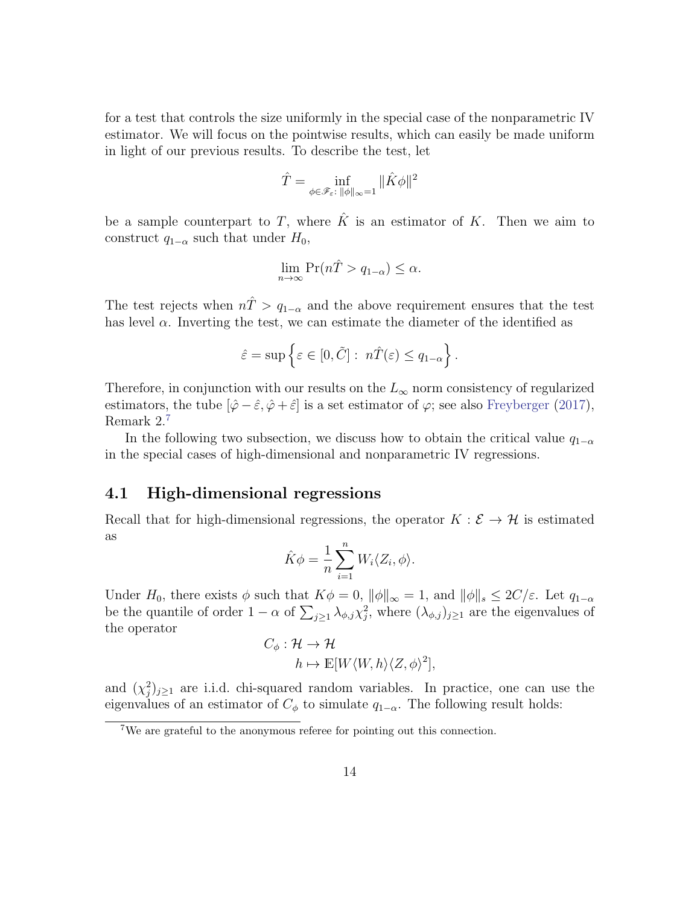for a test that controls the size uniformly in the special case of the nonparametric IV estimator. We will focus on the pointwise results, which can easily be made uniform in light of our previous results. To describe the test, let

$$
\hat{T} = \inf_{\phi \in \mathscr{F}_{\varepsilon}:\, \|\phi\|_{\infty}=1} \|\hat{K}\phi\|^2
$$

be a sample counterpart to T, where  $\hat{K}$  is an estimator of K. Then we aim to construct  $q_{1-\alpha}$  such that under  $H_0$ ,

$$
\lim_{n \to \infty} \Pr(n\hat{T} > q_{1-\alpha}) \le \alpha.
$$

The test rejects when  $n\hat{T} > q_{1-\alpha}$  and the above requirement ensures that the test has level  $\alpha$ . Inverting the test, we can estimate the diameter of the identified as

$$
\hat{\varepsilon} = \sup \left\{ \varepsilon \in [0, \tilde{C}] : n\hat{T}(\varepsilon) \le q_{1-\alpha} \right\}.
$$

Therefore, in conjunction with our results on the  $L_{\infty}$  norm consistency of regularized estimators, the tube  $[\hat{\varphi} - \hat{\varepsilon}, \hat{\varphi} + \hat{\varepsilon}]$  is a set estimator of  $\varphi$ ; see also [Freyberger](#page-22-6) [\(2017\)](#page-22-6), Remark 2.[7](#page-13-0)

In the following two subsection, we discuss how to obtain the critical value  $q_{1-\alpha}$ in the special cases of high-dimensional and nonparametric IV regressions.

#### 4.1 High-dimensional regressions

Recall that for high-dimensional regressions, the operator  $K : \mathcal{E} \to \mathcal{H}$  is estimated as

$$
\hat{K}\phi = \frac{1}{n} \sum_{i=1}^{n} W_i \langle Z_i, \phi \rangle.
$$

Under  $H_0$ , there exists  $\phi$  such that  $K\phi = 0$ ,  $\|\phi\|_{\infty} = 1$ , and  $\|\phi\|_{s} \leq 2C/\varepsilon$ . Let  $q_{1-\alpha}$ be the quantile of order  $1 - \alpha$  of  $\sum_{j \geq 1} \lambda_{\phi, j} \chi_j^2$ , where  $(\lambda_{\phi, j})_{j \geq 1}$  are the eigenvalues of the operator

$$
C_{\phi}: \mathcal{H} \to \mathcal{H}
$$
  

$$
h \mapsto \mathbb{E}[W\langle W, h \rangle \langle Z, \phi \rangle^{2}],
$$

and  $(\chi_j^2)_{j\geq 1}$  are i.i.d. chi-squared random variables. In practice, one can use the eigenvalues of an estimator of  $C_{\phi}$  to simulate  $q_{1-\alpha}$ . The following result holds:

<span id="page-13-0"></span><sup>&</sup>lt;sup>7</sup>We are grateful to the anonymous referee for pointing out this connection.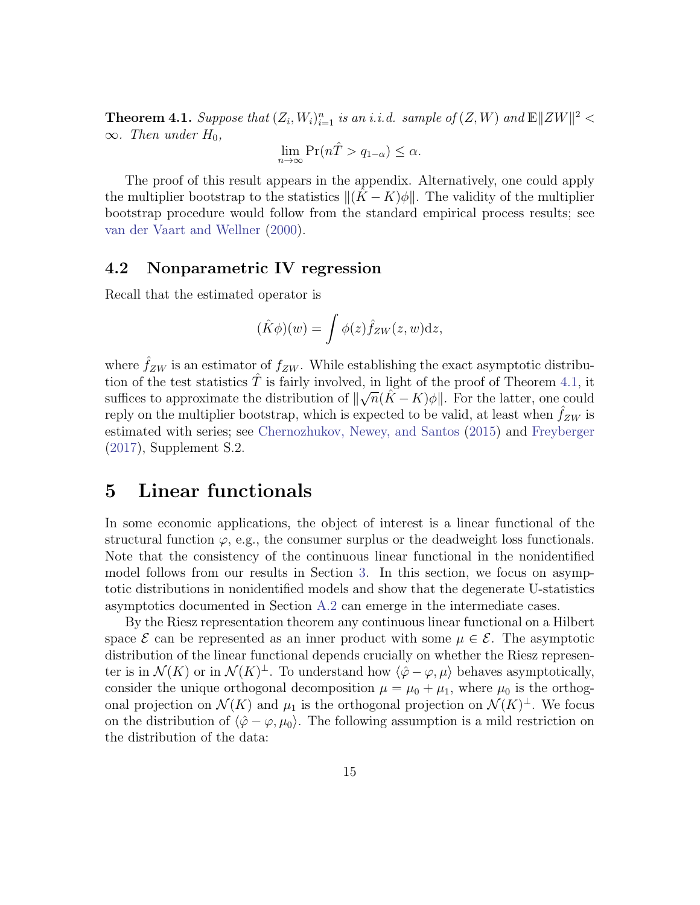<span id="page-14-1"></span>**Theorem 4.1.** Suppose that  $(Z_i, W_i)_{i=1}^n$  is an i.i.d. sample of  $(Z, W)$  and  $\mathbb{E} ||ZW||^2 <$  $\infty$ . Then under  $H_0$ ,

$$
\lim_{n \to \infty} \Pr(n\hat{T} > q_{1-\alpha}) \le \alpha.
$$

The proof of this result appears in the appendix. Alternatively, one could apply the multiplier bootstrap to the statistics  $\|(K - K)\phi\|$ . The validity of the multiplier bootstrap procedure would follow from the standard empirical process results; see [van der Vaart and Wellner](#page-24-6) [\(2000\)](#page-24-6).

#### 4.2 Nonparametric IV regression

Recall that the estimated operator is

$$
(\hat{K}\phi)(w) = \int \phi(z)\hat{f}_{ZW}(z,w)\mathrm{d}z,
$$

where  $\hat{f}_{ZW}$  is an estimator of  $f_{ZW}$ . While establishing the exact asymptotic distribution of the test statistics  $\hat{T}$  is fairly involved, in light of the proof of Theorem [4.1,](#page-14-1) it suffices to approximate the distribution of  $\|\sqrt{n}(\tilde{K} - K)\phi\|$ . For the latter, one could reply on the multiplier bootstrap, which is expected to be valid, at least when  $f_{ZW}$  is estimated with series; see [Chernozhukov, Newey, and Santos](#page-22-11) [\(2015\)](#page-22-11) and [Freyberger](#page-22-6) [\(2017\)](#page-22-6), Supplement S.2.

## <span id="page-14-0"></span>5 Linear functionals

In some economic applications, the object of interest is a linear functional of the structural function  $\varphi$ , e.g., the consumer surplus or the deadweight loss functionals. Note that the consistency of the continuous linear functional in the nonidentified model follows from our results in Section [3.](#page-7-0) In this section, we focus on asymptotic distributions in nonidentified models and show that the degenerate U-statistics asymptotics documented in Section [A.2](#page-4-0) can emerge in the intermediate cases.

By the Riesz representation theorem any continuous linear functional on a Hilbert space  $\mathcal E$  can be represented as an inner product with some  $\mu \in \mathcal E$ . The asymptotic distribution of the linear functional depends crucially on whether the Riesz representer is in  $\mathcal{N}(K)$  or in  $\mathcal{N}(K)^{\perp}$ . To understand how  $\langle \hat{\varphi} - \varphi, \mu \rangle$  behaves asymptotically, consider the unique orthogonal decomposition  $\mu = \mu_0 + \mu_1$ , where  $\mu_0$  is the orthogonal projection on  $\mathcal{N}(K)$  and  $\mu_1$  is the orthogonal projection on  $\mathcal{N}(K)^{\perp}$ . We focus on the distribution of  $\langle \hat{\varphi} - \varphi, \mu_0 \rangle$ . The following assumption is a mild restriction on the distribution of the data: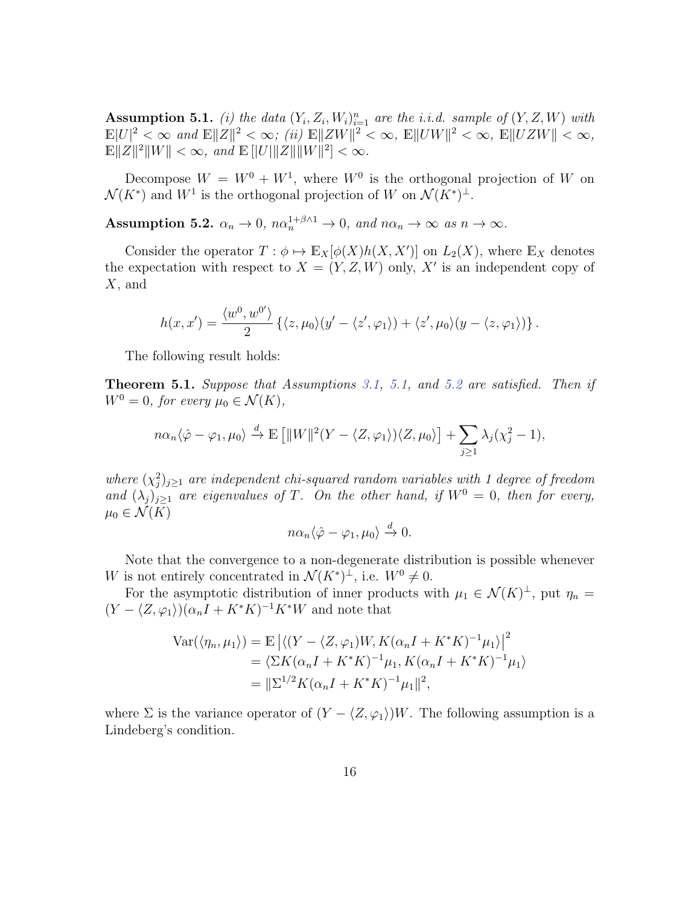<span id="page-15-0"></span>**Assumption 5.1.** (i) the data  $(Y_i, Z_i, W_i)_{i=1}^n$  are the i.i.d. sample of  $(Y, Z, W)$  with  $\mathbb{E}|U|^2 < \infty$  and  $\mathbb{E}||Z||^2 < \infty$ ; (ii)  $\mathbb{E}||ZW||^2 < \infty$ ,  $\mathbb{E}||UW||^2 < \infty$ ,  $\mathbb{E}||UZW|| < \infty$ ,  $\mathbb{E} \|Z\|^2 \|W\| < \infty$ , and  $\mathbb{E} [||U|| ||Z|| ||W||^2] < \infty$ .

Decompose  $W = W^0 + W^1$ , where  $W^0$  is the orthogonal projection of W on  $\mathcal{N}(K^*)$  and  $W^1$  is the orthogonal projection of W on  $\mathcal{N}(K^*)^{\perp}$ .

<span id="page-15-1"></span>Assumption 5.2.  $\alpha_n \to 0$ ,  $n\alpha_n^{1+\beta\wedge 1} \to 0$ , and  $n\alpha_n \to \infty$  as  $n \to \infty$ .

Consider the operator  $T : \phi \mapsto \mathbb{E}_X[\phi(X)h(X, X')]$  on  $L_2(X)$ , where  $\mathbb{E}_X$  denotes the expectation with respect to  $X = (Y, Z, W)$  only, X' is an independent copy of  $X$ , and

$$
h(x, x') = \frac{\langle w^0, w^{0'} \rangle}{2} \left\{ \langle z, \mu_0 \rangle (y' - \langle z', \varphi_1 \rangle) + \langle z', \mu_0 \rangle (y - \langle z, \varphi_1 \rangle) \right\}.
$$

The following result holds:

<span id="page-15-2"></span>Theorem 5.1. Suppose that Assumptions [3.1,](#page-7-1) [5.1,](#page-15-0) and [5.2](#page-15-1) are satisfied. Then if  $W^0 = 0$ , for every  $\mu_0 \in \mathcal{N}(K)$ ,

$$
n\alpha_n \langle \hat{\varphi} - \varphi_1, \mu_0 \rangle \xrightarrow{d} \mathbb{E} \left[ ||W||^2 (Y - \langle Z, \varphi_1 \rangle) \langle Z, \mu_0 \rangle \right] + \sum_{j \ge 1} \lambda_j (\chi_j^2 - 1),
$$

where  $(\chi_j^2)_{j\geq 1}$  are independent chi-squared random variables with 1 degree of freedom and  $(\lambda_j)_{j\geq 1}$  are eigenvalues of T. On the other hand, if  $W^0 = 0$ , then for every,  $\mu_0 \in \mathcal{N}(K)$ 

$$
n\alpha_n\langle \hat{\varphi} - \varphi_1, \mu_0 \rangle \xrightarrow{d} 0.
$$

Note that the convergence to a non-degenerate distribution is possible whenever W is not entirely concentrated in  $\mathcal{N}(K^*)^{\perp}$ , i.e.  $W^0 \neq 0$ .

For the asymptotic distribution of inner products with  $\mu_1 \in \mathcal{N}(K)^{\perp}$ , put  $\eta_n =$  $(Y - \langle Z, \varphi_1 \rangle)(\alpha_n I + K^*K)^{-1}K^*W$  and note that

$$
\begin{aligned} \text{Var}(\langle \eta_n, \mu_1 \rangle) &= \mathbb{E} \left| \langle (Y - \langle Z, \varphi_1) W, K(\alpha_n I + K^* K)^{-1} \mu_1 \rangle \right|^2 \\ &= \langle \Sigma K(\alpha_n I + K^* K)^{-1} \mu_1, K(\alpha_n I + K^* K)^{-1} \mu_1 \rangle \\ &= \|\Sigma^{1/2} K(\alpha_n I + K^* K)^{-1} \mu_1\|^2, \end{aligned}
$$

where  $\Sigma$  is the variance operator of  $(Y - \langle Z, \varphi_1 \rangle)W$ . The following assumption is a Lindeberg's condition.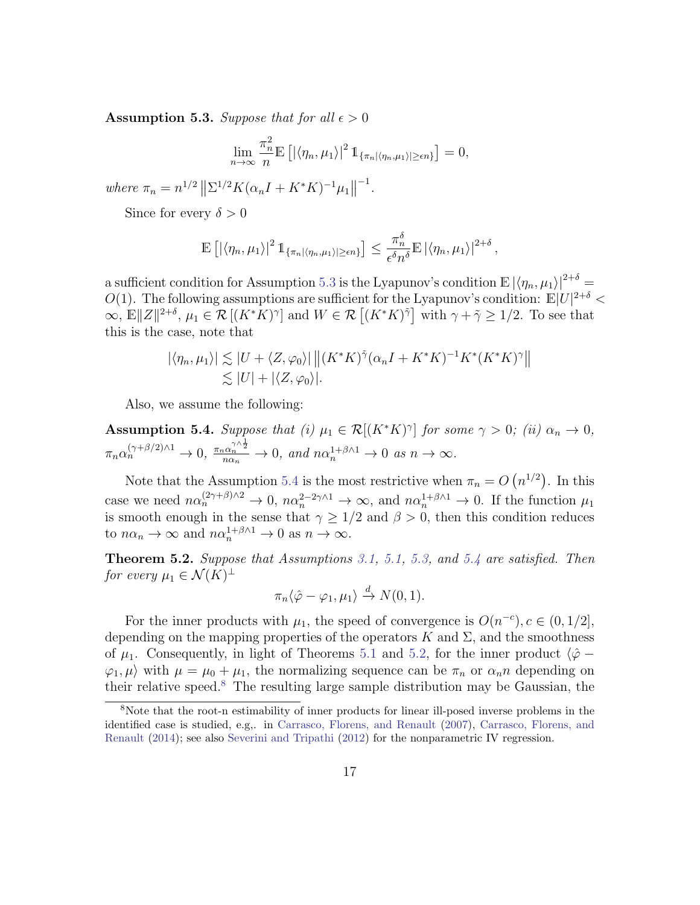<span id="page-16-0"></span>**Assumption 5.3.** Suppose that for all  $\epsilon > 0$ 

$$
\lim_{n\to\infty}\frac{\pi_n^2}{n}\mathbb{E}\left[\left|\langle\eta_n,\mu_1\rangle\right|^2\mathbb{1}_{\{\pi_n|\langle\eta_n,\mu_1\rangle|\geq\epsilon n\}}\right]=0,
$$

where  $\pi_n = n^{1/2} ||\Sigma^{1/2} K(\alpha_n I + K^* K)^{-1} \mu_1||$ −1 .

Since for every  $\delta > 0$ 

$$
\mathbb{E}\left[\left|\langle\eta_n,\mu_1\rangle\right|^2 \mathbb{1}_{\{\pi_n|\langle\eta_n,\mu_1\rangle|\geq\epsilon n\}}\right] \leq \frac{\pi_n^{\delta}}{\epsilon^{\delta}n^{\delta}} \mathbb{E}\left|\langle\eta_n,\mu_1\rangle\right|^{2+\delta},
$$

a sufficient condition for Assumption [5.3](#page-16-0) is the Lyapunov's condition  $\mathbb{E} |\langle \eta_n, \mu_1 \rangle|^{2+\delta} =$ O(1). The following assumptions are sufficient for the Lyapunov's condition:  $\mathbb{E}|U|^{2+\delta}$  $\infty, E||Z||^{2+\delta}, \mu_1 \in \mathcal{R}[(K^*K)^\gamma]$  and  $W \in \mathcal{R}[(K^*K)^\gamma]$  with  $\gamma + \tilde{\gamma} \geq 1/2$ . To see that this is the case, note that

$$
|\langle \eta_n, \mu_1 \rangle| \lesssim |U + \langle Z, \varphi_0 \rangle| \left\| (K^* K)^{\tilde{\gamma}} (\alpha_n I + K^* K)^{-1} K^* (K^* K)^{\gamma} \right\|
$$
  

$$
\lesssim |U| + |\langle Z, \varphi_0 \rangle|.
$$

Also, we assume the following:

<span id="page-16-1"></span>**Assumption 5.4.** Suppose that (i)  $\mu_1 \in \mathcal{R}[(K^*K)^\gamma]$  for some  $\gamma > 0$ ; (ii)  $\alpha_n \to 0$ ,  $\pi_n \alpha_n^{(\gamma+\beta/2)\wedge 1} \to 0$ ,  $\frac{\pi_n \alpha_n^{\gamma \wedge \frac{1}{2}}}{n\alpha_n} \to 0$ , and  $n\alpha_n^{1+\beta \wedge 1} \to 0$  as  $n \to \infty$ .

Note that the Assumption [5.4](#page-16-1) is the most restrictive when  $\pi_n = O(n^{1/2})$ . In this case we need  $n\alpha_n^{(2\gamma+\beta)\wedge 2} \to 0$ ,  $n\alpha_n^{2-2\gamma\wedge 1} \to \infty$ , and  $n\alpha_n^{1+\beta\wedge 1} \to 0$ . If the function  $\mu_1$ is smooth enough in the sense that  $\gamma \geq 1/2$  and  $\beta > 0$ , then this condition reduces to  $n\alpha_n \to \infty$  and  $n\alpha_n^{1+\beta\wedge 1} \to 0$  as  $n \to \infty$ .

<span id="page-16-2"></span>Theorem 5.2. Suppose that Assumptions [3.1,](#page-7-1) [5.1,](#page-15-0) [5.3,](#page-16-0) and [5.4](#page-16-1) are satisfied. Then for every  $\mu_1 \in \mathcal{N}(K)^{\perp}$ 

$$
\pi_n \langle \hat{\varphi} - \varphi_1, \mu_1 \rangle \xrightarrow{d} N(0, 1).
$$

For the inner products with  $\mu_1$ , the speed of convergence is  $O(n^{-c})$ ,  $c \in (0, 1/2]$ , depending on the mapping properties of the operators K and  $\Sigma$ , and the smoothness of  $\mu_1$ . Consequently, in light of Theorems [5.1](#page-15-2) and [5.2,](#page-16-2) for the inner product  $\langle \hat{\varphi} - \varphi \rangle$  $\langle \varphi_1, \mu \rangle$  with  $\mu = \mu_0 + \mu_1$ , the normalizing sequence can be  $\pi_n$  or  $\alpha_n n$  depending on their relative speed.<sup>[8](#page-16-3)</sup> The resulting large sample distribution may be Gaussian, the

<span id="page-16-3"></span><sup>8</sup>Note that the root-n estimability of inner products for linear ill-posed inverse problems in the identified case is studied, e.g,. in [Carrasco, Florens, and Renault](#page-21-0) [\(2007\)](#page-21-0), [Carrasco, Florens, and](#page-21-1) [Renault](#page-21-1) [\(2014\)](#page-21-1); see also [Severini and Tripathi](#page-24-7) [\(2012\)](#page-24-7) for the nonparametric IV regression.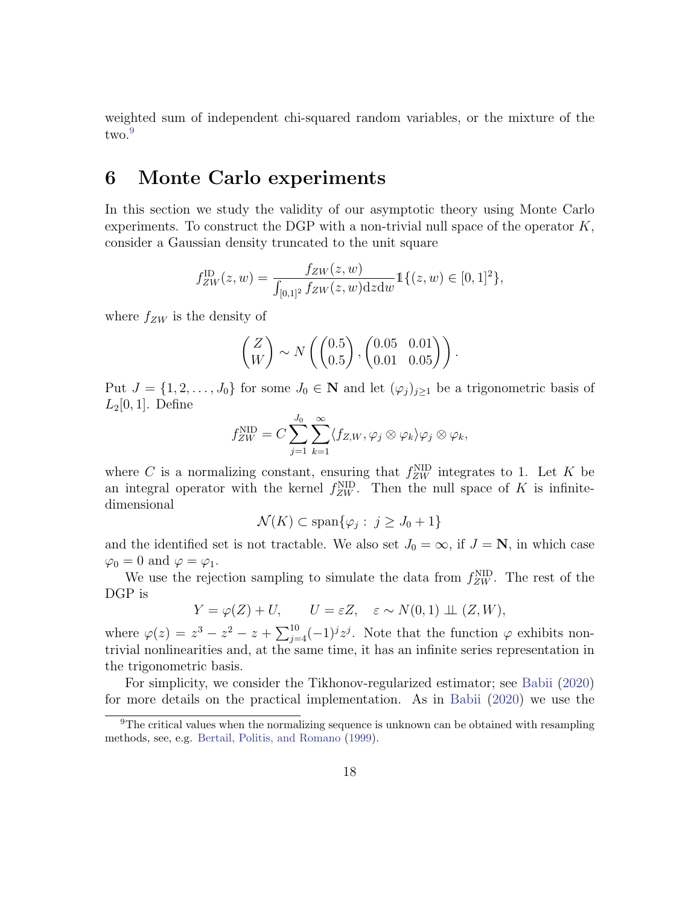weighted sum of independent chi-squared random variables, or the mixture of the two.<sup>[9](#page-17-1)</sup>

### <span id="page-17-0"></span>6 Monte Carlo experiments

In this section we study the validity of our asymptotic theory using Monte Carlo experiments. To construct the DGP with a non-trivial null space of the operator  $K$ , consider a Gaussian density truncated to the unit square

$$
f_{ZW}^{\rm ID}(z,w) = \frac{f_{ZW}(z,w)}{\int_{[0,1]^2} f_{ZW}(z,w) \, \mathrm{d}z \, \mathrm{d}w} \mathbb{1}\{(z,w) \in [0,1]^2\},\,
$$

where  $f_{ZW}$  is the density of

$$
\begin{pmatrix} Z \\ W \end{pmatrix} \sim N\left( \begin{pmatrix} 0.5 \\ 0.5 \end{pmatrix}, \begin{pmatrix} 0.05 & 0.01 \\ 0.01 & 0.05 \end{pmatrix} \right).
$$

Put  $J = \{1, 2, ..., J_0\}$  for some  $J_0 \in \mathbb{N}$  and let  $(\varphi_j)_{j \geq 1}$  be a trigonometric basis of  $L_2[0,1]$ . Define

$$
f_{ZW}^{\text{NID}} = C \sum_{j=1}^{J_0} \sum_{k=1}^{\infty} \langle f_{Z,W}, \varphi_j \otimes \varphi_k \rangle \varphi_j \otimes \varphi_k,
$$

where C is a normalizing constant, ensuring that  $f_{ZW}^{\text{NID}}$  integrates to 1. Let K be an integral operator with the kernel  $f_{ZW}^{\text{NID}}$ . Then the null space of K is infinitedimensional

$$
\mathcal{N}(K) \subset \text{span}\{\varphi_j : j \ge J_0 + 1\}
$$

and the identified set is not tractable. We also set  $J_0 = \infty$ , if  $J = \mathbb{N}$ , in which case  $\varphi_0 = 0$  and  $\varphi = \varphi_1$ .

We use the rejection sampling to simulate the data from  $f_{ZW}^{\text{NID}}$ . The rest of the DGP is

$$
Y = \varphi(Z) + U, \qquad U = \varepsilon Z, \quad \varepsilon \sim N(0, 1) \perp (Z, W),
$$

where  $\varphi(z) = z^3 - z^2 - z + \sum_{j=4}^{10} (-1)^j z^j$ . Note that the function  $\varphi$  exhibits nontrivial nonlinearities and, at the same time, it has an infinite series representation in the trigonometric basis.

For simplicity, we consider the Tikhonov-regularized estimator; see [Babii](#page-20-1) [\(2020\)](#page-20-1) for more details on the practical implementation. As in [Babii](#page-20-1) [\(2020\)](#page-20-1) we use the

<span id="page-17-1"></span><sup>9</sup>The critical values when the normalizing sequence is unknown can be obtained with resampling methods, see, e.g. [Bertail, Politis, and Romano](#page-20-8) [\(1999\)](#page-20-8).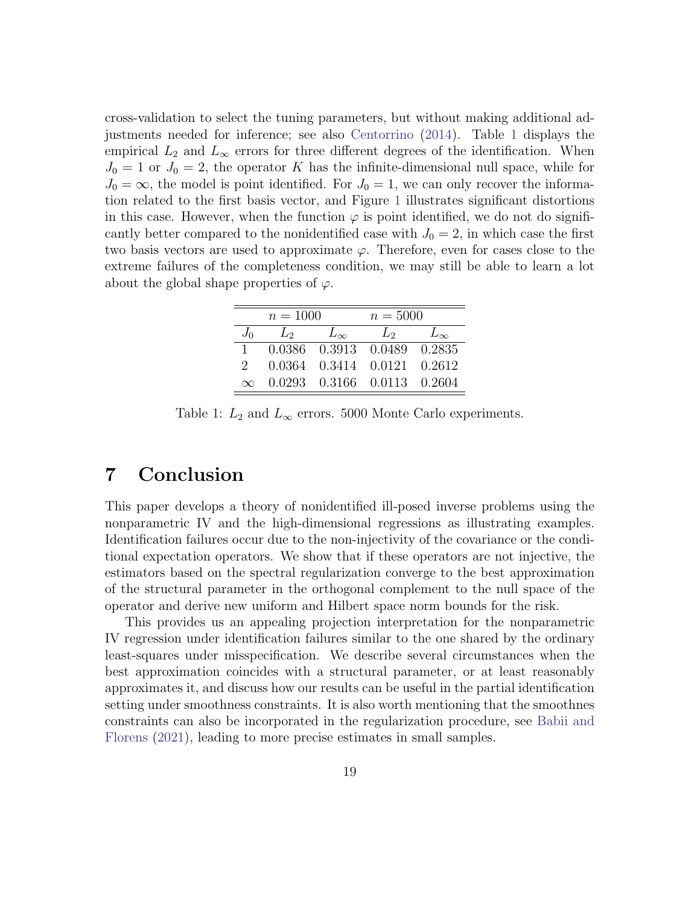cross-validation to select the tuning parameters, but without making additional adjustments needed for inference; see also [Centorrino](#page-21-10) [\(2014\)](#page-21-10). Table [1](#page-18-1) displays the empirical  $L_2$  and  $L_{\infty}$  errors for three different degrees of the identification. When  $J_0 = 1$  or  $J_0 = 2$ , the operator K has the infinite-dimensional null space, while for  $J_0 = \infty$ , the model is point identified. For  $J_0 = 1$ , we can only recover the information related to the first basis vector, and Figure [1](#page-19-0) illustrates significant distortions in this case. However, when the function  $\varphi$  is point identified, we do not do significantly better compared to the nonidentified case with  $J_0 = 2$ , in which case the first two basis vectors are used to approximate  $\varphi$ . Therefore, even for cases close to the extreme failures of the completeness condition, we may still be able to learn a lot about the global shape properties of  $\varphi$ .

<span id="page-18-1"></span>

|               | $n = 1000$        |                             | $n = 5000$           |        |
|---------------|-------------------|-----------------------------|----------------------|--------|
| $J_0$         | $\mathcal{L}_{2}$ | $L_{\infty}$                | $\mathcal{L}_{2}$    |        |
|               |                   | 0.0386 0.3913 0.0489        |                      | 0.2835 |
| $\mathcal{L}$ | 0.0364 -          |                             | 0.3414 0.0121 0.2612 |        |
| $\infty$      |                   | 0.0293 0.3166 0.0113 0.2604 |                      |        |

Table 1:  $L_2$  and  $L_{\infty}$  errors. 5000 Monte Carlo experiments.

### <span id="page-18-0"></span>7 Conclusion

This paper develops a theory of nonidentified ill-posed inverse problems using the nonparametric IV and the high-dimensional regressions as illustrating examples. Identification failures occur due to the non-injectivity of the covariance or the conditional expectation operators. We show that if these operators are not injective, the estimators based on the spectral regularization converge to the best approximation of the structural parameter in the orthogonal complement to the null space of the operator and derive new uniform and Hilbert space norm bounds for the risk.

This provides us an appealing projection interpretation for the nonparametric IV regression under identification failures similar to the one shared by the ordinary least-squares under misspecification. We describe several circumstances when the best approximation coincides with a structural parameter, or at least reasonably approximates it, and discuss how our results can be useful in the partial identification setting under smoothness constraints. It is also worth mentioning that the smoothnes constraints can also be incorporated in the regularization procedure, see [Babii and](#page-20-9) [Florens](#page-20-9) [\(2021\)](#page-20-9), leading to more precise estimates in small samples.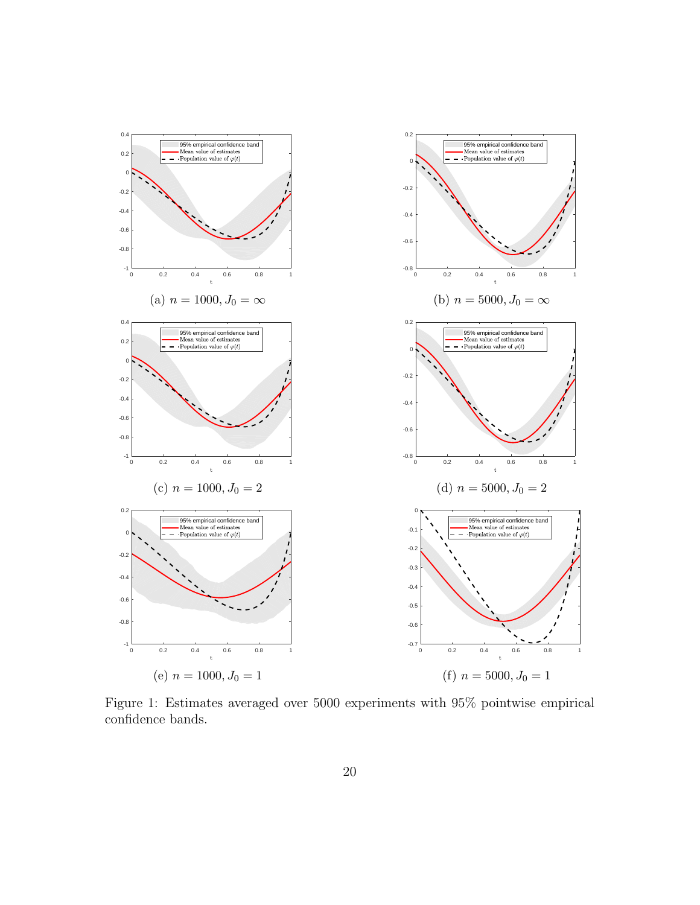<span id="page-19-0"></span>

Figure 1: Estimates averaged over 5000 experiments with 95% pointwise empirical confidence bands.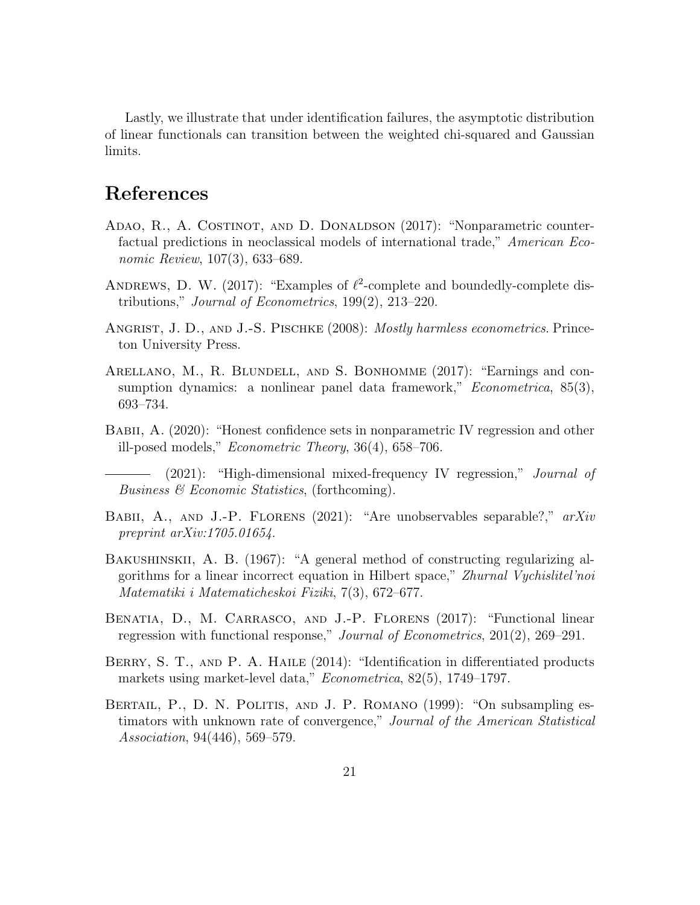Lastly, we illustrate that under identification failures, the asymptotic distribution of linear functionals can transition between the weighted chi-squared and Gaussian limits.

## References

- <span id="page-20-4"></span>Adao, R., A. Costinot, and D. Donaldson (2017): "Nonparametric counterfactual predictions in neoclassical models of international trade," American Economic Review, 107(3), 633–689.
- <span id="page-20-2"></span>ANDREWS, D. W. (2017): "Examples of  $\ell^2$ -complete and boundedly-complete distributions," Journal of Econometrics, 199(2), 213–220.
- <span id="page-20-0"></span>ANGRIST, J. D., AND J.-S. PISCHKE (2008): *Mostly harmless econometrics*. Princeton University Press.
- <span id="page-20-5"></span>Arellano, M., R. Blundell, and S. Bonhomme (2017): "Earnings and consumption dynamics: a nonlinear panel data framework," *Econometrica*, 85(3), 693–734.
- <span id="page-20-1"></span>BABII, A. (2020): "Honest confidence sets in nonparametric IV regression and other ill-posed models," Econometric Theory, 36(4), 658–706.

<span id="page-20-6"></span>(2021): "High-dimensional mixed-frequency IV regression," Journal of Business & Economic Statistics, (forthcoming).

- <span id="page-20-9"></span>BABII, A., AND J.-P. FLORENS (2021): "Are unobservables separable?," arXiv preprint arXiv:1705.01654.
- <span id="page-20-10"></span>BAKUSHINSKII, A. B. (1967): "A general method of constructing regularizing algorithms for a linear incorrect equation in Hilbert space," Zhurnal Vychislitel'noi Matematiki i Matematicheskoi Fiziki, 7(3), 672–677.
- <span id="page-20-7"></span>Benatia, D., M. Carrasco, and J.-P. Florens (2017): "Functional linear regression with functional response," Journal of Econometrics, 201(2), 269–291.
- <span id="page-20-3"></span>BERRY, S. T., AND P. A. HAILE (2014): "Identification in differentiated products markets using market-level data," Econometrica, 82(5), 1749–1797.
- <span id="page-20-8"></span>Bertail, P., D. N. Politis, and J. P. Romano (1999): "On subsampling estimators with unknown rate of convergence," Journal of the American Statistical Association, 94(446), 569–579.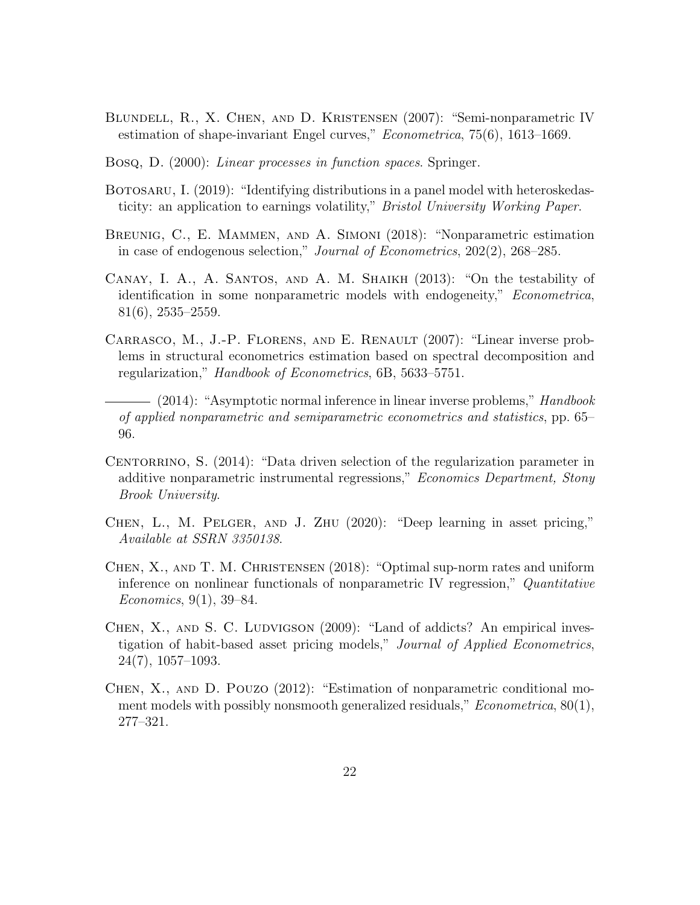- <span id="page-21-3"></span>Blundell, R., X. Chen, and D. Kristensen (2007): "Semi-nonparametric IV estimation of shape-invariant Engel curves," Econometrica, 75(6), 1613–1669.
- <span id="page-21-11"></span>Bosq, D. (2000): Linear processes in function spaces. Springer.
- <span id="page-21-6"></span>BOTOSARU, I. (2019): "Identifying distributions in a panel model with heteroskedasticity: an application to earnings volatility," Bristol University Working Paper.
- <span id="page-21-7"></span>Breunig, C., E. Mammen, and A. Simoni (2018): "Nonparametric estimation in case of endogenous selection," Journal of Econometrics, 202(2), 268–285.
- <span id="page-21-5"></span>Canay, I. A., A. Santos, and A. M. Shaikh (2013): "On the testability of identification in some nonparametric models with endogeneity," *Econometrica*, 81(6), 2535–2559.
- <span id="page-21-0"></span>Carrasco, M., J.-P. Florens, and E. Renault (2007): "Linear inverse problems in structural econometrics estimation based on spectral decomposition and regularization," Handbook of Econometrics, 6B, 5633–5751.
- <span id="page-21-1"></span> $-$  (2014): "Asymptotic normal inference in linear inverse problems," Handbook of applied nonparametric and semiparametric econometrics and statistics, pp. 65– 96.
- <span id="page-21-10"></span>CENTORRINO, S. (2014): "Data driven selection of the regularization parameter in additive nonparametric instrumental regressions," *Economics Department, Stony* Brook University.
- <span id="page-21-9"></span>Chen, L., M. Pelger, and J. Zhu (2020): "Deep learning in asset pricing," Available at SSRN 3350138.
- <span id="page-21-4"></span>Chen, X., and T. M. Christensen (2018): "Optimal sup-norm rates and uniform inference on nonlinear functionals of nonparametric IV regression," Quantitative Economics, 9(1), 39–84.
- <span id="page-21-8"></span>CHEN, X., AND S. C. LUDVIGSON (2009): "Land of addicts? An empirical investigation of habit-based asset pricing models," Journal of Applied Econometrics, 24(7), 1057–1093.
- <span id="page-21-2"></span>Chen, X., and D. Pouzo (2012): "Estimation of nonparametric conditional moment models with possibly nonsmooth generalized residuals,"  $Econometrica$ ,  $80(1)$ , 277–321.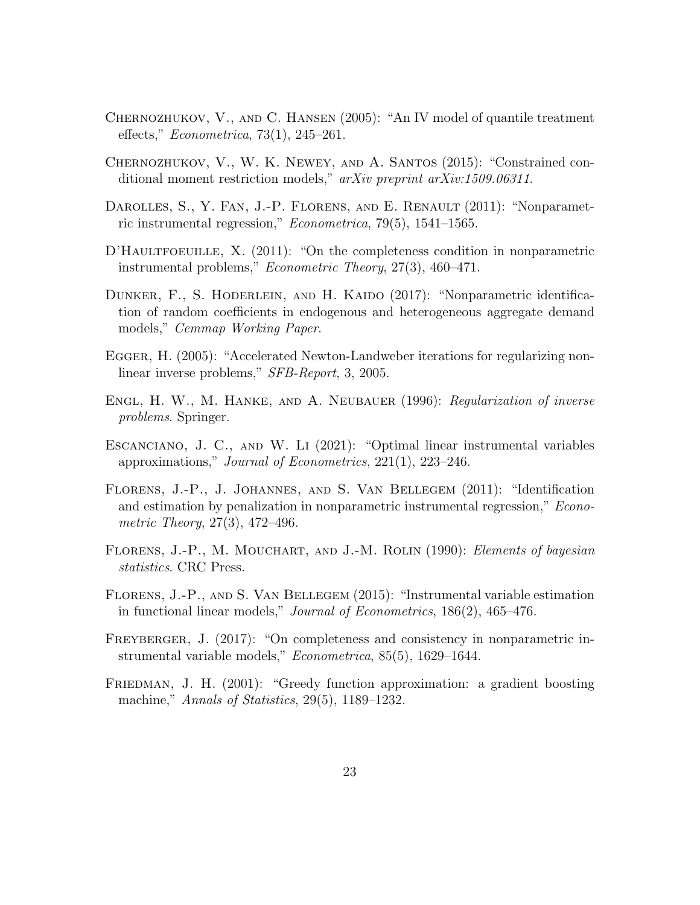- <span id="page-22-9"></span>Chernozhukov, V., and C. Hansen (2005): "An IV model of quantile treatment effects," Econometrica, 73(1), 245–261.
- <span id="page-22-11"></span>Chernozhukov, V., W. K. Newey, and A. Santos (2015): "Constrained conditional moment restriction models," arXiv preprint arXiv:1509.06311.
- <span id="page-22-1"></span>DAROLLES, S., Y. FAN, J.-P. FLORENS, AND E. RENAULT (2011): "Nonparametric instrumental regression," Econometrica, 79(5), 1541–1565.
- <span id="page-22-5"></span>D'HAULTFOEUILLE, X. (2011): "On the completeness condition in nonparametric instrumental problems," Econometric Theory, 27(3), 460–471.
- <span id="page-22-7"></span>DUNKER, F., S. HODERLEIN, AND H. KAIDO (2017): "Nonparametric identification of random coefficients in endogenous and heterogeneous aggregate demand models," Cemmap Working Paper.
- <span id="page-22-12"></span>EGGER, H. (2005): "Accelerated Newton-Landweber iterations for regularizing nonlinear inverse problems," SFB-Report, 3, 2005.
- <span id="page-22-0"></span>Engl, H. W., M. Hanke, and A. Neubauer (1996): Regularization of inverse problems. Springer.
- <span id="page-22-4"></span>Escanciano, J. C., and W. Li (2021): "Optimal linear instrumental variables approximations," Journal of Econometrics, 221(1), 223–246.
- <span id="page-22-2"></span>Florens, J.-P., J. Johannes, and S. Van Bellegem (2011): "Identification and estimation by penalization in nonparametric instrumental regression," *Econo*metric Theory, 27(3), 472–496.
- <span id="page-22-10"></span>FLORENS, J.-P., M. MOUCHART, AND J.-M. ROLIN (1990): *Elements of bayesian* statistics. CRC Press.
- <span id="page-22-8"></span>Florens, J.-P., and S. Van Bellegem (2015): "Instrumental variable estimation in functional linear models," Journal of Econometrics, 186(2), 465–476.
- <span id="page-22-6"></span>FREYBERGER, J. (2017): "On completeness and consistency in nonparametric instrumental variable models," Econometrica, 85(5), 1629–1644.
- <span id="page-22-3"></span>FRIEDMAN, J. H. (2001): "Greedy function approximation: a gradient boosting machine," Annals of Statistics, 29(5), 1189–1232.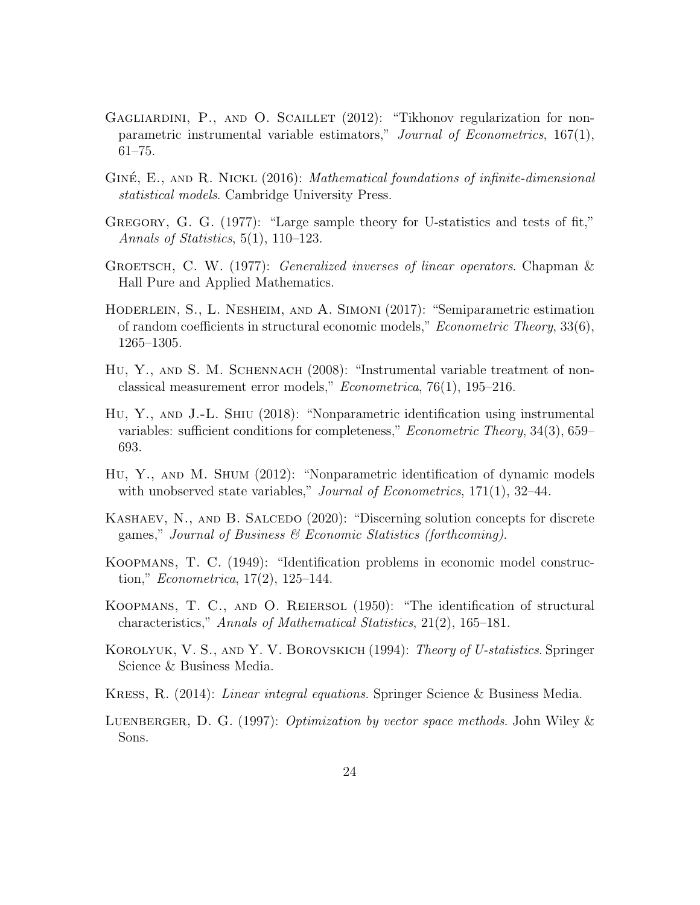- <span id="page-23-2"></span>GAGLIARDINI, P., AND O. SCAILLET (2012): "Tikhonov regularization for nonparametric instrumental variable estimators," Journal of Econometrics, 167(1), 61–75.
- <span id="page-23-10"></span>GINÉ, E., AND R. NICKL  $(2016)$ : *Mathematical foundations of infinite-dimensional* statistical models. Cambridge University Press.
- <span id="page-23-11"></span>GREGORY, G. G. (1977): "Large sample theory for U-statistics and tests of fit," Annals of Statistics,  $5(1)$ ,  $110-123$ .
- <span id="page-23-13"></span>GROETSCH, C. W. (1977): *Generalized inverses of linear operators*. Chapman  $\&$ Hall Pure and Applied Mathematics.
- <span id="page-23-6"></span>Hoderlein, S., L. Nesheim, and A. Simoni (2017): "Semiparametric estimation of random coefficients in structural economic models," Econometric Theory, 33(6), 1265–1305.
- <span id="page-23-4"></span>HU, Y., AND S. M. SCHENNACH (2008): "Instrumental variable treatment of nonclassical measurement error models," Econometrica, 76(1), 195–216.
- <span id="page-23-3"></span>Hu, Y., and J.-L. Shiu (2018): "Nonparametric identification using instrumental variables: sufficient conditions for completeness," Econometric Theory, 34(3), 659– 693.
- <span id="page-23-5"></span>Hu, Y., and M. Shum (2012): "Nonparametric identification of dynamic models with unobserved state variables," *Journal of Econometrics*,  $171(1)$ ,  $32-44$ .
- <span id="page-23-7"></span>KASHAEV, N., AND B. SALCEDO (2020): "Discerning solution concepts for discrete games," Journal of Business  $\mathcal C$  Economic Statistics (forthcoming).
- <span id="page-23-0"></span>Koopmans, T. C. (1949): "Identification problems in economic model construction," *Econometrica*, 17(2), 125–144.
- <span id="page-23-1"></span>Koopmans, T. C., and O. Reiersol (1950): "The identification of structural characteristics," Annals of Mathematical Statistics, 21(2), 165–181.
- <span id="page-23-12"></span>KOROLYUK, V. S., AND Y. V. BOROVSKICH (1994): *Theory of U-statistics*. Springer Science & Business Media.
- <span id="page-23-9"></span>Kress, R. (2014): Linear integral equations. Springer Science & Business Media.
- <span id="page-23-8"></span>LUENBERGER, D. G. (1997): *Optimization by vector space methods*. John Wiley  $\&$ Sons.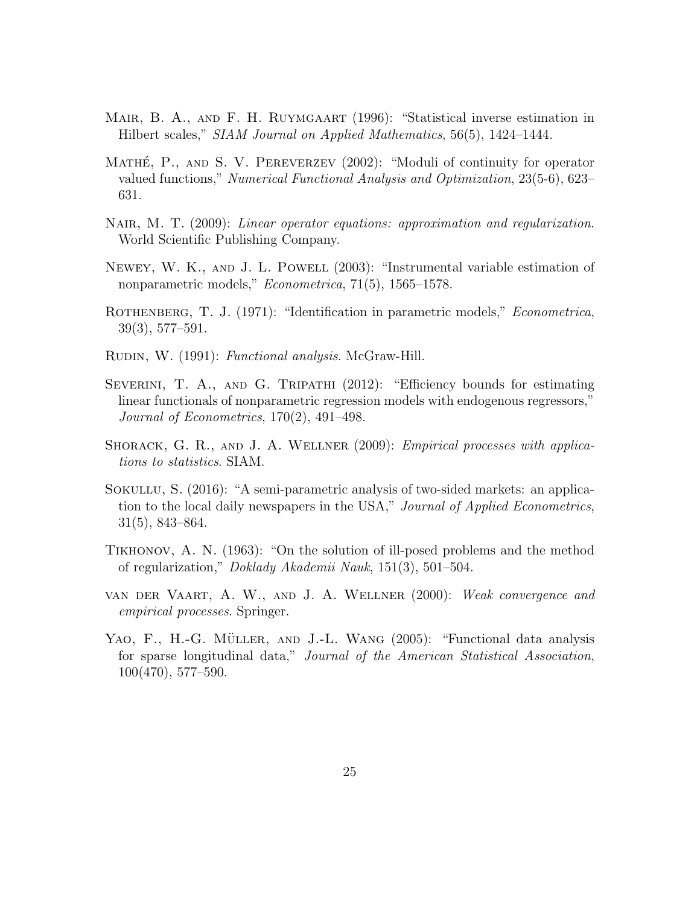- <span id="page-24-5"></span>MAIR, B. A., AND F. H. RUYMGAART (1996): "Statistical inverse estimation in Hilbert scales," SIAM Journal on Applied Mathematics, 56(5), 1424–1444.
- <span id="page-24-9"></span>MATHÉ,  $P_{\cdot}$ , AND S. V. PEREVERZEV (2002): "Moduli of continuity for operator valued functions," Numerical Functional Analysis and Optimization, 23(5-6), 623– 631.
- <span id="page-24-10"></span>NAIR, M. T. (2009): Linear operator equations: approximation and regularization. World Scientific Publishing Company.
- <span id="page-24-3"></span>NEWEY, W. K., AND J. L. POWELL (2003): "Instrumental variable estimation of nonparametric models," *Econometrica*, 71(5), 1565–1578.
- <span id="page-24-0"></span>ROTHENBERG, T. J. (1971): "Identification in parametric models," *Econometrica*, 39(3), 577–591.
- <span id="page-24-8"></span>RUDIN, W. (1991): Functional analysis. McGraw-Hill.
- <span id="page-24-7"></span>Severini, T. A., and G. Tripathi (2012): "Efficiency bounds for estimating linear functionals of nonparametric regression models with endogenous regressors," Journal of Econometrics, 170(2), 491–498.
- <span id="page-24-11"></span>SHORACK, G. R., AND J. A. WELLNER (2009): *Empirical processes with applica*tions to statistics. SIAM.
- <span id="page-24-4"></span>SOKULLU, S. (2016): "A semi-parametric analysis of two-sided markets: an application to the local daily newspapers in the USA," Journal of Applied Econometrics, 31(5), 843–864.
- <span id="page-24-1"></span>Tikhonov, A. N. (1963): "On the solution of ill-posed problems and the method of regularization," Doklady Akademii Nauk, 151(3), 501–504.
- <span id="page-24-6"></span>van der Vaart, A. W., and J. A. Wellner (2000): Weak convergence and empirical processes. Springer.
- <span id="page-24-2"></span>YAO, F., H.-G. MÜLLER, AND J.-L. WANG (2005): "Functional data analysis for sparse longitudinal data," Journal of the American Statistical Association, 100(470), 577–590.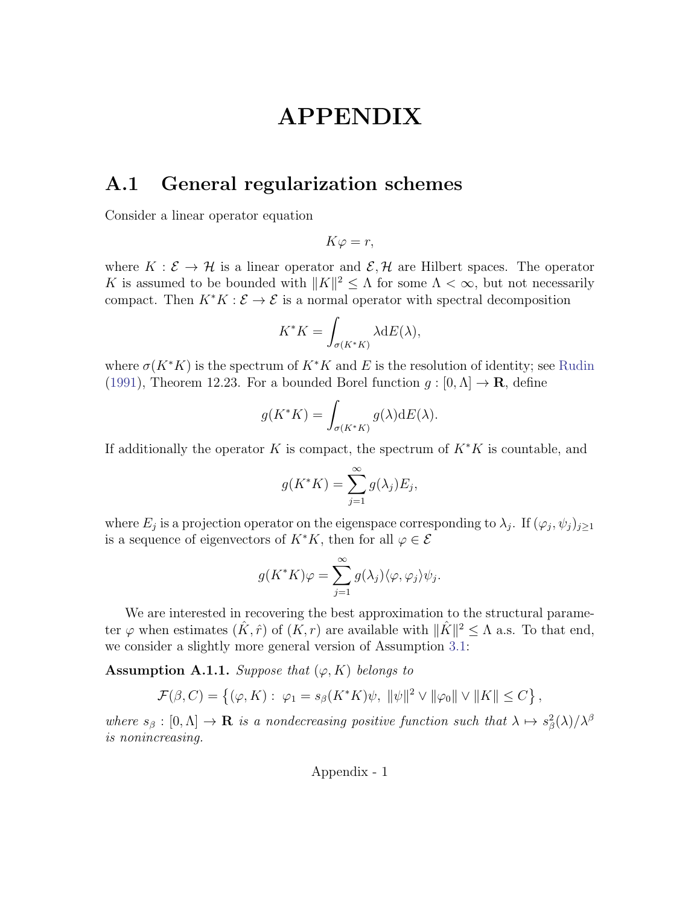# APPENDIX

## A.1 General regularization schemes

Consider a linear operator equation

 $K\varphi = r$ ,

where  $K : \mathcal{E} \to \mathcal{H}$  is a linear operator and  $\mathcal{E}, \mathcal{H}$  are Hilbert spaces. The operator K is assumed to be bounded with  $||K||^2 \leq \Lambda$  for some  $\Lambda < \infty$ , but not necessarily compact. Then  $K^*K : \mathcal{E} \to \mathcal{E}$  is a normal operator with spectral decomposition

$$
K^*K = \int_{\sigma(K^*K)} \lambda \mathrm{d}E(\lambda),
$$

where  $\sigma(K^*K)$  is the spectrum of  $K^*K$  and E is the resolution of identity; see [Rudin](#page-24-8) [\(1991\)](#page-24-8), Theorem 12.23. For a bounded Borel function  $q : [0, \Lambda] \to \mathbf{R}$ , define

$$
g(K^*K) = \int_{\sigma(K^*K)} g(\lambda) dE(\lambda).
$$

If additionally the operator K is compact, the spectrum of  $K^*K$  is countable, and

$$
g(K^*K) = \sum_{j=1}^{\infty} g(\lambda_j) E_j,
$$

where  $E_j$  is a projection operator on the eigenspace corresponding to  $\lambda_j$ . If  $(\varphi_j, \psi_j)_{j \geq 1}$ is a sequence of eigenvectors of  $K^*K$ , then for all  $\varphi \in \mathcal{E}$ 

$$
g(K^*K)\varphi = \sum_{j=1}^{\infty} g(\lambda_j) \langle \varphi, \varphi_j \rangle \psi_j.
$$

We are interested in recovering the best approximation to the structural parameter  $\varphi$  when estimates  $(\hat{K}, \hat{r})$  of  $(\tilde{K}, r)$  are available with  $\|\hat{K}\|^2 \leq \Lambda$  a.s. To that end, we consider a slightly more general version of Assumption [3.1:](#page-7-1)

<span id="page-25-0"></span>**Assumption A.1.1.** Suppose that  $(\varphi, K)$  belongs to

$$
\mathcal{F}(\beta, C) = \left\{ (\varphi, K) : \varphi_1 = s_\beta(K^*K)\psi, \ \|\psi\|^2 \vee \|\varphi_0\| \vee \|K\| \le C \right\},\
$$

where  $s_\beta : [0, \Lambda] \to \mathbf{R}$  is a nondecreasing positive function such that  $\lambda \mapsto s_\beta^2(\lambda)/\lambda^\beta$ is nonincreasing.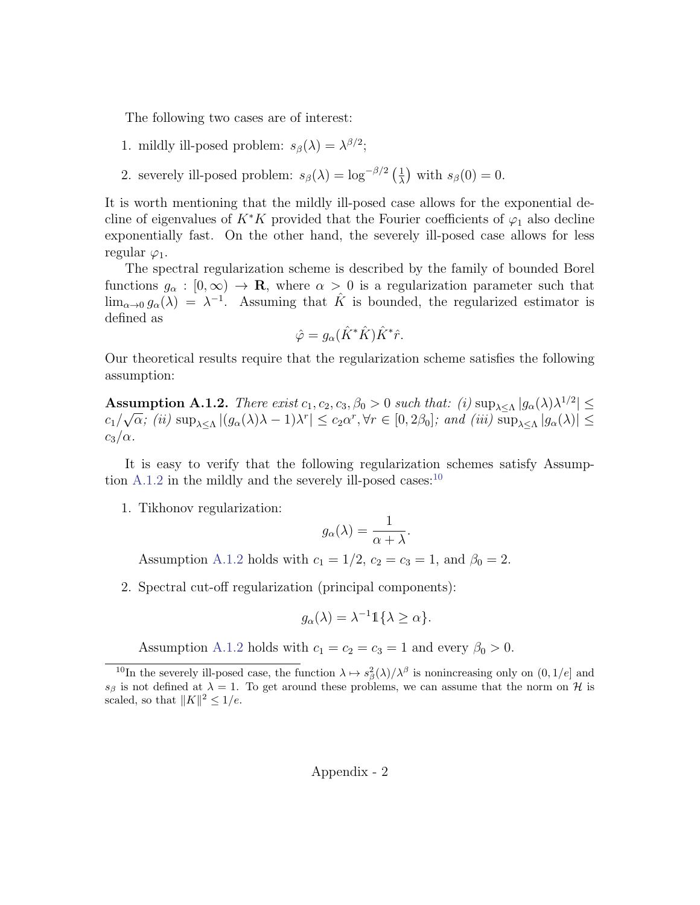The following two cases are of interest:

- 1. mildly ill-posed problem:  $s_{\beta}(\lambda) = \lambda^{\beta/2}$ ;
- 2. severely ill-posed problem:  $s_{\beta}(\lambda) = \log^{-\beta/2} \left(\frac{1}{\lambda}\right)$  $\frac{1}{\lambda}$ ) with  $s_{\beta}(0) = 0$ .

It is worth mentioning that the mildly ill-posed case allows for the exponential decline of eigenvalues of K<sup>∗</sup>K provided that the Fourier coefficients of  $\varphi_1$  also decline exponentially fast. On the other hand, the severely ill-posed case allows for less regular  $\varphi_1$ .

The spectral regularization scheme is described by the family of bounded Borel functions  $g_{\alpha} : [0, \infty) \to \mathbf{R}$ , where  $\alpha > 0$  is a regularization parameter such that  $\lim_{\alpha\to 0} g_{\alpha}(\lambda) = \lambda^{-1}$ . Assuming that  $\hat{K}$  is bounded, the regularized estimator is defined as

$$
\hat{\varphi} = g_{\alpha}(\hat{K}^*\hat{K})\hat{K}^*\hat{r}.
$$

Our theoretical results require that the regularization scheme satisfies the following assumption:

<span id="page-26-0"></span>Assumption A.1.2. There exist  $c_1, c_2, c_3, \beta_0 > 0$  such that:  $(i) \sup_{\lambda \leq \Lambda} |g_\alpha(\lambda)\lambda^{1/2}| \leq$  $c_1/$ √  $\overline{\alpha}$ ; (ii)  $\sup_{\lambda \leq \Lambda} |(g_{\alpha}(\lambda)\lambda - 1)\lambda^{r}| \leq c_2\alpha^{r}, \forall r \in [0, 2\beta_0]$ ; and (iii)  $\sup_{\lambda \leq \Lambda} |g_{\alpha}(\lambda)| \leq$  $c_3/\alpha$ .

It is easy to verify that the following regularization schemes satisfy Assumption  $A.1.2$  in the mildly and the severely ill-posed cases:<sup>[10](#page-26-1)</sup>

1. Tikhonov regularization:

$$
g_{\alpha}(\lambda) = \frac{1}{\alpha + \lambda}.
$$

Assumption [A.1.2](#page-26-0) holds with  $c_1 = 1/2$ ,  $c_2 = c_3 = 1$ , and  $\beta_0 = 2$ .

2. Spectral cut-off regularization (principal components):

$$
g_{\alpha}(\lambda) = \lambda^{-1} \mathbb{1}\{\lambda \geq \alpha\}.
$$

Assumption [A.1.2](#page-26-0) holds with  $c_1 = c_2 = c_3 = 1$  and every  $\beta_0 > 0$ .

<span id="page-26-1"></span><sup>&</sup>lt;sup>10</sup>In the severely ill-posed case, the function  $\lambda \mapsto s_\beta^2(\lambda)/\lambda^\beta$  is nonincreasing only on  $(0, 1/e]$  and  $s_{\beta}$  is not defined at  $\lambda = 1$ . To get around these problems, we can assume that the norm on H is scaled, so that  $||K||^2 \leq 1/e$ .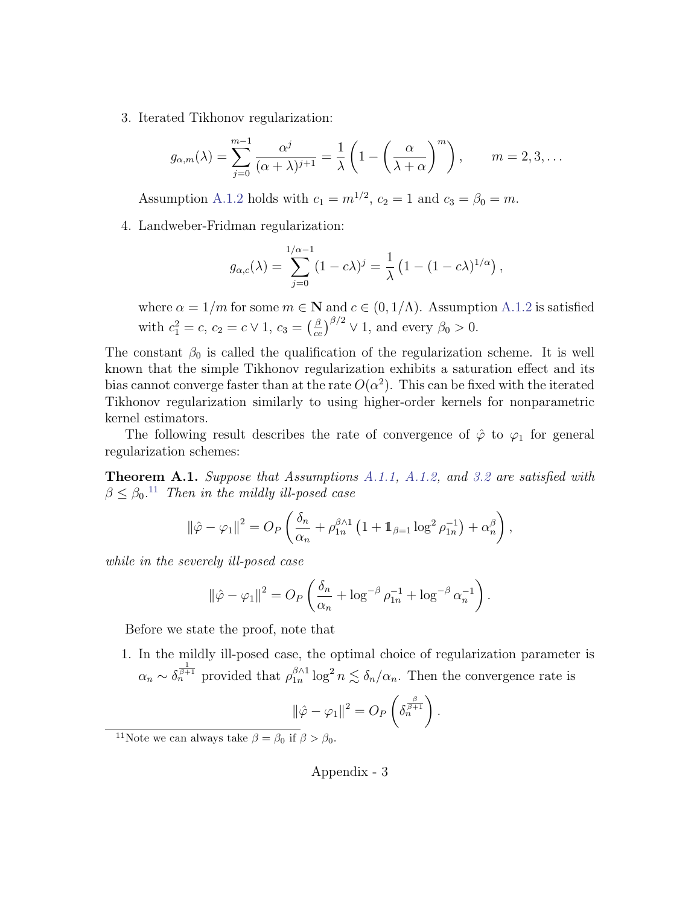3. Iterated Tikhonov regularization:

$$
g_{\alpha,m}(\lambda) = \sum_{j=0}^{m-1} \frac{\alpha^j}{(\alpha+\lambda)^{j+1}} = \frac{1}{\lambda} \left( 1 - \left( \frac{\alpha}{\lambda+\alpha} \right)^m \right), \qquad m = 2, 3, \dots
$$

Assumption [A.1.2](#page-26-0) holds with  $c_1 = m^{1/2}$ ,  $c_2 = 1$  and  $c_3 = \beta_0 = m$ .

4. Landweber-Fridman regularization:

$$
g_{\alpha,c}(\lambda) = \sum_{j=0}^{1/\alpha - 1} (1 - c\lambda)^j = \frac{1}{\lambda} (1 - (1 - c\lambda)^{1/\alpha}),
$$

where  $\alpha = 1/m$  for some  $m \in \mathbb{N}$  and  $c \in (0, 1/\Lambda)$ . Assumption [A.1.2](#page-26-0) is satisfied with  $c_1^2 = c, c_2 = c \vee 1, c_3 = \left(\frac{\beta}{ce}\right)^{\beta/2} \vee 1$ , and every  $\beta_0 > 0$ .

The constant  $\beta_0$  is called the qualification of the regularization scheme. It is well known that the simple Tikhonov regularization exhibits a saturation effect and its bias cannot converge faster than at the rate  $O(\alpha^2)$ . This can be fixed with the iterated Tikhonov regularization similarly to using higher-order kernels for nonparametric kernel estimators.

The following result describes the rate of convergence of  $\hat{\varphi}$  to  $\varphi_1$  for general regularization schemes:

<span id="page-27-1"></span>Theorem A.1. Suppose that Assumptions [A.1.1,](#page-25-0) [A.1.2,](#page-26-0) and [3.2](#page-8-0) are satisfied with  $\beta \leq \beta_0$ .<sup>[11](#page-27-0)</sup> Then in the mildly ill-posed case

$$
\|\hat{\varphi}-\varphi_1\|^2=O_P\left(\frac{\delta_n}{\alpha_n}+\rho_{1n}^{\beta\wedge 1}\left(1+\mathbb{1}_{\beta=1}\log^2\rho_{1n}^{-1}\right)+\alpha_n^{\beta}\right),\,
$$

while in the severely ill-posed case

$$
\|\hat{\varphi} - \varphi_1\|^2 = O_P\left(\frac{\delta_n}{\alpha_n} + \log^{-\beta}\rho_{1n}^{-1} + \log^{-\beta}\alpha_n^{-1}\right).
$$

Before we state the proof, note that

1. In the mildly ill-posed case, the optimal choice of regularization parameter is  $\alpha_n \sim \delta_n^{\frac{1}{\beta+1}}$  provided that  $\rho_{1n}^{\beta \wedge 1}$  $\int_{1n}^{\beta \wedge 1} \log^2 n \lesssim \delta_n/\alpha_n$ . Then the convergence rate is

$$
\|\hat{\varphi} - \varphi_1\|^2 = O_P\left(\delta_n^{\frac{\beta}{\beta+1}}\right).
$$

<span id="page-27-0"></span><sup>&</sup>lt;sup>11</sup>Note we can always take  $\beta = \beta_0$  if  $\beta > \beta_0$ .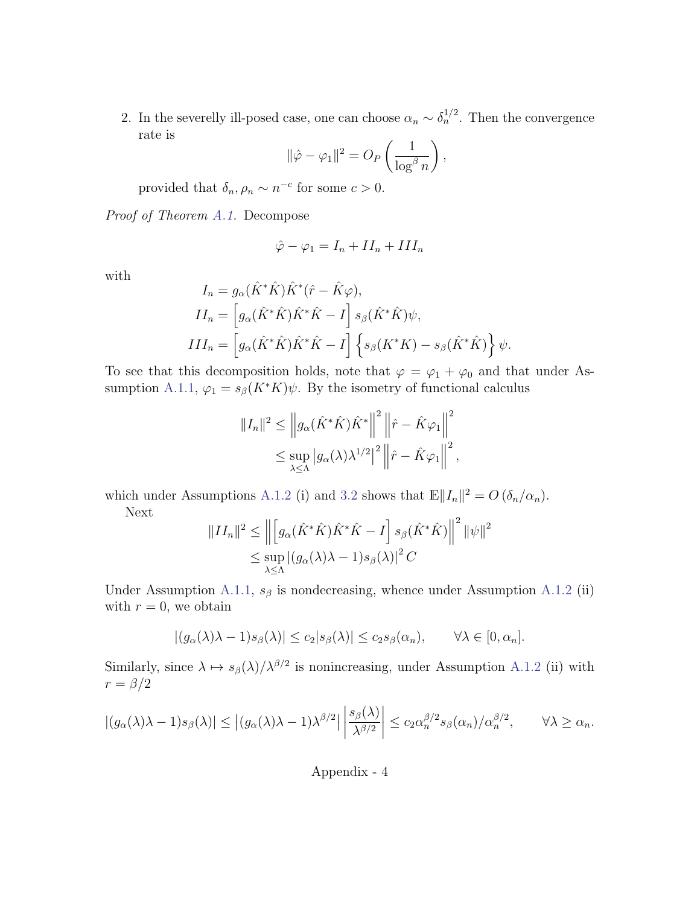2. In the severelly ill-posed case, one can choose  $\alpha_n \sim \delta_n^{1/2}$ . Then the convergence rate is

$$
\|\hat{\varphi} - \varphi_1\|^2 = O_P\left(\frac{1}{\log^\beta n}\right),\,
$$

provided that  $\delta_n, \rho_n \sim n^{-c}$  for some  $c > 0$ .

Proof of Theorem [A.1.](#page-27-1) Decompose

$$
\hat{\varphi} - \varphi_1 = I_n + II_n + III_n
$$

with

$$
I_n = g_\alpha(\hat{K}^*\hat{K})\hat{K}^*(\hat{r} - \hat{K}\varphi),
$$
  
\n
$$
II_n = \left[g_\alpha(\hat{K}^*\hat{K})\hat{K}^*\hat{K} - I\right]s_\beta(\hat{K}^*\hat{K})\psi,
$$
  
\n
$$
III_n = \left[g_\alpha(\hat{K}^*\hat{K})\hat{K}^*\hat{K} - I\right] \left\{s_\beta(K^*K) - s_\beta(\hat{K}^*\hat{K})\right\}\psi.
$$

To see that this decomposition holds, note that  $\varphi = \varphi_1 + \varphi_0$  and that under As-sumption [A.1.1,](#page-25-0)  $\varphi_1 = s_\beta(K^*K)\psi$ . By the isometry of functional calculus

$$
||I_n||^2 \le ||g_\alpha(\hat{K}^*\hat{K})\hat{K}^*||^2 ||\hat{r} - \hat{K}\varphi_1||^2
$$
  

$$
\le \sup_{\lambda \le \Lambda} |g_\alpha(\lambda)\lambda^{1/2}|^2 ||\hat{r} - \hat{K}\varphi_1||^2,
$$

which under Assumptions [A.1.2](#page-26-0) (i) and [3.2](#page-8-0) shows that  $\mathbb{E} ||I_n||^2 = O(\delta_n/\alpha_n)$ . Next

$$
||II_n||^2 \le ||\left[g_\alpha(\hat{K}^*\hat{K})\hat{K}^*\hat{K} - I\right]s_\beta(\hat{K}^*\hat{K})||^2 ||\psi||^2
$$
  

$$
\le \sup_{\lambda \le \Lambda} |(g_\alpha(\lambda)\lambda - 1)s_\beta(\lambda)|^2 C
$$

Under Assumption [A.1.1,](#page-25-0)  $s_\beta$  is nondecreasing, whence under Assumption [A.1.2](#page-26-0) (ii) with  $r = 0$ , we obtain

$$
|(g_{\alpha}(\lambda)\lambda - 1)s_{\beta}(\lambda)| \leq c_2|s_{\beta}(\lambda)| \leq c_2s_{\beta}(\alpha_n), \qquad \forall \lambda \in [0, \alpha_n].
$$

Similarly, since  $\lambda \mapsto s_\beta(\lambda)/\lambda^{\beta/2}$  is nonincreasing, under Assumption [A.1.2](#page-26-0) (ii) with  $r = \beta/2$ 

$$
|(g_{\alpha}(\lambda)\lambda - 1)s_{\beta}(\lambda)| \le |(g_{\alpha}(\lambda)\lambda - 1)\lambda^{\beta/2}| \left| \frac{s_{\beta}(\lambda)}{\lambda^{\beta/2}} \right| \le c_2 \alpha_n^{\beta/2} s_{\beta}(\alpha_n) / \alpha_n^{\beta/2}, \qquad \forall \lambda \ge \alpha_n.
$$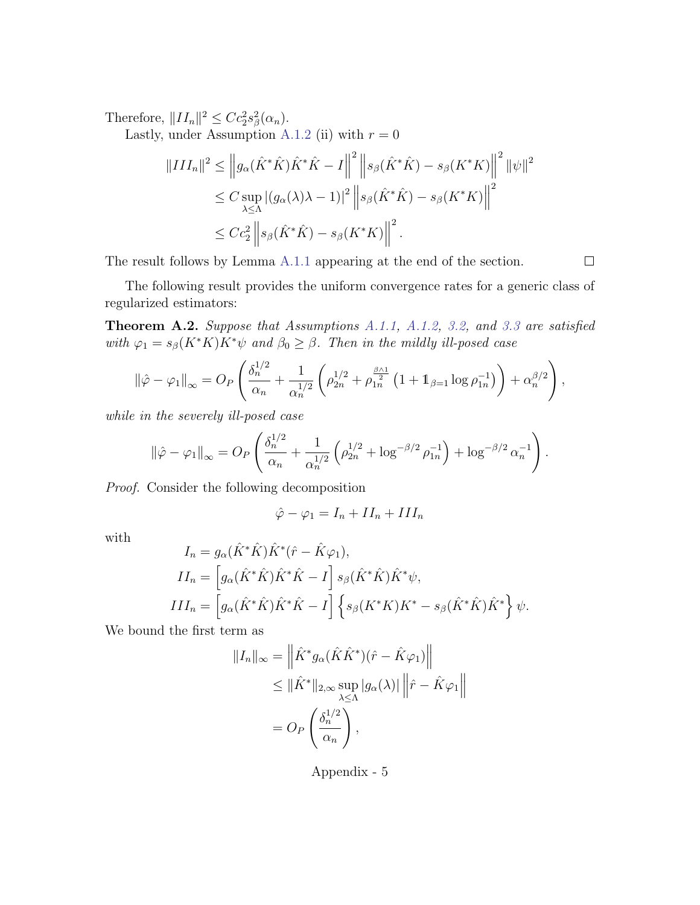Therefore,  $||II_n||^2 \leq Cc_2^2 s_\beta^2(\alpha_n)$ .

Lastly, under Assumption [A.1.2](#page-26-0) (ii) with  $r = 0$ 

$$
||III_n||^2 \le ||g_\alpha(\hat{K}^*\hat{K})\hat{K}^*\hat{K} - I||^2 ||s_\beta(\hat{K}^*\hat{K}) - s_\beta(K^*K)||^2 ||\psi||^2
$$
  
\n
$$
\le C \sup_{\lambda \le \Lambda} |(g_\alpha(\lambda)\lambda - 1)|^2 ||s_\beta(\hat{K}^*\hat{K}) - s_\beta(K^*K)||^2
$$
  
\n
$$
\le Cc_2^2 ||s_\beta(\hat{K}^*\hat{K}) - s_\beta(K^*K)||^2.
$$

The result follows by Lemma [A.1.1](#page-30-0) appearing at the end of the section.

 $\Box$ 

The following result provides the uniform convergence rates for a generic class of regularized estimators:

Theorem A.2. Suppose that Assumptions [A.1.1,](#page-25-0) [A.1.2,](#page-26-0) [3.2,](#page-8-0) and [3.3](#page-9-0) are satisfied with  $\varphi_1 = s_\beta(K^*K)K^*\psi$  and  $\beta_0 \geq \beta$ . Then in the mildly ill-posed case

$$
\|\hat{\varphi} - \varphi_1\|_{\infty} = O_P\left(\frac{\delta_n^{1/2}}{\alpha_n} + \frac{1}{\alpha_n^{1/2}} \left(\rho_{2n}^{1/2} + \rho_{1n}^{\frac{\beta \wedge 1}{2}} \left(1 + 1_{\beta=1} \log \rho_{1n}^{-1}\right)\right) + \alpha_n^{\beta/2}\right),\,
$$

while in the severely ill-posed case

$$
\|\hat{\varphi} - \varphi_1\|_{\infty} = O_P\left(\frac{\delta_n^{1/2}}{\alpha_n} + \frac{1}{\alpha_n^{1/2}} \left(\rho_{2n}^{1/2} + \log^{-\beta/2} \rho_{1n}^{-1}\right) + \log^{-\beta/2} \alpha_n^{-1}\right).
$$

Proof. Consider the following decomposition

$$
\hat{\varphi} - \varphi_1 = I_n + II_n + III_n
$$

with

$$
I_n = g_\alpha(\hat{K}^*\hat{K})\hat{K}^*(\hat{r} - \hat{K}\varphi_1),
$$
  
\n
$$
II_n = \left[g_\alpha(\hat{K}^*\hat{K})\hat{K}^*\hat{K} - I\right]s_\beta(\hat{K}^*\hat{K})\hat{K}^*\psi,
$$
  
\n
$$
III_n = \left[g_\alpha(\hat{K}^*\hat{K})\hat{K}^*\hat{K} - I\right]\left\{s_\beta(K^*K)K^* - s_\beta(\hat{K}^*\hat{K})\hat{K}^*\right\}\psi.
$$

We bound the first term as

$$
||I_n||_{\infty} = \left\| \hat{K}^* g_{\alpha} (\hat{K} \hat{K}^*) (\hat{r} - \hat{K} \varphi_1) \right\|
$$
  
\n
$$
\leq ||\hat{K}^*||_{2, \infty} \sup_{\lambda \leq \Lambda} |g_{\alpha}(\lambda)| ||\hat{r} - \hat{K} \varphi_1||
$$
  
\n
$$
= O_P \left( \frac{\delta_n^{1/2}}{\alpha_n} \right),
$$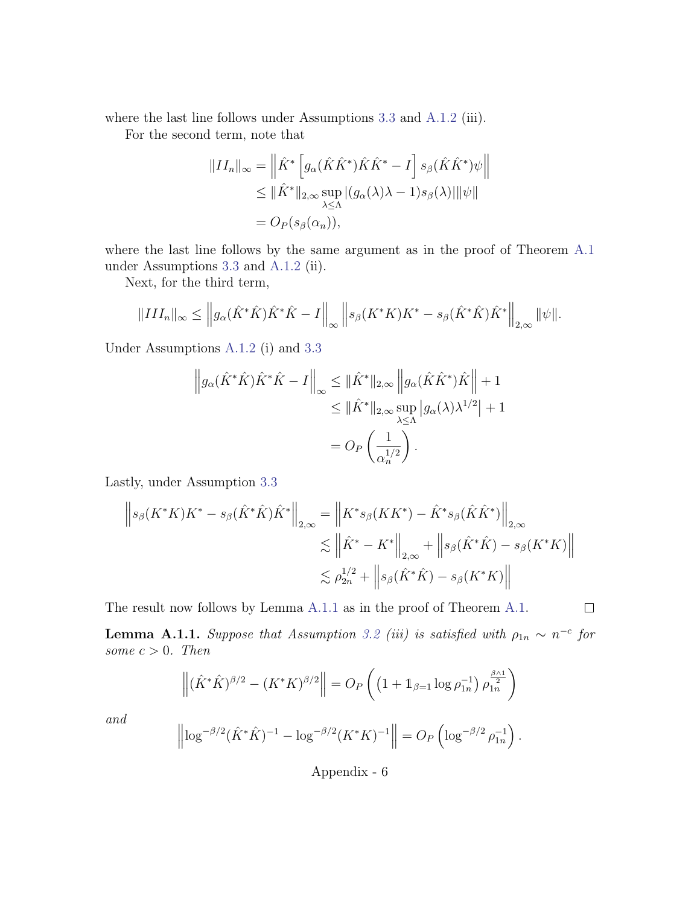where the last line follows under Assumptions [3.3](#page-9-0) and [A.1.2](#page-26-0) (iii).

For the second term, note that

$$
||II_n||_{\infty} = \left\| \hat{K}^* \left[ g_{\alpha}(\hat{K}\hat{K}^*)\hat{K}\hat{K}^* - I \right] s_{\beta}(\hat{K}\hat{K}^*)\psi \right\|
$$
  
\n
$$
\leq ||\hat{K}^*||_{2,\infty} \sup_{\lambda \leq \Lambda} |(g_{\alpha}(\lambda)\lambda - 1)s_{\beta}(\lambda)| ||\psi||
$$
  
\n
$$
= O_P(s_{\beta}(\alpha_n)),
$$

where the last line follows by the same argument as in the proof of Theorem [A.1](#page-27-1) under Assumptions [3.3](#page-9-0) and [A.1.2](#page-26-0) (ii).

Next, for the third term,

$$
||III_n||_{\infty} \leq \left||g_{\alpha}(\hat{K}^*\hat{K})\hat{K}^*\hat{K} - I\right||_{\infty} \left||s_{\beta}(K^*K)K^* - s_{\beta}(\hat{K}^*\hat{K})\hat{K}^*\right||_{2,\infty} ||\psi||.
$$

Under Assumptions [A.1.2](#page-26-0) (i) and [3.3](#page-9-0)

$$
\left\| g_{\alpha}(\hat{K}^*\hat{K})\hat{K}^*\hat{K} - I \right\|_{\infty} \leq \|\hat{K}^*\|_{2,\infty} \left\| g_{\alpha}(\hat{K}\hat{K}^*)\hat{K} \right\| + 1
$$
  

$$
\leq \|\hat{K}^*\|_{2,\infty} \sup_{\lambda \leq \Lambda} |g_{\alpha}(\lambda)\lambda^{1/2}| + 1
$$
  

$$
= O_P\left(\frac{1}{\alpha_n^{1/2}}\right).
$$

Lastly, under Assumption [3.3](#page-9-0)

$$
\|s_{\beta}(K^*K)K^* - s_{\beta}(\hat{K}^*\hat{K})\hat{K}^*\|_{2,\infty} = \|K^*s_{\beta}(KK^*) - \hat{K}^*s_{\beta}(\hat{K}\hat{K}^*)\|_{2,\infty} \n\lesssim \|\hat{K}^* - K^*\|_{2,\infty} + \|s_{\beta}(\hat{K}^*\hat{K}) - s_{\beta}(K^*K)\| \n\lesssim \rho_{2n}^{1/2} + \|s_{\beta}(\hat{K}^*\hat{K}) - s_{\beta}(K^*K)\|
$$

The result now follows by Lemma [A.1.1](#page-30-0) as in the proof of Theorem [A.1.](#page-27-1)

<span id="page-30-0"></span>**Lemma A.1.1.** Suppose that Assumption [3.2](#page-8-0) (iii) is satisfied with  $\rho_{1n} \sim n^{-c}$  for some  $c > 0$ . Then

 $\Box$ 

$$
\left\| (\hat{K}^* \hat{K})^{\beta/2} - (K^* K)^{\beta/2} \right\| = O_P \left( \left( 1 + \mathbb{1}_{\beta=1} \log \rho_{1n}^{-1} \right) \rho_{1n}^{\frac{\beta \wedge 1}{2}} \right)
$$

and

$$
\left\| \log^{-\beta/2} (\hat{K}^* \hat{K})^{-1} - \log^{-\beta/2} (K^* K)^{-1} \right\| = O_P \left( \log^{-\beta/2} \rho_{1n}^{-1} \right).
$$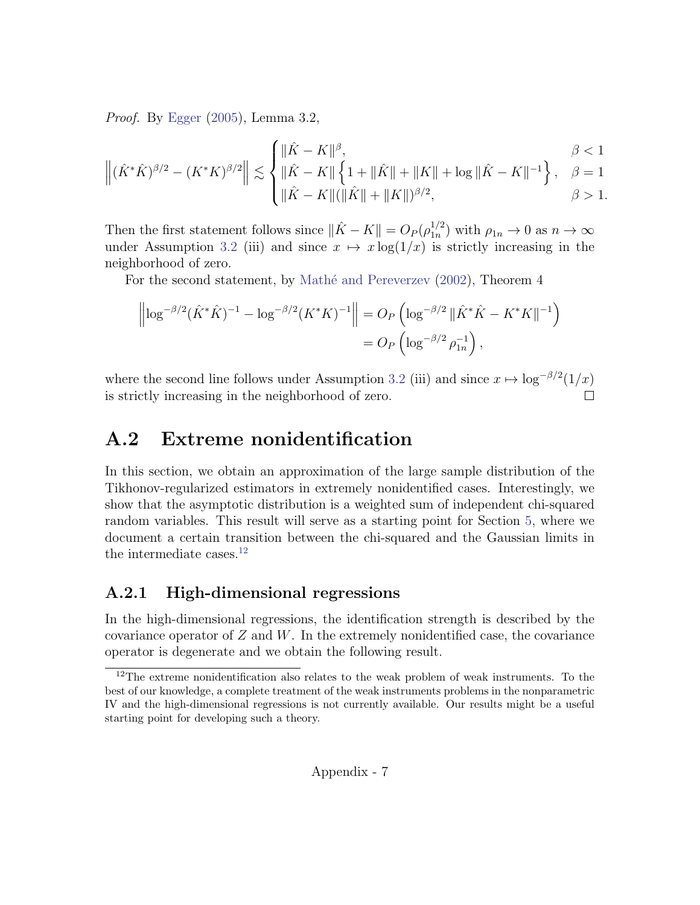Proof. By [Egger](#page-22-12) [\(2005\)](#page-22-12), Lemma 3.2,

$$
\left\| (\hat{K}^* \hat{K})^{\beta/2} - (K^* K)^{\beta/2} \right\| \lesssim \begin{cases} \|\hat{K} - K\|^{\beta}, & \beta < 1 \\ \|\hat{K} - K\| \left\{ 1 + \|\hat{K}\| + \|K\| + \log \|\hat{K} - K\|^{-1} \right\}, & \beta = 1 \\ \|\hat{K} - K\| (\|\hat{K}\| + \|K\|)^{\beta/2}, & \beta > 1. \end{cases}
$$

Then the first statement follows since  $\|\hat{K} - K\| = O_P (\rho_{1n}^{1/2})$  $\binom{1/2}{1n}$  with  $\rho_{1n} \to 0$  as  $n \to \infty$ under Assumption [3.2](#page-8-0) (iii) and since  $x \mapsto x \log(1/x)$  is strictly increasing in the neighborhood of zero.

For the second statement, by Mathé and Pereverzev [\(2002\)](#page-24-9), Theorem 4

$$
\left\| \log^{-\beta/2} (\hat{K}^* \hat{K})^{-1} - \log^{-\beta/2} (K^* K)^{-1} \right\| = O_P \left( \log^{-\beta/2} \|\hat{K}^* \hat{K} - K^* K\|^{-1} \right)
$$
  
=  $O_P \left( \log^{-\beta/2} \rho_{1n}^{-1} \right),$ 

where the second line follows under Assumption [3.2](#page-8-0) (iii) and since  $x \mapsto \log^{-\beta/2}(1/x)$ is strictly increasing in the neighborhood of zero.

## A.2 Extreme nonidentification

In this section, we obtain an approximation of the large sample distribution of the Tikhonov-regularized estimators in extremely nonidentified cases. Interestingly, we show that the asymptotic distribution is a weighted sum of independent chi-squared random variables. This result will serve as a starting point for Section [5,](#page-14-0) where we document a certain transition between the chi-squared and the Gaussian limits in the intermediate cases. $^{12}$  $^{12}$  $^{12}$ 

### A.2.1 High-dimensional regressions

In the high-dimensional regressions, the identification strength is described by the covariance operator of  $Z$  and  $W$ . In the extremely nonidentified case, the covariance operator is degenerate and we obtain the following result.

<span id="page-31-0"></span><sup>&</sup>lt;sup>12</sup>The extreme nonidentification also relates to the weak problem of weak instruments. To the best of our knowledge, a complete treatment of the weak instruments problems in the nonparametric IV and the high-dimensional regressions is not currently available. Our results might be a useful starting point for developing such a theory.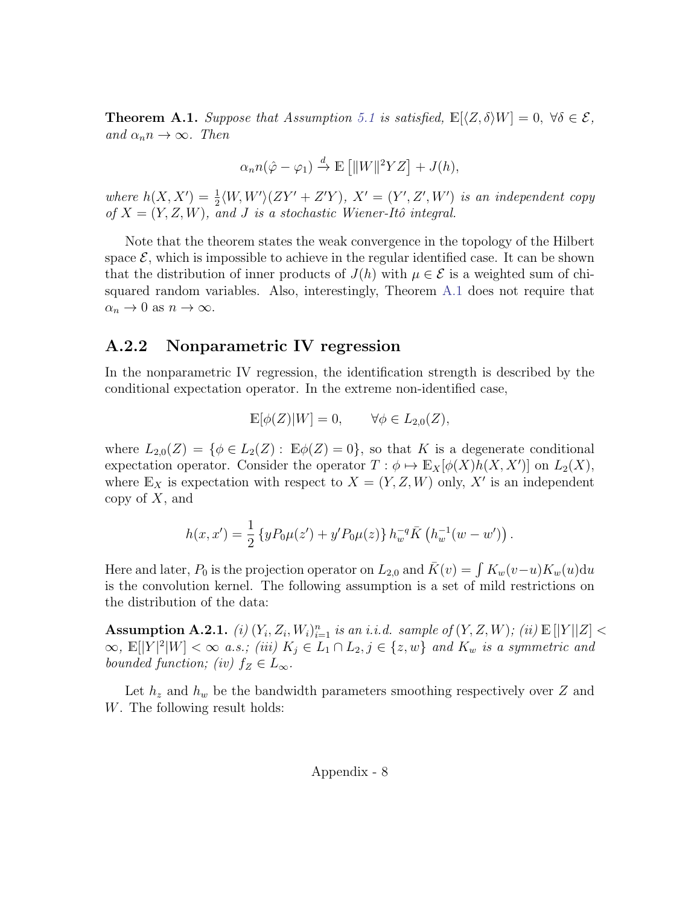<span id="page-32-0"></span>**Theorem A.1.** Suppose that Assumption [5.1](#page-15-0) is satisfied,  $\mathbb{E}[\langle Z, \delta \rangle W] = 0$ ,  $\forall \delta \in \mathcal{E}$ , and  $\alpha_n n \to \infty$ . Then

$$
\alpha_n n(\hat{\varphi} - \varphi_1) \stackrel{d}{\to} \mathbb{E} \left[ ||W||^2 YZ \right] + J(h),
$$

where  $h(X, X') = \frac{1}{2} \langle W, W' \rangle (ZY' + Z'Y), X' = (Y', Z', W')$  is an independent copy of  $X = (Y, Z, W)$ , and J is a stochastic Wiener-Itô integral.

Note that the theorem states the weak convergence in the topology of the Hilbert space  $\mathcal{E}$ , which is impossible to achieve in the regular identified case. It can be shown that the distribution of inner products of  $J(h)$  with  $\mu \in \mathcal{E}$  is a weighted sum of chisquared random variables. Also, interestingly, Theorem [A.1](#page-32-0) does not require that  $\alpha_n \to 0$  as  $n \to \infty$ .

#### A.2.2 Nonparametric IV regression

In the nonparametric IV regression, the identification strength is described by the conditional expectation operator. In the extreme non-identified case,

$$
\mathbb{E}[\phi(Z)|W] = 0, \qquad \forall \phi \in L_{2,0}(Z),
$$

where  $L_{2,0}(Z) = \{ \phi \in L_2(Z) : \mathbb{E} \phi(Z) = 0 \}$ , so that K is a degenerate conditional expectation operator. Consider the operator  $T : \phi \mapsto \mathbb{E}_X[\phi(X)h(X, X')]$  on  $L_2(X)$ , where  $\mathbb{E}_X$  is expectation with respect to  $X = (Y, Z, W)$  only, X' is an independent copy of  $X$ , and

$$
h(x, x') = \frac{1}{2} \left\{ y P_0 \mu(z') + y' P_0 \mu(z) \right\} h_w^{-q} \overline{K} \left( h_w^{-1} (w - w') \right).
$$

Here and later,  $P_0$  is the projection operator on  $L_{2,0}$  and  $\bar{K}(v) = \int K_w(v-u)K_w(u)du$ is the convolution kernel. The following assumption is a set of mild restrictions on the distribution of the data:

<span id="page-32-1"></span>Assumption A.2.1. (i)  $(Y_i, Z_i, W_i)_{i=1}^n$  is an i.i.d. sample of  $(Y, Z, W)$ ; (ii)  $\mathbb{E}[|Y||Z]$  <  $\infty$ ,  $\mathbb{E}[|Y|^2|W] < \infty$  a.s.; (iii)  $K_j \in L_1 \cap L_2, j \in \{z,w\}$  and  $K_w$  is a symmetric and bounded function; (iv)  $f_Z \in L_\infty$ .

Let  $h_z$  and  $h_w$  be the bandwidth parameters smoothing respectively over Z and W. The following result holds: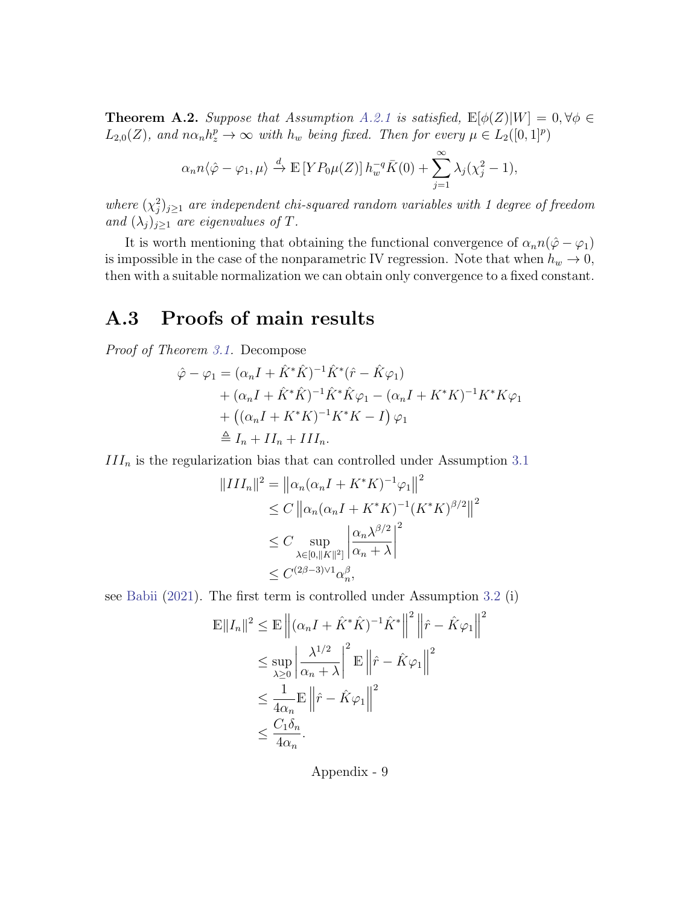<span id="page-33-0"></span>**Theorem A.2.** Suppose that Assumption [A.2.1](#page-32-1) is satisfied,  $\mathbb{E}[\phi(Z)|W] = 0, \forall \phi \in$  $L_{2,0}(Z)$ , and  $n\alpha_n h_z^p \to \infty$  with  $h_w$  being fixed. Then for every  $\mu \in L_2([0,1]^p)$ 

$$
\alpha_n n \langle \hat{\varphi} - \varphi_1, \mu \rangle \stackrel{d}{\to} \mathbb{E}\left[ Y P_0 \mu(Z) \right] h_w^{-q} \bar{K}(0) + \sum_{j=1}^{\infty} \lambda_j (\chi_j^2 - 1),
$$

where  $(\chi_j^2)_{j\geq 1}$  are independent chi-squared random variables with 1 degree of freedom and  $(\lambda_j)_{j\geq 1}$  are eigenvalues of T.

It is worth mentioning that obtaining the functional convergence of  $\alpha_n n(\hat{\varphi}-\varphi_1)$ is impossible in the case of the nonparametric IV regression. Note that when  $h_w \to 0$ , then with a suitable normalization we can obtain only convergence to a fixed constant.

## A.3 Proofs of main results

Proof of Theorem [3.1.](#page-8-1) Decompose

$$
\hat{\varphi} - \varphi_1 = (\alpha_n I + \hat{K}^* \hat{K})^{-1} \hat{K}^* (\hat{r} - \hat{K} \varphi_1) \n+ (\alpha_n I + \hat{K}^* \hat{K})^{-1} \hat{K}^* \hat{K} \varphi_1 - (\alpha_n I + K^* K)^{-1} K^* K \varphi_1 \n+ ((\alpha_n I + K^* K)^{-1} K^* K - I) \varphi_1 \n\triangleq I_n + II_n + III_n.
$$

 $III_n$  is the regularization bias that can controlled under Assumption [3.1](#page-7-1)

$$
||III_n||^2 = ||\alpha_n(\alpha_n I + K^* K)^{-1} \varphi_1||^2
$$
  
\n
$$
\leq C ||\alpha_n(\alpha_n I + K^* K)^{-1} (K^* K)^{\beta/2}||^2
$$
  
\n
$$
\leq C \sup_{\lambda \in [0, ||K||^2]} \left| \frac{\alpha_n \lambda^{\beta/2}}{\alpha_n + \lambda} \right|^2
$$
  
\n
$$
\leq C^{(2\beta - 3)\vee 1} \alpha_n^{\beta},
$$

see [Babii](#page-20-6) [\(2021\)](#page-20-6). The first term is controlled under Assumption [3.2](#page-8-0) (i)

$$
\mathbb{E}||I_n||^2 \le \mathbb{E}\left\|(\alpha_n I + \hat{K}^* \hat{K})^{-1} \hat{K}^*\right\|^2 \left\|\hat{r} - \hat{K}\varphi_1\right\|^2
$$
  

$$
\le \sup_{\lambda \ge 0} \left|\frac{\lambda^{1/2}}{\alpha_n + \lambda}\right|^2 \mathbb{E}\left\|\hat{r} - \hat{K}\varphi_1\right\|^2
$$
  

$$
\le \frac{1}{4\alpha_n} \mathbb{E}\left\|\hat{r} - \hat{K}\varphi_1\right\|^2
$$
  

$$
\le \frac{C_1 \delta_n}{4\alpha_n}.
$$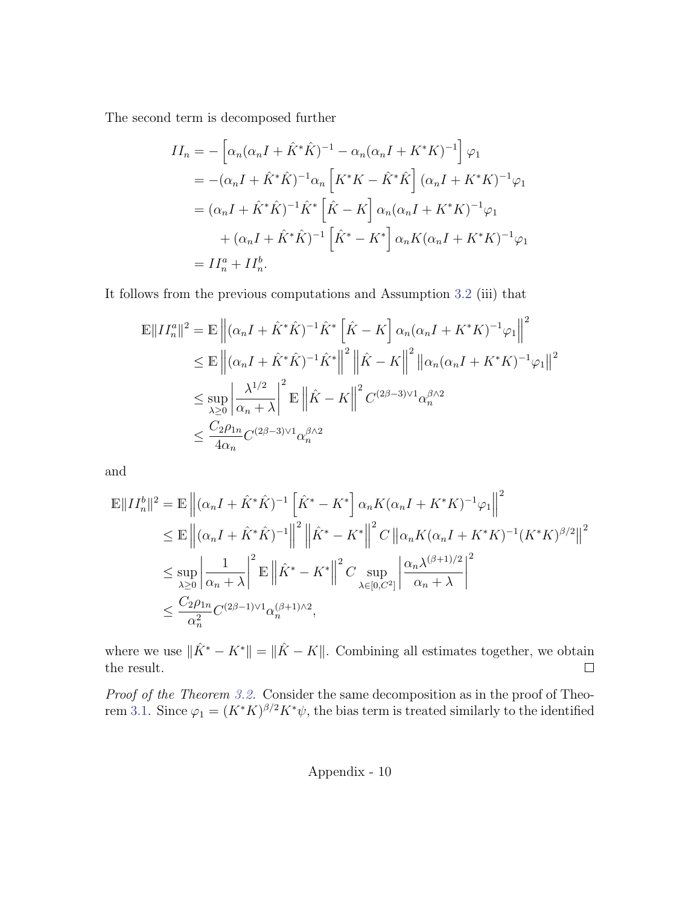The second term is decomposed further

$$
II_n = -\left[\alpha_n(\alpha_n I + \hat{K}^* \hat{K})^{-1} - \alpha_n(\alpha_n I + K^* K)^{-1}\right] \varphi_1
$$
  
=  $-(\alpha_n I + \hat{K}^* \hat{K})^{-1} \alpha_n \left[K^* K - \hat{K}^* \hat{K}\right] (\alpha_n I + K^* K)^{-1} \varphi_1$   
=  $(\alpha_n I + \hat{K}^* \hat{K})^{-1} \hat{K}^* \left[\hat{K} - K\right] \alpha_n(\alpha_n I + K^* K)^{-1} \varphi_1$   
+  $(\alpha_n I + \hat{K}^* \hat{K})^{-1} \left[\hat{K}^* - K^*\right] \alpha_n K(\alpha_n I + K^* K)^{-1} \varphi_1$   
=  $II_n^a + II_n^b$ .

It follows from the previous computations and Assumption [3.2](#page-8-0) (iii) that

$$
\mathbb{E}||II_n^a||^2 = \mathbb{E}\left||(\alpha_n I + \hat{K}^*\hat{K})^{-1}\hat{K}^*\left[\hat{K} - K\right]\alpha_n(\alpha_n I + K^*K)^{-1}\varphi_1\right||^2
$$
  
\n
$$
\leq \mathbb{E}\left||(\alpha_n I + \hat{K}^*\hat{K})^{-1}\hat{K}^*\right||^2 \left||\hat{K} - K\right||^2 ||\alpha_n(\alpha_n I + K^*K)^{-1}\varphi_1||^2
$$
  
\n
$$
\leq \sup_{\lambda \geq 0} \left|\frac{\lambda^{1/2}}{\alpha_n + \lambda}\right|^2 \mathbb{E}\left||\hat{K} - K\right||^2 C^{(2\beta - 3)\vee 1}\alpha_n^{\beta \wedge 2}
$$
  
\n
$$
\leq \frac{C_2 \rho_{1n}}{4\alpha_n} C^{(2\beta - 3)\vee 1}\alpha_n^{\beta \wedge 2}
$$

and

$$
\mathbb{E}||II_n^b||^2 = \mathbb{E}\left||(\alpha_n I + \hat{K}^*\hat{K})^{-1}\left[\hat{K}^* - K^*\right]\alpha_n K(\alpha_n I + K^*K)^{-1}\varphi_1\right||^2
$$
  
\n
$$
\leq \mathbb{E}\left||(\alpha_n I + \hat{K}^*\hat{K})^{-1}\right||^2 \left||\hat{K}^* - K^*\right||^2 C \left||\alpha_n K(\alpha_n I + K^*K)^{-1}(K^*K)^{\beta/2}\right||^2
$$
  
\n
$$
\leq \sup_{\lambda \geq 0} \left|\frac{1}{\alpha_n + \lambda}\right|^2 \mathbb{E}\left||\hat{K}^* - K^*\right||^2 C \sup_{\lambda \in [0,C^2]} \left|\frac{\alpha_n \lambda^{(\beta+1)/2}}{\alpha_n + \lambda}\right|^2
$$
  
\n
$$
\leq \frac{C_2 \rho_{1n}}{\alpha_n^2} C^{(2\beta-1)\vee 1} \alpha_n^{(\beta+1)/2},
$$

where we use  $\|\hat{K}^* - K^*\| = \|\hat{K} - K\|$ . Combining all estimates together, we obtain the result.  $\Box$ 

Proof of the Theorem [3.2.](#page-9-1) Consider the same decomposition as in the proof of Theo-rem [3.1.](#page-8-1) Since  $\varphi_1 = (K^*K)^{\beta/2} K^*\psi$ , the bias term is treated similarly to the identified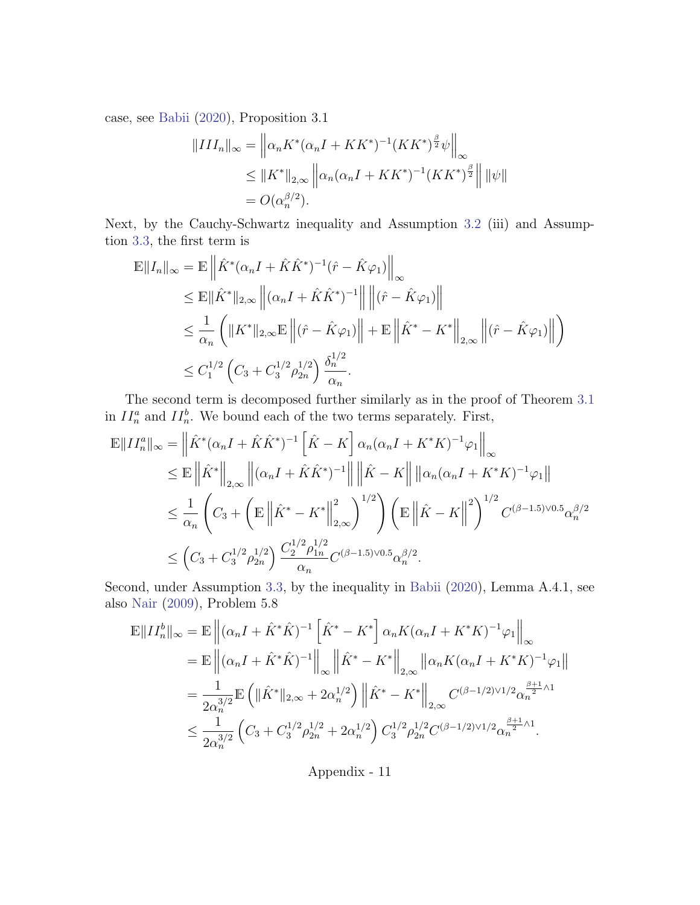case, see [Babii](#page-20-1) [\(2020\)](#page-20-1), Proposition 3.1

$$
||III_n||_{\infty} = \left\| \alpha_n K^* (\alpha_n I + K K^*)^{-1} (K K^*)^{\frac{\beta}{2}} \psi \right\|_{\infty}
$$
  
\n
$$
\leq ||K^*||_{2,\infty} \left\| \alpha_n (\alpha_n I + K K^*)^{-1} (K K^*)^{\frac{\beta}{2}} \right\| ||\psi||
$$
  
\n
$$
= O(\alpha_n^{\beta/2}).
$$

Next, by the Cauchy-Schwartz inequality and Assumption [3.2](#page-8-0) (iii) and Assumption [3.3,](#page-9-0) the first term is

$$
\mathbb{E}||I_n||_{\infty} = \mathbb{E} \left\| \hat{K}^* (\alpha_n I + \hat{K} \hat{K}^*)^{-1} (\hat{r} - \hat{K} \varphi_1) \right\|_{\infty}
$$
\n
$$
\leq \mathbb{E}||\hat{K}^*||_{2,\infty} \left\| (\alpha_n I + \hat{K} \hat{K}^*)^{-1} \right\| \left\| (\hat{r} - \hat{K} \varphi_1) \right\|
$$
\n
$$
\leq \frac{1}{\alpha_n} \left( \|K^*||_{2,\infty} \mathbb{E} \left\| (\hat{r} - \hat{K} \varphi_1) \right\| + \mathbb{E} \left\| \hat{K}^* - K^* \right\|_{2,\infty} \left\| (\hat{r} - \hat{K} \varphi_1) \right\| \right)
$$
\n
$$
\leq C_1^{1/2} \left( C_3 + C_3^{1/2} \rho_{2n}^{1/2} \right) \frac{\delta_n^{1/2}}{\alpha_n}.
$$

The second term is decomposed further similarly as in the proof of Theorem [3.1](#page-8-1) in  $II_n^a$  and  $II_n^b$ . We bound each of the two terms separately. First,

$$
\mathbb{E}||II_n^a||_{\infty} = \left\|\hat{K}^*(\alpha_n I + \hat{K}\hat{K}^*)^{-1}\left[\hat{K} - K\right]\alpha_n(\alpha_n I + K^*K)^{-1}\varphi_1\right\|_{\infty} \n\leq \mathbb{E}\left\|\hat{K}^*\right\|_{2,\infty} \left\|(\alpha_n I + \hat{K}\hat{K}^*)^{-1}\right\| \left\|\hat{K} - K\right\| \left\|\alpha_n(\alpha_n I + K^*K)^{-1}\varphi_1\right\| \n\leq \frac{1}{\alpha_n} \left(C_3 + \left(\mathbb{E}\left\|\hat{K}^* - K^*\right\|_{2,\infty}^2\right)^{1/2}\right) \left(\mathbb{E}\left\|\hat{K} - K\right\|^2\right)^{1/2} C^{(\beta-1.5)\vee0.5} \alpha_n^{\beta/2} \n\leq \left(C_3 + C_3^{1/2}\rho_{2n}^{1/2}\right) \frac{C_2^{1/2}\rho_{1n}^{1/2}}{\alpha_n} C^{(\beta-1.5)\vee0.5} \alpha_n^{\beta/2}.
$$

Second, under Assumption [3.3,](#page-9-0) by the inequality in [Babii](#page-20-1) [\(2020\)](#page-20-1), Lemma A.4.1, see also [Nair](#page-24-10) [\(2009\)](#page-24-10), Problem 5.8

$$
\mathbb{E}||II_n^b||_{\infty} = \mathbb{E} \left\| (\alpha_n I + \hat{K}^* \hat{K})^{-1} \left[ \hat{K}^* - K^* \right] \alpha_n K (\alpha_n I + K^* K)^{-1} \varphi_1 \right\|_{\infty} \n= \mathbb{E} \left\| (\alpha_n I + \hat{K}^* \hat{K})^{-1} \right\|_{\infty} \left\| \hat{K}^* - K^* \right\|_{2,\infty} \left\| \alpha_n K (\alpha_n I + K^* K)^{-1} \varphi_1 \right\| \n= \frac{1}{2\alpha_n^{3/2}} \mathbb{E} \left( \| \hat{K}^* \|_{2,\infty} + 2\alpha_n^{1/2} \right) \left\| \hat{K}^* - K^* \right\|_{2,\infty} C^{(\beta - 1/2) \vee 1/2} \alpha_n^{\frac{\beta + 1}{2} \wedge 1} \n\leq \frac{1}{2\alpha_n^{3/2}} \left( C_3 + C_3^{1/2} \rho_{2n}^{1/2} + 2\alpha_n^{1/2} \right) C_3^{1/2} \rho_{2n}^{1/2} C^{(\beta - 1/2) \vee 1/2} \alpha_n^{\frac{\beta + 1}{2} \wedge 1}.
$$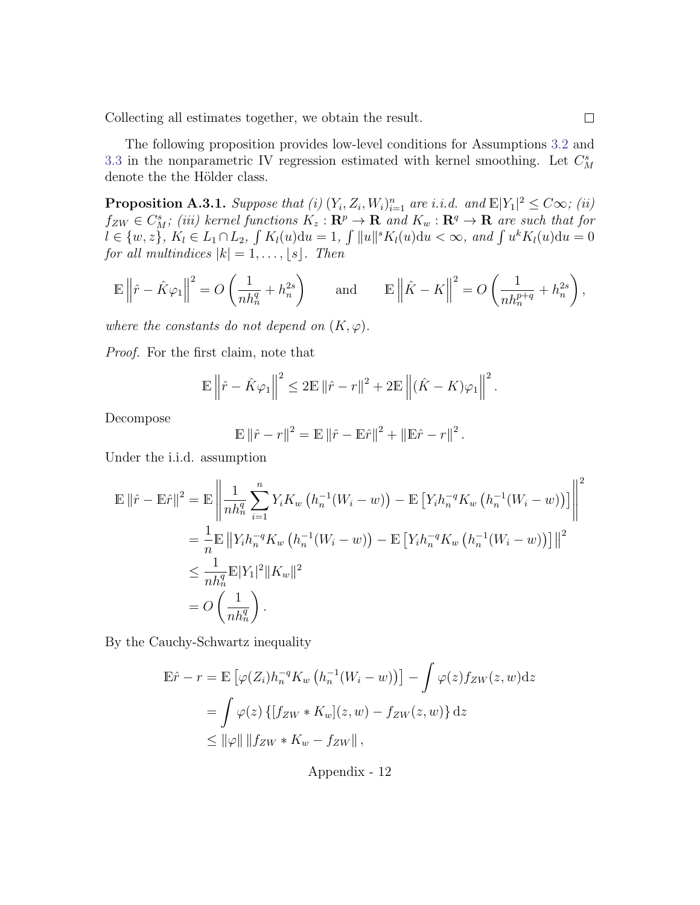Collecting all estimates together, we obtain the result.

The following proposition provides low-level conditions for Assumptions [3.2](#page-8-0) and [3.3](#page-9-0) in the nonparametric IV regression estimated with kernel smoothing. Let  $C_M^s$ denote the the Hölder class.

<span id="page-36-0"></span>**Proposition A.3.1.** Suppose that (i)  $(Y_i, Z_i, W_i)_{i=1}^n$  are i.i.d. and  $\mathbb{E}|Y_1|^2 \leq C\infty$ ; (ii)  $f_{ZW} \in C_M^s$ ; (iii) kernel functions  $K_z : \mathbf{R}^p \to \mathbf{R}$  and  $K_w : \mathbf{R}^q \to \mathbf{R}$  are such that for  $l \in \{w, z\}, K_l \in L_1 \cap L_2, \int K_l(u) \mathrm{d}u = 1, \int ||u||^s K_l(u) \mathrm{d}u < \infty, \text{ and } \int u^k K_l(u) \mathrm{d}u = 0$ for all multindices  $|k| = 1, \ldots, \lfloor s \rfloor$ . Then

$$
\mathbb{E}\left\|\hat{r} - \hat{K}\varphi_1\right\|^2 = O\left(\frac{1}{nh_n^q} + h_n^{2s}\right) \quad \text{and} \quad \mathbb{E}\left\|\hat{K} - K\right\|^2 = O\left(\frac{1}{nh_n^{p+q}} + h_n^{2s}\right),
$$

where the constants do not depend on  $(K, \varphi)$ .

Proof. For the first claim, note that

$$
\mathbb{E}\left\|\hat{r} - \hat{K}\varphi_1\right\|^2 \le 2\mathbb{E}\left\|\hat{r} - r\right\|^2 + 2\mathbb{E}\left\|\left(\hat{K} - K\right)\varphi_1\right\|^2
$$

Decompose

$$
\mathbb{E} \|\hat{r} - r\|^2 = \mathbb{E} \|\hat{r} - \mathbb{E} \hat{r}\|^2 + \|\mathbb{E} \hat{r} - r\|^2.
$$

Under the i.i.d. assumption

$$
\mathbb{E} \|\hat{r} - \mathbb{E}\hat{r}\|^2 = \mathbb{E} \left\| \frac{1}{nh_n^q} \sum_{i=1}^n Y_i K_w \left( h_n^{-1} (W_i - w) \right) - \mathbb{E} \left[ Y_i h_n^{-q} K_w \left( h_n^{-1} (W_i - w) \right) \right] \right\|^2
$$
  
\n
$$
= \frac{1}{n} \mathbb{E} \left\| Y_i h_n^{-q} K_w \left( h_n^{-1} (W_i - w) \right) - \mathbb{E} \left[ Y_i h_n^{-q} K_w \left( h_n^{-1} (W_i - w) \right) \right] \right\|^2
$$
  
\n
$$
\leq \frac{1}{nh_n^q} \mathbb{E} |Y_1|^2 \| K_w \|^2
$$
  
\n
$$
= O \left( \frac{1}{nh_n^q} \right).
$$

By the Cauchy-Schwartz inequality

$$
\mathbb{E}\hat{r} - r = \mathbb{E}\left[\varphi(Z_i)h_n^{-q}K_w\left(h_n^{-1}(W_i - w)\right)\right] - \int \varphi(z)f_{ZW}(z, w)dz
$$
  
= 
$$
\int \varphi(z)\left\{[f_{ZW} * K_w](z, w) - f_{ZW}(z, w)\right\}dz
$$
  
\$\leq ||\varphi|| ||f\_{ZW} \* K\_w - f\_{ZW}||\$,

Appendix - 12

.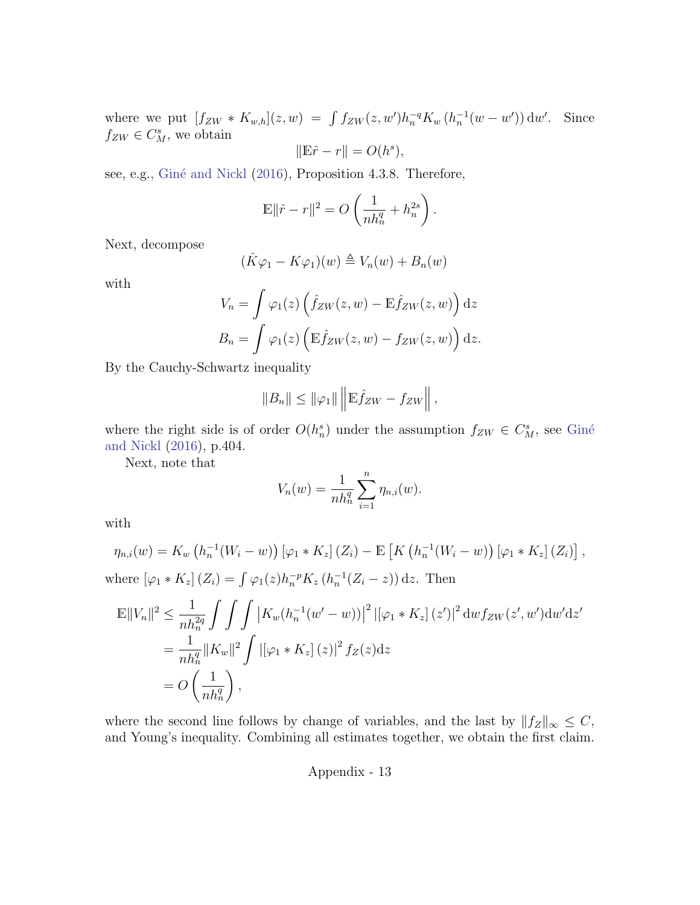where we put  $[f_{ZW} * K_{w,h}](z, w) = \int f_{ZW}(z, w') h_n^{-q} K_w (h_n^{-1}(w - w')) dw'.$  Since  $f_{ZW} \in C_M^s$ , we obtain

$$
\|\mathbb{E}\hat{r} - r\| = O(h^s),
$$

see, e.g., Giné and Nickl [\(2016\)](#page-23-10), Proposition 4.3.8. Therefore,

$$
\mathbb{E}\|\hat{r} - r\|^2 = O\left(\frac{1}{nh_n^q} + h_n^{2s}\right).
$$

Next, decompose

$$
(\hat{K}\varphi_1 - K\varphi_1)(w) \triangleq V_n(w) + B_n(w)
$$

with

$$
V_n = \int \varphi_1(z) \left( \hat{f}_{ZW}(z, w) - \mathbb{E} \hat{f}_{ZW}(z, w) \right) dz
$$

$$
B_n = \int \varphi_1(z) \left( \mathbb{E} \hat{f}_{ZW}(z, w) - f_{ZW}(z, w) \right) dz.
$$

By the Cauchy-Schwartz inequality

$$
||B_n|| \le ||\varphi_1|| \left||\mathbb{E}\hat{f}_{ZW} - f_{ZW}\right|,
$$

where the right side is of order  $O(h_n^s)$  under the assumption  $f_{ZW} \in C_M^s$ , see Giné [and Nickl](#page-23-10) [\(2016\)](#page-23-10), p.404.

Next, note that

$$
V_n(w) = \frac{1}{nh_n^q} \sum_{i=1}^n \eta_{n,i}(w).
$$

with

$$
\eta_{n,i}(w) = K_w \left( h_n^{-1}(W_i - w) \right) \left[ \varphi_1 * K_z \right] (Z_i) - \mathbb{E} \left[ K \left( h_n^{-1}(W_i - w) \right) \left[ \varphi_1 * K_z \right] (Z_i) \right],
$$
  
where  $\left[ \varphi_1 * K_z \right] (Z_i) = \int \varphi_1(z) h_n^{-p} K_z \left( h_n^{-1}(Z_i - z) \right) dz$ . Then

$$
\mathbb{E}||V_n||^2 \le \frac{1}{nh_n^{2q}} \int \int \int |K_w(h_n^{-1}(w'-w))|^2 ||\varphi_1 * K_z|(z')|^2 dw f_{ZW}(z', w') dw' dz'\n= \frac{1}{nh_n^{q}} ||K_w||^2 \int |[\varphi_1 * K_z](z)|^2 f_Z(z) dz\n= O\left(\frac{1}{nh_n^{q}}\right),
$$

where the second line follows by change of variables, and the last by  $||f_Z||_{\infty} \leq C$ , and Young's inequality. Combining all estimates together, we obtain the first claim.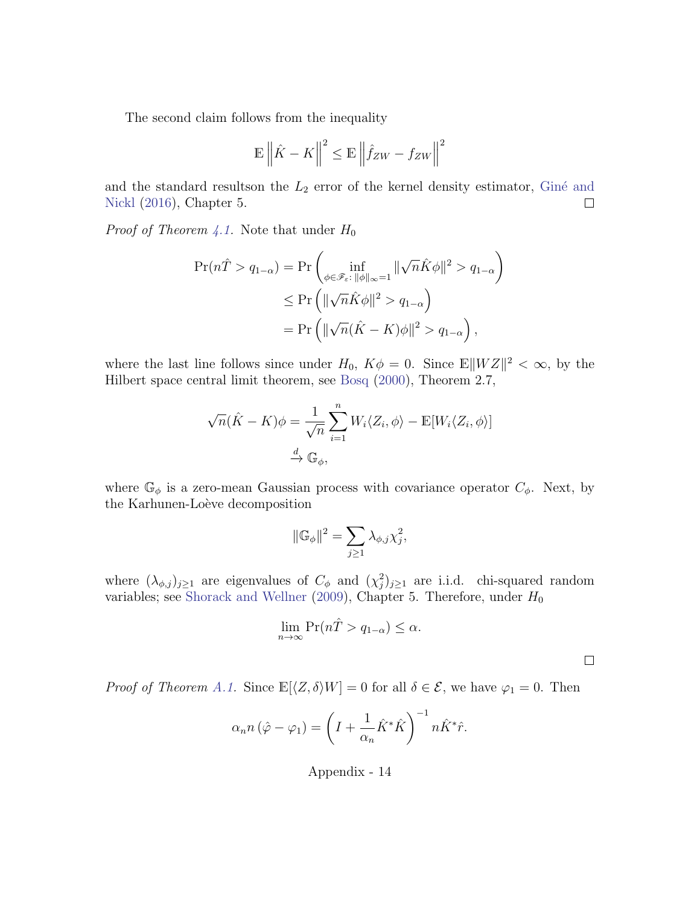The second claim follows from the inequality

$$
\mathbb{E}\left\|\hat{K} - K\right\|^2 \le \mathbb{E}\left\|\hat{f}_{ZW} - f_{ZW}\right\|^2
$$

and the standard resultson the  $L_2$  error of the kernel density estimator, Giné and [Nickl](#page-23-10) [\(2016\)](#page-23-10), Chapter 5.  $\Box$ 

*Proof of Theorem [4.1.](#page-14-1)* Note that under  $H_0$ 

$$
\Pr(n\hat{T} > q_{1-\alpha}) = \Pr\left(\inf_{\phi \in \mathscr{F}_{\varepsilon}: \ \|\phi\|_{\infty}=1} \|\sqrt{n}\hat{K}\phi\|^2 > q_{1-\alpha}\right)
$$

$$
\leq \Pr\left(\|\sqrt{n}\hat{K}\phi\|^2 > q_{1-\alpha}\right)
$$

$$
= \Pr\left(\|\sqrt{n}(\hat{K} - K)\phi\|^2 > q_{1-\alpha}\right),
$$

where the last line follows since under  $H_0$ ,  $K\phi = 0$ . Since  $\mathbb{E} \Vert WZ \Vert^2 < \infty$ , by the Hilbert space central limit theorem, see [Bosq](#page-21-11) [\(2000\)](#page-21-11), Theorem 2.7,

$$
\sqrt{n}(\hat{K} - K)\phi = \frac{1}{\sqrt{n}} \sum_{i=1}^{n} W_i \langle Z_i, \phi \rangle - \mathbb{E}[W_i \langle Z_i, \phi \rangle]
$$

$$
\stackrel{d}{\to} \mathbb{G}_{\phi},
$$

where  $\mathbb{G}_{\phi}$  is a zero-mean Gaussian process with covariance operator  $C_{\phi}$ . Next, by the Karhunen-Loève decomposition

$$
\|\mathbb{G}_{\phi}\|^2 = \sum_{j\geq 1} \lambda_{\phi,j} \chi_j^2,
$$

where  $(\lambda_{\phi,j})_{j\geq 1}$  are eigenvalues of  $C_{\phi}$  and  $(\chi_j^2)_{j\geq 1}$  are i.i.d. chi-squared random variables; see [Shorack and Wellner](#page-24-11) [\(2009\)](#page-24-11), Chapter 5. Therefore, under  $H_0$ 

$$
\lim_{n \to \infty} \Pr(n\hat{T} > q_{1-\alpha}) \le \alpha.
$$

 $\Box$ 

*Proof of Theorem [A.1.](#page-32-0)* Since  $\mathbb{E}[\langle Z, \delta \rangle W] = 0$  for all  $\delta \in \mathcal{E}$ , we have  $\varphi_1 = 0$ . Then

$$
\alpha_n n (\hat{\varphi} - \varphi_1) = \left( I + \frac{1}{\alpha_n} \hat{K}^* \hat{K} \right)^{-1} n \hat{K}^* \hat{r}.
$$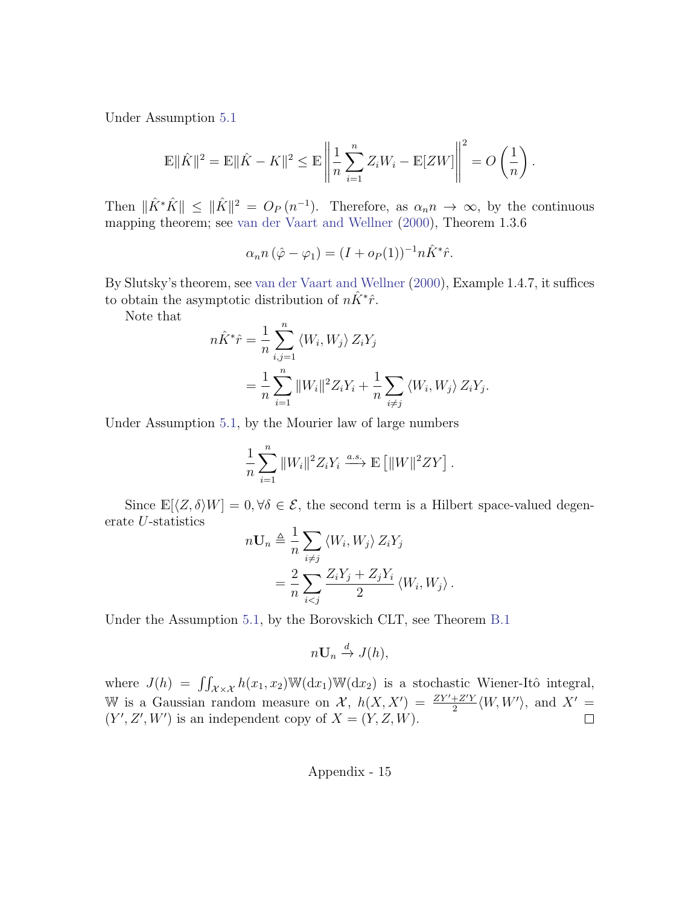Under Assumption [5.1](#page-15-0)

$$
\mathbb{E} \|\hat{K}\|^2 = \mathbb{E} \|\hat{K} - K\|^2 \le \mathbb{E} \left\| \frac{1}{n} \sum_{i=1}^n Z_i W_i - \mathbb{E}[ZW] \right\|^2 = O\left(\frac{1}{n}\right).
$$

Then  $\|\hat{K}^*\hat{K}\| \leq \|\hat{K}\|^2 = O_P(n^{-1})$ . Therefore, as  $\alpha_n n \to \infty$ , by the continuous mapping theorem; see [van der Vaart and Wellner](#page-24-6) [\(2000\)](#page-24-6), Theorem 1.3.6

$$
\alpha_n n \left( \hat{\varphi} - \varphi_1 \right) = (I + o_P(1))^{-1} n \hat{K}^* \hat{r}.
$$

By Slutsky's theorem, see [van der Vaart and Wellner](#page-24-6) [\(2000\)](#page-24-6), Example 1.4.7, it suffices to obtain the asymptotic distribution of  $n\hat{K}^*\hat{r}$ .

Note that

$$
n\hat{K}^*\hat{r} = \frac{1}{n} \sum_{i,j=1}^n \langle W_i, W_j \rangle Z_i Y_j
$$
  
= 
$$
\frac{1}{n} \sum_{i=1}^n ||W_i||^2 Z_i Y_i + \frac{1}{n} \sum_{i \neq j} \langle W_i, W_j \rangle Z_i Y_j.
$$

Under Assumption [5.1,](#page-15-0) by the Mourier law of large numbers

$$
\frac{1}{n}\sum_{i=1}^n \|W_i\|^2 Z_i Y_i \xrightarrow{a.s.} \mathbb{E} \left[ \|W\|^2 Z Y \right].
$$

Since  $\mathbb{E}[\langle Z, \delta \rangle W] = 0, \forall \delta \in \mathcal{E}$ , the second term is a Hilbert space-valued degenerate U-statistics

$$
n\mathbf{U}_n \triangleq \frac{1}{n} \sum_{i \neq j} \langle W_i, W_j \rangle Z_i Y_j
$$
  
= 
$$
\frac{2}{n} \sum_{i < j} \frac{Z_i Y_j + Z_j Y_i}{2} \langle W_i, W_j \rangle.
$$

Under the Assumption [5.1,](#page-15-0) by the Borovskich CLT, see Theorem [B.1](#page-32-0)

$$
n\mathbf{U}_n \xrightarrow{d} J(h),
$$

where  $J(h) = \iint_{\mathcal{X}\times\mathcal{X}} h(x_1, x_2) \mathbb{W}(\mathrm{d}x_1) \mathbb{W}(\mathrm{d}x_2)$  is a stochastic Wiener-Itô integral, W is a Gaussian random measure on X,  $h(X, X') = \frac{ZY' + Z'Y}{2} \langle W, W' \rangle$ , and  $X' =$  $(Y', Z', W')$  is an independent copy of  $X = (Y, Z, W)$ .  $\Box$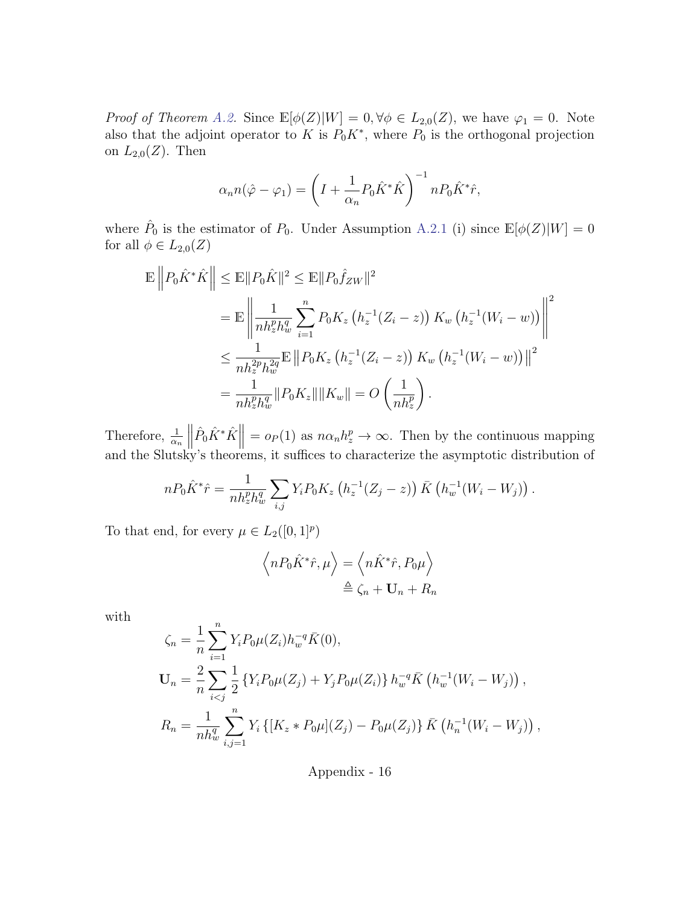*Proof of Theorem [A.2.](#page-33-0)* Since  $\mathbb{E}[\phi(Z)|W] = 0, \forall \phi \in L_{2,0}(Z)$ , we have  $\varphi_1 = 0$ . Note also that the adjoint operator to K is  $P_0K^*$ , where  $P_0$  is the orthogonal projection on  $L_{2,0}(Z)$ . Then

$$
\alpha_n n(\hat{\varphi} - \varphi_1) = \left( I + \frac{1}{\alpha_n} P_0 \hat{K}^* \hat{K} \right)^{-1} n P_0 \hat{K}^* \hat{r},
$$

where  $\hat{P}_0$  is the estimator of  $P_0$ . Under Assumption [A.2.1](#page-32-1) (i) since  $\mathbb{E}[\phi(Z)|W] = 0$ for all  $\phi \in L_{2,0}(Z)$ 

$$
\mathbb{E} \left\| P_0 \hat{K}^* \hat{K} \right\| \leq \mathbb{E} \| P_0 \hat{K} \|^2 \leq \mathbb{E} \| P_0 \hat{f}_{ZW} \|^2
$$
\n
$$
= \mathbb{E} \left\| \frac{1}{n h_z^p h_w^q} \sum_{i=1}^n P_0 K_z \left( h_z^{-1} (Z_i - z) \right) K_w \left( h_z^{-1} (W_i - w) \right) \right\|^2
$$
\n
$$
\leq \frac{1}{n h_z^2 p_{tw}^{2q}} \mathbb{E} \left\| P_0 K_z \left( h_z^{-1} (Z_i - z) \right) K_w \left( h_z^{-1} (W_i - w) \right) \right\|^2
$$
\n
$$
= \frac{1}{n h_z^p h_w^q} \| P_0 K_z \| \| K_w \| = O \left( \frac{1}{n h_z^p} \right).
$$

Therefore,  $\frac{1}{\alpha_n}$  $\begin{array}{c} \hline \textbf{1} \\ \textbf{2} \\ \textbf{3} \\ \textbf{4} \end{array}$  $\hat{P}_0 \hat{K}^* \hat{K}$  =  $o_P(1)$  as  $n \alpha_n h_z^p \to \infty$ . Then by the continuous mapping and the Slutsky's theorems, it suffices to characterize the asymptotic distribution of

$$
nP_0\hat{K}^*\hat{r} = \frac{1}{nh_z^p h_w^q} \sum_{i,j} Y_i P_0 K_z (h_z^{-1}(Z_j - z)) \bar{K} (h_w^{-1}(W_i - W_j)).
$$

To that end, for every  $\mu \in L_2([0,1]^p)$ 

$$
\left\langle nP_0\hat{K}^*\hat{r},\mu\right\rangle = \left\langle n\hat{K}^*\hat{r},P_0\mu\right\rangle
$$

$$
\triangleq \zeta_n + \mathbf{U}_n + R_n
$$

with

$$
\zeta_n = \frac{1}{n} \sum_{i=1}^n Y_i P_0 \mu(Z_i) h_w^{-q} \bar{K}(0),
$$
  
\n
$$
\mathbf{U}_n = \frac{2}{n} \sum_{i < j} \frac{1}{2} \left\{ Y_i P_0 \mu(Z_j) + Y_j P_0 \mu(Z_i) \right\} h_w^{-q} \bar{K} \left( h_w^{-1} (W_i - W_j) \right),
$$
  
\n
$$
R_n = \frac{1}{n h_w^q} \sum_{i,j=1}^n Y_i \left\{ [K_z * P_0 \mu](Z_j) - P_0 \mu(Z_j) \right\} \bar{K} \left( h_n^{-1} (W_i - W_j) \right),
$$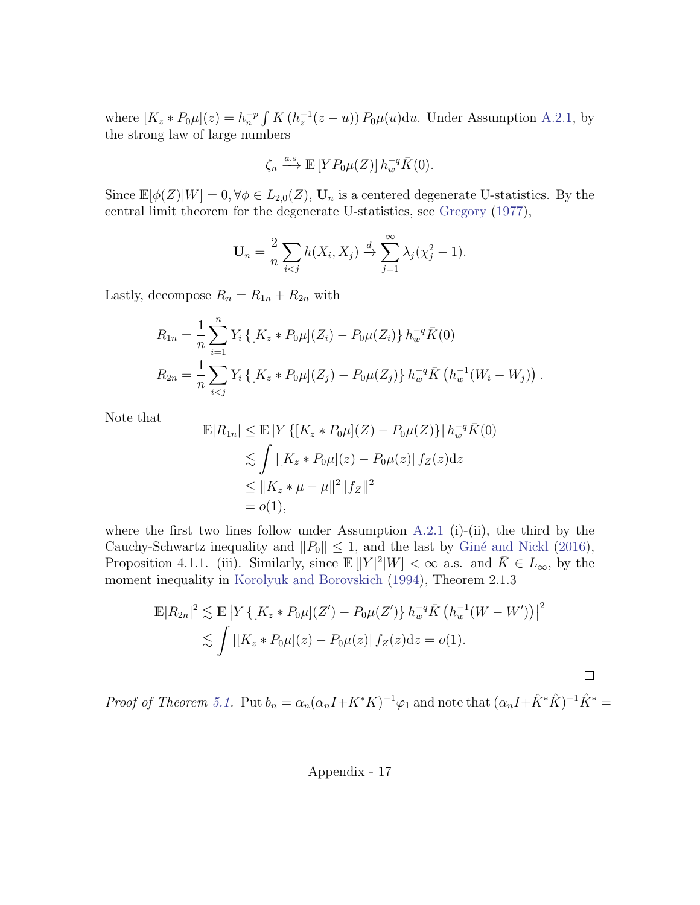where  $[K_z * P_0 \mu](z) = h_n^{-p} \int K (h_z^{-1}(z - u)) P_0 \mu(u) \mathrm{d}u$ . Under Assumption [A.2.1,](#page-32-1) by the strong law of large numbers

$$
\zeta_n \xrightarrow{a.s} \mathbb{E}\left[ Y P_0 \mu(Z) \right] h_w^{-q} \overline{K}(0).
$$

Since  $\mathbb{E}[\phi(Z)|W] = 0, \forall \phi \in L_{2,0}(Z), \mathbf{U}_n$  is a centered degenerate U-statistics. By the central limit theorem for the degenerate U-statistics, see [Gregory](#page-23-11) [\(1977\)](#page-23-11),

$$
\mathbf{U}_n = \frac{2}{n} \sum_{i < j} h(X_i, X_j) \xrightarrow{d} \sum_{j=1}^{\infty} \lambda_j (\chi_j^2 - 1).
$$

Lastly, decompose  $R_n = R_{1n} + R_{2n}$  with

$$
R_{1n} = \frac{1}{n} \sum_{i=1}^{n} Y_i \{ [K_z * P_0 \mu](Z_i) - P_0 \mu(Z_i) \} h_w^{-q} \overline{K}(0)
$$
  

$$
R_{2n} = \frac{1}{n} \sum_{i < j} Y_i \{ [K_z * P_0 \mu](Z_j) - P_0 \mu(Z_j) \} h_w^{-q} \overline{K} \left( h_w^{-1} (W_i - W_j) \right).
$$

Note that

$$
\mathbb{E}|R_{1n}| \leq \mathbb{E}|Y\{[K_z * P_0\mu](Z) - P_0\mu(Z)\}|h_w^{-q}\bar{K}(0) \n\lesssim \int |[K_z * P_0\mu](z) - P_0\mu(z)|f_Z(z)dz \n\leq ||K_z * \mu - \mu||^2||f_Z||^2 \n= o(1),
$$

where the first two lines follow under Assumption [A.2.1](#page-32-1) (i)-(ii), the third by the Cauchy-Schwartz inequality and  $||P_0|| \leq 1$ , and the last by Giné and Nickl [\(2016\)](#page-23-10), Proposition 4.1.1. (iii). Similarly, since  $\mathbb{E}[|Y|^2|W] < \infty$  a.s. and  $\overline{K} \in L_{\infty}$ , by the moment inequality in [Korolyuk and Borovskich](#page-23-12) [\(1994\)](#page-23-12), Theorem 2.1.3

$$
\mathbb{E}|R_{2n}|^2 \lesssim \mathbb{E}|Y\{[K_z * P_0\mu](Z') - P_0\mu(Z')\}h_w^{-q}\bar{K}\left(h_w^{-1}(W - W')\right)|^2
$$
  
\$\lesssim \int |[K\_z \* P\_0\mu](z) - P\_0\mu(z)| f\_Z(z)dz = o(1).

Proof of Theorem [5.1.](#page-15-2) Put  $b_n = \alpha_n(\alpha_n I + K^*K)^{-1} \varphi_1$  and note that  $(\alpha_n I + \hat{K}^* \hat{K})^{-1} \hat{K}^* =$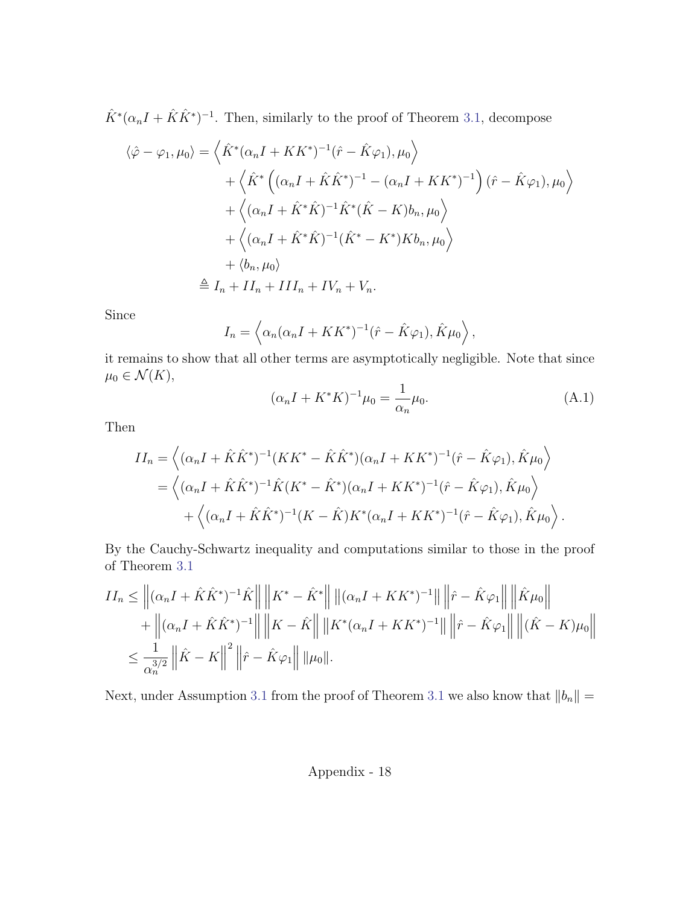$\hat{K}^*(\alpha_n I + \hat{K}\hat{K}^*)^{-1}$ . Then, similarly to the proof of Theorem [3.1,](#page-8-1) decompose

$$
\langle \hat{\varphi} - \varphi_1, \mu_0 \rangle = \left\langle \hat{K}^* (\alpha_n I + K K^*)^{-1} (\hat{r} - \hat{K} \varphi_1), \mu_0 \right\rangle + \left\langle \hat{K}^* \left( (\alpha_n I + \hat{K} \hat{K}^*)^{-1} - (\alpha_n I + K K^*)^{-1} \right) (\hat{r} - \hat{K} \varphi_1), \mu_0 \right\rangle + \left\langle (\alpha_n I + \hat{K}^* \hat{K})^{-1} \hat{K}^* (\hat{K} - K) b_n, \mu_0 \right\rangle + \left\langle (\alpha_n I + \hat{K}^* \hat{K})^{-1} (\hat{K}^* - K^*) K b_n, \mu_0 \right\rangle + \left\langle b_n, \mu_0 \right\rangle \triangleq I_n + II_n + III_n + IV_n + V_n.
$$

Since

$$
I_n = \left\langle \alpha_n(\alpha_n I + K K^*)^{-1}(\hat{r} - \hat{K}\varphi_1), \hat{K}\mu_0 \right\rangle,
$$

it remains to show that all other terms are asymptotically negligible. Note that since  $\mu_0 \in \mathcal{N}(K)$ ,

<span id="page-42-0"></span>
$$
(\alpha_n I + K^* K)^{-1} \mu_0 = \frac{1}{\alpha_n} \mu_0.
$$
 (A.1)

Then

$$
II_n = \left\langle (\alpha_n I + \hat{K}\hat{K}^*)^{-1} (KK^* - \hat{K}\hat{K}^*) (\alpha_n I + KK^*)^{-1} (\hat{r} - \hat{K}\varphi_1), \hat{K}\mu_0 \right\rangle
$$
  
=  $\left\langle (\alpha_n I + \hat{K}\hat{K}^*)^{-1} \hat{K}(K^* - \hat{K}^*) (\alpha_n I + KK^*)^{-1} (\hat{r} - \hat{K}\varphi_1), \hat{K}\mu_0 \right\rangle$   
+  $\left\langle (\alpha_n I + \hat{K}\hat{K}^*)^{-1} (K - \hat{K}) K^* (\alpha_n I + KK^*)^{-1} (\hat{r} - \hat{K}\varphi_1), \hat{K}\mu_0 \right\rangle.$ 

By the Cauchy-Schwartz inequality and computations similar to those in the proof of Theorem [3.1](#page-8-1)

$$
II_n \leq ||(\alpha_n I + \hat{K}\hat{K}^*)^{-1}\hat{K}|| ||K^* - \hat{K}^*|| ||(\alpha_n I + KK^*)^{-1}|| ||\hat{F} - \hat{K}\varphi_1|| ||\hat{K}\mu_0||
$$
  
+  $||(\alpha_n I + \hat{K}\hat{K}^*)^{-1}|| ||K - \hat{K}|| ||K^*(\alpha_n I + KK^*)^{-1}|| ||\hat{F} - \hat{K}\varphi_1|| ||(\hat{K} - K)\mu_0||$   
 $\leq \frac{1}{\alpha_n^{3/2}} ||\hat{K} - K||^2 ||\hat{F} - \hat{K}\varphi_1|| ||\mu_0||.$ 

Next, under Assumption [3.1](#page-8-1) from the proof of Theorem 3.1 we also know that  $||b_n|| =$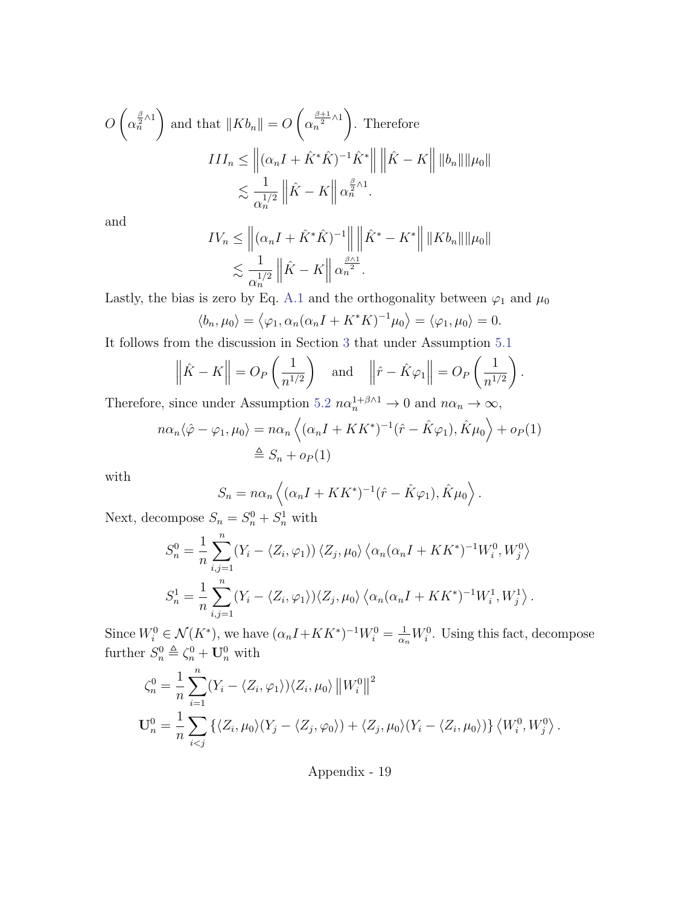$$
O\left(\alpha_n^{\frac{\beta}{2}\wedge 1}\right) \text{ and that } \|Kb_n\| = O\left(\alpha_n^{\frac{\beta+1}{2}\wedge 1}\right). \text{ Therefore}
$$

$$
III_n \le \left\| (\alpha_n I + \hat{K}^*\hat{K})^{-1}\hat{K}^* \right\| \left\| \hat{K} - K \right\| \|b_n\| \|\mu_0\|
$$

$$
\lesssim \frac{1}{\alpha_n^{1/2}} \left\| \hat{K} - K \right\| \alpha_n^{\frac{\beta}{2}\wedge 1}.
$$

and

$$
IV_n \leq \left\| (\alpha_n I + \hat{K}^* \hat{K})^{-1} \right\| \left\| \hat{K}^* - K^* \right\| \|Kb_n\| \|\mu_0\|
$$
  

$$
\lesssim \frac{1}{\alpha_n^{1/2}} \left\| \hat{K} - K \right\| \alpha_n^{\frac{\beta \wedge 1}{2}}.
$$

Lastly, the bias is zero by Eq. [A.1](#page-42-0) and the orthogonality between  $\varphi_1$  and  $\mu_0$ 

$$
\langle b_n, \mu_0 \rangle = \langle \varphi_1, \alpha_n(\alpha_n I + K^* K)^{-1} \mu_0 \rangle = \langle \varphi_1, \mu_0 \rangle = 0.
$$

It follows from the discussion in Section [3](#page-7-0) that under Assumption [5.1](#page-15-0)

$$
\left\|\hat{K} - K\right\| = O_P\left(\frac{1}{n^{1/2}}\right) \quad \text{and} \quad \left\|\hat{r} - \hat{K}\varphi_1\right\| = O_P\left(\frac{1}{n^{1/2}}\right).
$$

Therefore, since under Assumption [5.2](#page-15-1)  $n\alpha_n^{1+\beta\wedge 1} \to 0$  and  $n\alpha_n \to \infty$ ,

$$
n\alpha_n \langle \hat{\varphi} - \varphi_1, \mu_0 \rangle = n\alpha_n \left\langle (\alpha_n I + K K^*)^{-1} (\hat{r} - \hat{K} \varphi_1), \hat{K} \mu_0 \right\rangle + o_P(1)
$$
  

$$
\triangleq S_n + o_P(1)
$$

with

$$
S_n = n\alpha_n \left\langle (\alpha_n I + K K^*)^{-1} (\hat{r} - \hat{K}\varphi_1), \hat{K}\mu_0 \right\rangle.
$$

Next, decompose  $S_n = S_n^0 + S_n^1$  with

$$
S_n^0 = \frac{1}{n} \sum_{i,j=1}^n (Y_i - \langle Z_i, \varphi_1 \rangle) \langle Z_j, \mu_0 \rangle \langle \alpha_n (\alpha_n I + K K^*)^{-1} W_i^0, W_j^0 \rangle
$$
  

$$
S_n^1 = \frac{1}{n} \sum_{i,j=1}^n (Y_i - \langle Z_i, \varphi_1 \rangle) \langle Z_j, \mu_0 \rangle \langle \alpha_n (\alpha_n I + K K^*)^{-1} W_i^1, W_j^1 \rangle.
$$

Since  $W_i^0 \in \mathcal{N}(K^*)$ , we have  $(\alpha_n I + K K^*)^{-1} W_i^0 = \frac{1}{\alpha_n} W_i^0$ . Using this fact, decompose further  $S_n^0 \triangleq \zeta_n^0 + \mathbf{U}_n^0$  with

$$
\zeta_n^0 = \frac{1}{n} \sum_{i=1}^n (Y_i - \langle Z_i, \varphi_1 \rangle) \langle Z_i, \mu_0 \rangle ||W_i^0||^2
$$
  

$$
\mathbf{U}_n^0 = \frac{1}{n} \sum_{i < j} \left\{ \langle Z_i, \mu_0 \rangle (Y_j - \langle Z_j, \varphi_0 \rangle) + \langle Z_j, \mu_0 \rangle (Y_i - \langle Z_i, \mu_0 \rangle) \right\} \langle W_i^0, W_j^0 \rangle.
$$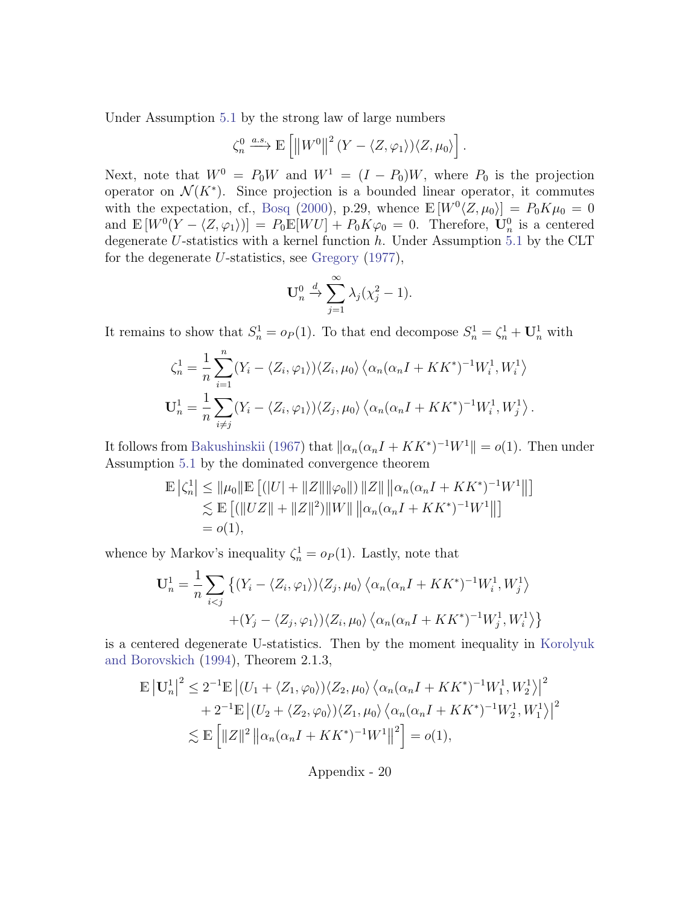Under Assumption [5.1](#page-15-0) by the strong law of large numbers

$$
\zeta_n^0 \xrightarrow{a.s.} \mathbb{E}\left[ \left\| W^0 \right\|^2 (Y - \langle Z, \varphi_1 \rangle) \langle Z, \mu_0 \rangle \right].
$$

Next, note that  $W^0 = P_0W$  and  $W^1 = (I - P_0)W$ , where  $P_0$  is the projection operator on  $\mathcal{N}(K^*)$ . Since projection is a bounded linear operator, it commutes with the expectation, cf., [Bosq](#page-21-11) [\(2000\)](#page-21-11), p.29, whence  $\mathbb{E}[W^0 \langle Z, \mu_0 \rangle] = P_0 K \mu_0 = 0$ and  $\mathbb{E}[W^0(Y - \langle Z, \varphi_1 \rangle)] = P_0 \mathbb{E}[WU] + P_0 K \varphi_0 = 0$ . Therefore,  $\mathbf{U}_n^0$  is a centered degenerate U-statistics with a kernel function  $h$ . Under Assumption [5.1](#page-15-0) by the CLT for the degenerate U-statistics, see [Gregory](#page-23-11) [\(1977\)](#page-23-11),

$$
\mathbf{U}_n^0 \xrightarrow{d} \sum_{j=1}^\infty \lambda_j (\chi_j^2 - 1).
$$

It remains to show that  $S_n^1 = o_P(1)$ . To that end decompose  $S_n^1 = \zeta_n^1 + \mathbf{U}_n^1$  with

$$
\zeta_n^1 = \frac{1}{n} \sum_{i=1}^n (Y_i - \langle Z_i, \varphi_1 \rangle) \langle Z_i, \mu_0 \rangle \langle \alpha_n (\alpha_n I + K K^*)^{-1} W_i^1, W_i^1 \rangle
$$
  

$$
\mathbf{U}_n^1 = \frac{1}{n} \sum_{i \neq j} (Y_i - \langle Z_i, \varphi_1 \rangle) \langle Z_j, \mu_0 \rangle \langle \alpha_n (\alpha_n I + K K^*)^{-1} W_i^1, W_j^1 \rangle.
$$

It follows from [Bakushinskii](#page-20-10) [\(1967\)](#page-20-10) that  $\|\alpha_n(\alpha_n I + K K^*)^{-1}W^1\| = o(1)$ . Then under Assumption [5.1](#page-15-0) by the dominated convergence theorem

$$
\mathbb{E} | \zeta_n^1 | \leq ||\mu_0|| \mathbb{E} [ (|U| + ||Z|| ||\varphi_0||) ||Z|| ||\alpha_n(\alpha_n I + K K^*)^{-1} W^1 || ]
$$
  
\n
$$
\lesssim \mathbb{E} [ (||UZ|| + ||Z||^2) ||W|| ||\alpha_n(\alpha_n I + K K^*)^{-1} W^1 || ]
$$
  
\n
$$
= o(1),
$$

whence by Markov's inequality  $\zeta_n^1 = o_P(1)$ . Lastly, note that

$$
\mathbf{U}_n^1 = \frac{1}{n} \sum_{i < j} \left\{ (Y_i - \langle Z_i, \varphi_1 \rangle) \langle Z_j, \mu_0 \rangle \langle \alpha_n (\alpha_n I + K K^*)^{-1} W_i^1, W_j^1 \rangle \right. \\
\left. + (Y_j - \langle Z_j, \varphi_1 \rangle) \langle Z_i, \mu_0 \rangle \langle \alpha_n (\alpha_n I + K K^*)^{-1} W_j^1, W_i^1 \rangle \right\}
$$

is a centered degenerate U-statistics. Then by the moment inequality in [Korolyuk](#page-23-12) [and Borovskich](#page-23-12) [\(1994\)](#page-23-12), Theorem 2.1.3,

$$
\mathbb{E}|\mathbf{U}_n^1|^2 \le 2^{-1}\mathbb{E} |(U_1 + \langle Z_1, \varphi_0 \rangle) \langle Z_2, \mu_0 \rangle \langle \alpha_n (\alpha_n I + K K^*)^{-1} W_1^1, W_2^1 \rangle|^2
$$
  
+ 2<sup>-1</sup> $\mathbb{E} |(U_2 + \langle Z_2, \varphi_0 \rangle) \langle Z_1, \mu_0 \rangle \langle \alpha_n (\alpha_n I + K K^*)^{-1} W_2^1, W_1^1 \rangle|^2$   
 $\lesssim \mathbb{E} [||Z||^2 ||\alpha_n (\alpha_n I + K K^*)^{-1} W^1||^2] = o(1),$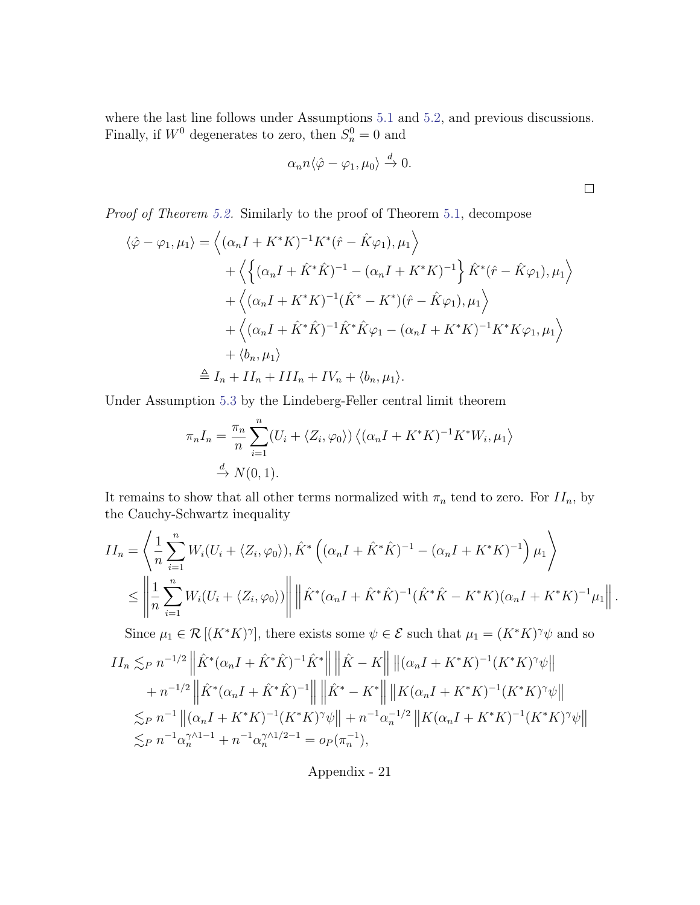where the last line follows under Assumptions [5.1](#page-15-0) and [5.2,](#page-15-1) and previous discussions. Finally, if  $W^0$  degenerates to zero, then  $S_n^0 = 0$  and

$$
\alpha_n n \langle \hat{\varphi} - \varphi_1, \mu_0 \rangle \xrightarrow{d} 0.
$$

 $\Box$ 

Proof of Theorem [5.2.](#page-16-2) Similarly to the proof of Theorem [5.1,](#page-15-2) decompose

$$
\langle \hat{\varphi} - \varphi_1, \mu_1 \rangle = \left\langle (\alpha_n I + K^* K)^{-1} K^* (\hat{r} - \hat{K} \varphi_1), \mu_1 \right\rangle
$$
  
+ 
$$
\left\langle \left\{ (\alpha_n I + \hat{K}^* \hat{K})^{-1} - (\alpha_n I + K^* K)^{-1} \right\} \hat{K}^* (\hat{r} - \hat{K} \varphi_1), \mu_1 \right\rangle
$$
  
+ 
$$
\left\langle (\alpha_n I + K^* K)^{-1} (\hat{K}^* - K^*) (\hat{r} - \hat{K} \varphi_1), \mu_1 \right\rangle
$$
  
+ 
$$
\left\langle (\alpha_n I + \hat{K}^* \hat{K})^{-1} \hat{K}^* \hat{K} \varphi_1 - (\alpha_n I + K^* K)^{-1} K^* K \varphi_1, \mu_1 \right\rangle
$$
  
+ 
$$
\left\langle b_n, \mu_1 \right\rangle
$$
  

$$
\triangleq I_n + II_n + III_n + IV_n + \langle b_n, \mu_1 \rangle.
$$

Under Assumption [5.3](#page-16-0) by the Lindeberg-Feller central limit theorem

$$
\pi_n I_n = \frac{\pi_n}{n} \sum_{i=1}^n (U_i + \langle Z_i, \varphi_0 \rangle) \langle (\alpha_n I + K^* K)^{-1} K^* W_i, \mu_1 \rangle
$$
  
\n
$$
\xrightarrow{d} N(0, 1).
$$

It remains to show that all other terms normalized with  $\pi_n$  tend to zero. For  $II_n$ , by the Cauchy-Schwartz inequality

$$
II_n = \left\langle \frac{1}{n} \sum_{i=1}^n W_i (U_i + \langle Z_i, \varphi_0 \rangle), \hat{K}^* \left( (\alpha_n I + \hat{K}^* \hat{K})^{-1} - (\alpha_n I + K^* K)^{-1} \right) \mu_1 \right\rangle
$$
  

$$
\leq \left\| \frac{1}{n} \sum_{i=1}^n W_i (U_i + \langle Z_i, \varphi_0 \rangle) \right\| \left\| \hat{K}^* (\alpha_n I + \hat{K}^* \hat{K})^{-1} (\hat{K}^* \hat{K} - K^* K) (\alpha_n I + K^* K)^{-1} \mu_1 \right\|.
$$

Since  $\mu_1 \in \mathcal{R}[(K^*K)^\gamma]$ , there exists some  $\psi \in \mathcal{E}$  such that  $\mu_1 = (K^*K)^\gamma \psi$  and so

$$
II_n \lesssim_P n^{-1/2} \left\| \hat{K}^* (\alpha_n I + \hat{K}^* \hat{K})^{-1} \hat{K}^* \right\| \left\| \hat{K} - K \right\| \left\| (\alpha_n I + K^* K)^{-1} (K^* K)^{\gamma} \psi \right\|
$$
  
+  $n^{-1/2} \left\| \hat{K}^* (\alpha_n I + \hat{K}^* \hat{K})^{-1} \right\| \left\| \hat{K}^* - K^* \right\| \left\| K (\alpha_n I + K^* K)^{-1} (K^* K)^{\gamma} \psi \right\|$   
 $\lesssim_P n^{-1} \left\| (\alpha_n I + K^* K)^{-1} (K^* K)^{\gamma} \psi \right\| + n^{-1} \alpha_n^{-1/2} \left\| K (\alpha_n I + K^* K)^{-1} (K^* K)^{\gamma} \psi \right\|$   
 $\lesssim_P n^{-1} \alpha_n^{\gamma \wedge 1 - 1} + n^{-1} \alpha_n^{\gamma \wedge 1/2 - 1} = o_P(\pi_n^{-1}),$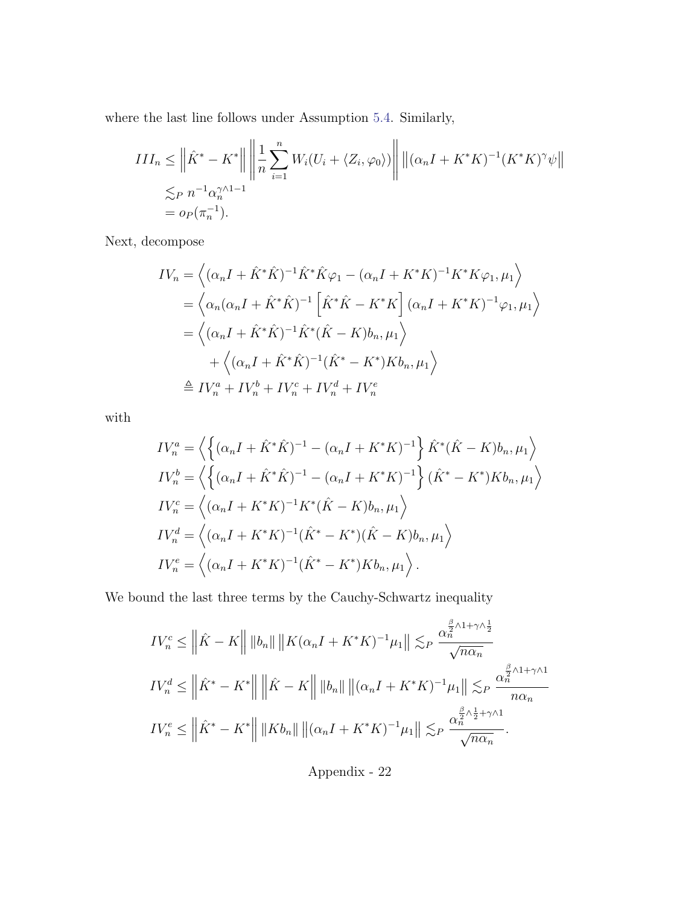where the last line follows under Assumption [5.4.](#page-16-1) Similarly,

$$
III_n \leq \left\| \hat{K}^* - K^* \right\| \left\| \frac{1}{n} \sum_{i=1}^n W_i (U_i + \langle Z_i, \varphi_0 \rangle) \right\| \left\| (\alpha_n I + K^* K)^{-1} (K^* K)^\gamma \psi \right\|
$$
  
 
$$
\lesssim_P n^{-1} \alpha_n^{\gamma \wedge 1 - 1}
$$
  
=  $o_P(\pi_n^{-1}).$ 

Next, decompose

$$
IV_{n} = \left\langle (\alpha_{n}I + \hat{K}^{*}\hat{K})^{-1}\hat{K}^{*}\hat{K}\varphi_{1} - (\alpha_{n}I + K^{*}K)^{-1}K^{*}K\varphi_{1}, \mu_{1} \right\rangle
$$
  
\n
$$
= \left\langle \alpha_{n}(\alpha_{n}I + \hat{K}^{*}\hat{K})^{-1}\left[\hat{K}^{*}\hat{K} - K^{*}K\right](\alpha_{n}I + K^{*}K)^{-1}\varphi_{1}, \mu_{1} \right\rangle
$$
  
\n
$$
= \left\langle (\alpha_{n}I + \hat{K}^{*}\hat{K})^{-1}\hat{K}^{*}(\hat{K} - K)b_{n}, \mu_{1} \right\rangle
$$
  
\n
$$
+ \left\langle (\alpha_{n}I + \hat{K}^{*}\hat{K})^{-1}(\hat{K}^{*} - K^{*})Kb_{n}, \mu_{1} \right\rangle
$$
  
\n
$$
\stackrel{\triangle}{=} IV_{n}^{a} + IV_{n}^{b} + IV_{n}^{c} + IV_{n}^{d} + IV_{n}^{e}
$$

with

$$
IV_n^a = \left\langle \left\{ (\alpha_n I + \hat{K}^* \hat{K})^{-1} - (\alpha_n I + K^* K)^{-1} \right\} \hat{K}^* (\hat{K} - K) b_n, \mu_1 \right\rangle
$$
  
\n
$$
IV_n^b = \left\langle \left\{ (\alpha_n I + \hat{K}^* \hat{K})^{-1} - (\alpha_n I + K^* K)^{-1} \right\} (\hat{K}^* - K^*) K b_n, \mu_1 \right\rangle
$$
  
\n
$$
IV_n^c = \left\langle (\alpha_n I + K^* K)^{-1} K^* (\hat{K} - K) b_n, \mu_1 \right\rangle
$$
  
\n
$$
IV_n^d = \left\langle (\alpha_n I + K^* K)^{-1} (\hat{K}^* - K^*) (\hat{K} - K) b_n, \mu_1 \right\rangle
$$
  
\n
$$
IV_n^e = \left\langle (\alpha_n I + K^* K)^{-1} (\hat{K}^* - K^*) K b_n, \mu_1 \right\rangle.
$$

We bound the last three terms by the Cauchy-Schwartz inequality

$$
IV_n^c \leq \left\|\hat{K} - K\right\| \|b_n\| \|K(\alpha_n I + K^* K)^{-1} \mu_1\| \lesssim_P \frac{\alpha_n^{\frac{\beta}{2} \wedge 1 + \gamma \wedge \frac{1}{2}}}{\sqrt{n\alpha_n}}
$$
  

$$
IV_n^d \leq \left\|\hat{K}^* - K^*\right\| \left\|\hat{K} - K\right\| \|b_n\| \left\|(\alpha_n I + K^* K)^{-1} \mu_1\right\| \lesssim_P \frac{\alpha_n^{\frac{\beta}{2} \wedge 1 + \gamma \wedge 1}}{n\alpha_n}
$$
  

$$
IV_n^e \leq \left\|\hat{K}^* - K^*\right\| \|Kb_n\| \left\|(\alpha_n I + K^* K)^{-1} \mu_1\right\| \lesssim_P \frac{\alpha_n^{\frac{\beta}{2} \wedge \frac{1}{2} + \gamma \wedge 1}}{\sqrt{n\alpha_n}}.
$$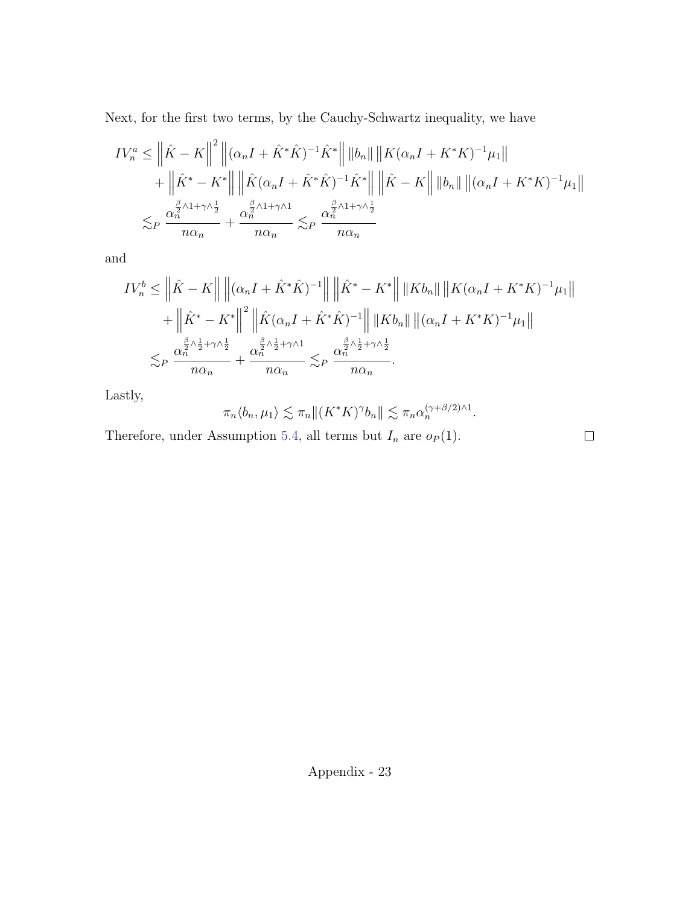Next, for the first two terms, by the Cauchy-Schwartz inequality, we have

$$
IV_n^a \leq \left\| \hat{K} - K \right\|^2 \left\| (\alpha_n I + \hat{K}^* \hat{K})^{-1} \hat{K}^* \right\| \left\| b_n \right\| \left\| K (\alpha_n I + K^* K)^{-1} \mu_1 \right\|
$$
  
+ 
$$
\left\| \hat{K}^* - K^* \right\| \left\| \hat{K} (\alpha_n I + \hat{K}^* \hat{K})^{-1} \hat{K}^* \right\| \left\| \hat{K} - K \right\| \left\| b_n \right\| \left\| (\alpha_n I + K^* K)^{-1} \mu_1 \right\|
$$
  

$$
\lesssim_P \frac{\alpha_n^{\frac{\beta}{2} \wedge 1 + \gamma \wedge \frac{1}{2}}}{n \alpha_n} + \frac{\alpha_n^{\frac{\beta}{2} \wedge 1 + \gamma \wedge 1}}{n \alpha_n} \lesssim_P \frac{\alpha_n^{\frac{\beta}{2} \wedge 1 + \gamma \wedge \frac{1}{2}}}{n \alpha_n}
$$

and

$$
IV_n^b \leq \left\| \hat{K} - K \right\| \left\| (\alpha_n I + \hat{K}^* \hat{K})^{-1} \right\| \left\| \hat{K}^* - K^* \right\| \left\| K b_n \right\| \left\| K (\alpha_n I + K^* K)^{-1} \mu_1 \right\|
$$
  
+ 
$$
\left\| \hat{K}^* - K^* \right\|^2 \left\| \hat{K} (\alpha_n I + \hat{K}^* \hat{K})^{-1} \right\| \left\| K b_n \right\| \left\| (\alpha_n I + K^* K)^{-1} \mu_1 \right\|
$$
  

$$
\lesssim_P \frac{\alpha_n^{\frac{\beta}{2} \wedge \frac{1}{2} + \gamma \wedge \frac{1}{2}}}{n \alpha_n} + \frac{\alpha_n^{\frac{\beta}{2} \wedge \frac{1}{2} + \gamma \wedge 1}}{n \alpha_n} \lesssim_P \frac{\alpha_n^{\frac{\beta}{2} \wedge \frac{1}{2} + \gamma \wedge \frac{1}{2}}}{n \alpha_n}.
$$

Lastly,

$$
\pi_n \langle b_n, \mu_1 \rangle \lesssim \pi_n \| (K^* K)^\gamma b_n \| \lesssim \pi_n \alpha_n^{(\gamma + \beta/2) \wedge 1}.
$$

Therefore, under Assumption [5.4,](#page-16-1) all terms but  $I_n$  are  $o_P(1)$ .

 $\Box$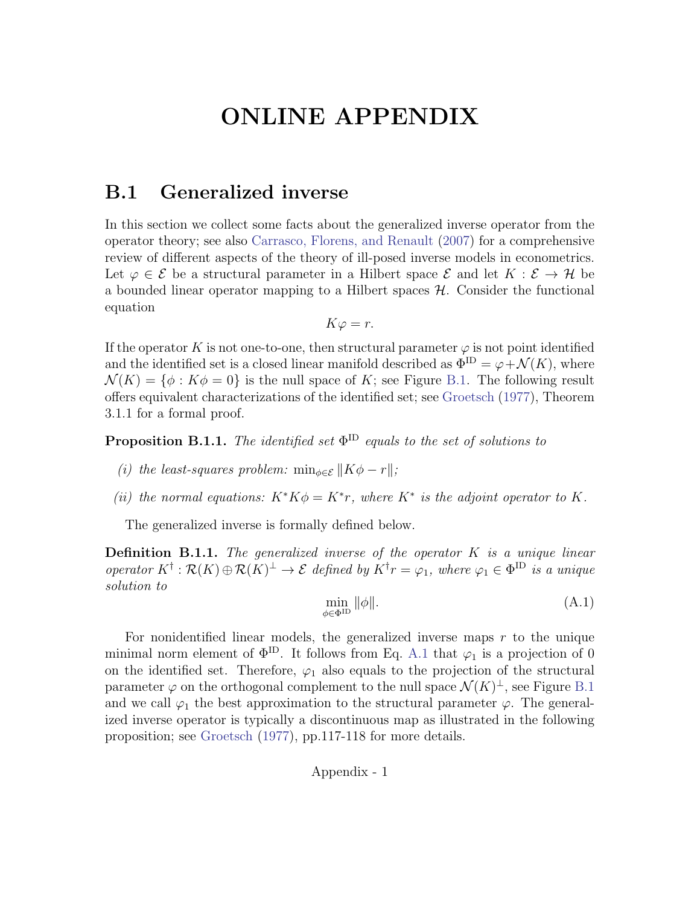# ONLINE APPENDIX

## B.1 Generalized inverse

In this section we collect some facts about the generalized inverse operator from the operator theory; see also [Carrasco, Florens, and Renault](#page-21-0) [\(2007\)](#page-21-0) for a comprehensive review of different aspects of the theory of ill-posed inverse models in econometrics. Let  $\varphi \in \mathcal{E}$  be a structural parameter in a Hilbert space  $\mathcal{E}$  and let  $K : \mathcal{E} \to \mathcal{H}$  be a bounded linear operator mapping to a Hilbert spaces  $H$ . Consider the functional equation

$$
K\varphi = r.
$$

If the operator K is not one-to-one, then structural parameter  $\varphi$  is not point identified and the identified set is a closed linear manifold described as  $\Phi^{\text{ID}} = \varphi + \mathcal{N}(K)$ , where  $\mathcal{N}(K) = \{\phi : K\phi = 0\}$  is the null space of K; see Figure [B.1.](#page-49-0) The following result offers equivalent characterizations of the identified set; see [Groetsch](#page-23-13) [\(1977\)](#page-23-13), Theorem 3.1.1 for a formal proof.

<span id="page-48-1"></span>**Proposition B.1.1.** The identified set  $\Phi^{\text{ID}}$  equals to the set of solutions to

- (i) the least-squares problem:  $\min_{\phi \in \mathcal{E}} ||K\phi r||$ ;
- (ii) the normal equations:  $K^*K\phi = K^*r$ , where  $K^*$  is the adjoint operator to K.

The generalized inverse is formally defined below.

**Definition B.1.1.** The generalized inverse of the operator  $K$  is a unique linear operator  $K^{\dagger} : \mathcal{R}(K) \oplus \mathcal{R}(K)^{\perp} \to \mathcal{E}$  defined by  $K^{\dagger}r = \varphi_1$ , where  $\varphi_1 \in \Phi^{\text{ID}}$  is a unique solution to

<span id="page-48-0"></span>
$$
\min_{\phi \in \Phi^{\text{ID}}} \|\phi\|.\tag{A.1}
$$

For nonidentified linear models, the generalized inverse maps  $r$  to the unique minimal norm element of  $\Phi^{\text{ID}}$ . It follows from Eq. [A.1](#page-48-0) that  $\varphi_1$  is a projection of 0 on the identified set. Therefore,  $\varphi_1$  also equals to the projection of the structural parameter  $\varphi$  on the orthogonal complement to the null space  $\mathcal{N}(K)^{\perp}$ , see Figure [B.1](#page-49-0) and we call  $\varphi_1$  the best approximation to the structural parameter  $\varphi$ . The generalized inverse operator is typically a discontinuous map as illustrated in the following proposition; see [Groetsch](#page-23-13) [\(1977\)](#page-23-13), pp.117-118 for more details.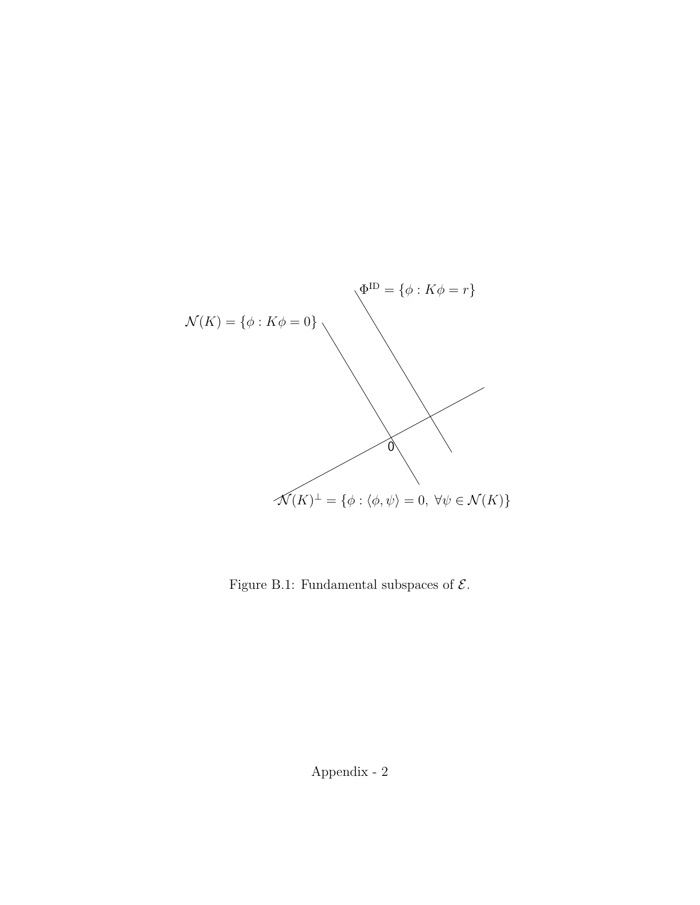<span id="page-49-0"></span>

Figure B.1: Fundamental subspaces of  ${\mathcal E}.$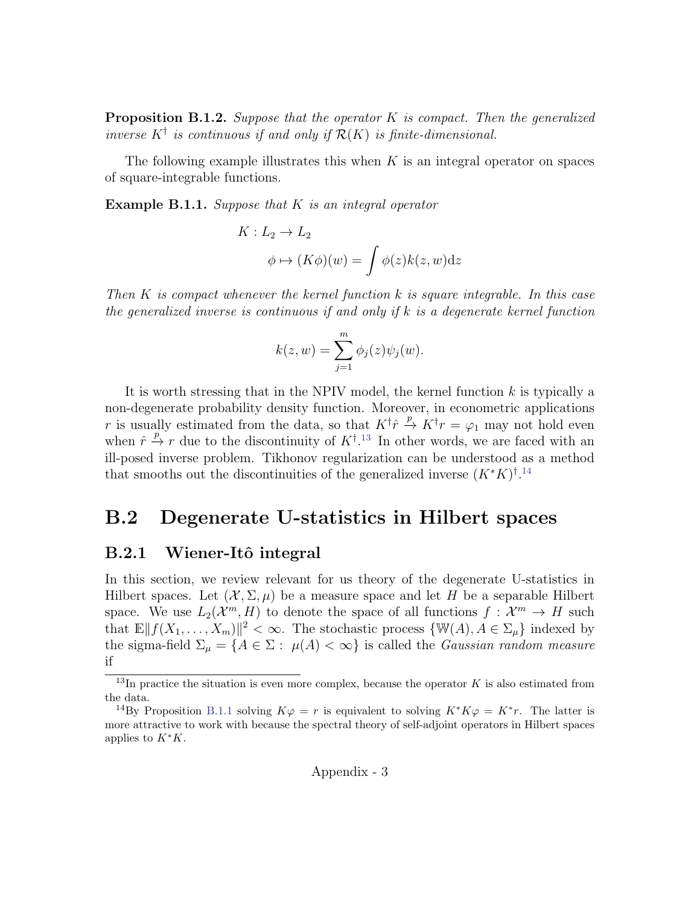**Proposition B.1.2.** Suppose that the operator  $K$  is compact. Then the generalized inverse  $K^{\dagger}$  is continuous if and only if  $\mathcal{R}(K)$  is finite-dimensional.

The following example illustrates this when  $K$  is an integral operator on spaces of square-integrable functions.

**Example B.1.1.** Suppose that  $K$  is an integral operator

$$
K: L_2 \to L_2
$$
  

$$
\phi \mapsto (K\phi)(w) = \int \phi(z)k(z, w)dz
$$

Then  $K$  is compact whenever the kernel function  $k$  is square integrable. In this case the generalized inverse is continuous if and only if k is a degenerate kernel function

$$
k(z, w) = \sum_{j=1}^{m} \phi_j(z) \psi_j(w).
$$

It is worth stressing that in the NPIV model, the kernel function  $k$  is typically a non-degenerate probability density function. Moreover, in econometric applications r is usually estimated from the data, so that  $K^{\dagger} \hat{r} \stackrel{p}{\rightarrow} K^{\dagger} r = \varphi_1$  may not hold even when  $\hat{r} \stackrel{p}{\rightarrow} r$  due to the discontinuity of  $K^{\dagger}$ .<sup>[13](#page-50-0)</sup> In other words, we are faced with an ill-posed inverse problem. Tikhonov regularization can be understood as a method that smooths out the discontinuities of the generalized inverse  $(K^*K)^{\dagger}$ .<sup>[14](#page-50-1)</sup>

## B.2 Degenerate U-statistics in Hilbert spaces

#### B.2.1 Wiener-Itô integral

In this section, we review relevant for us theory of the degenerate U-statistics in Hilbert spaces. Let  $(\mathcal{X}, \Sigma, \mu)$  be a measure space and let H be a separable Hilbert space. We use  $L_2(\mathcal{X}^m, H)$  to denote the space of all functions  $f: \mathcal{X}^m \to H$  such that  $\mathbb{E} \| f(X_1, \ldots, X_m) \|^2 < \infty$ . The stochastic process  $\{ \mathbb{W}(A), A \in \Sigma_{\mu} \}$  indexed by the sigma-field  $\Sigma_{\mu} = \{A \in \Sigma : \mu(A) < \infty\}$  is called the *Gaussian random measure* if

<span id="page-50-0"></span> $13$ In practice the situation is even more complex, because the operator K is also estimated from the data.

<span id="page-50-1"></span><sup>&</sup>lt;sup>14</sup>By Proposition [B.1.1](#page-48-1) solving  $K\varphi = r$  is equivalent to solving  $K^*K\varphi = K^*r$ . The latter is more attractive to work with because the spectral theory of self-adjoint operators in Hilbert spaces applies to  $K^*K$ .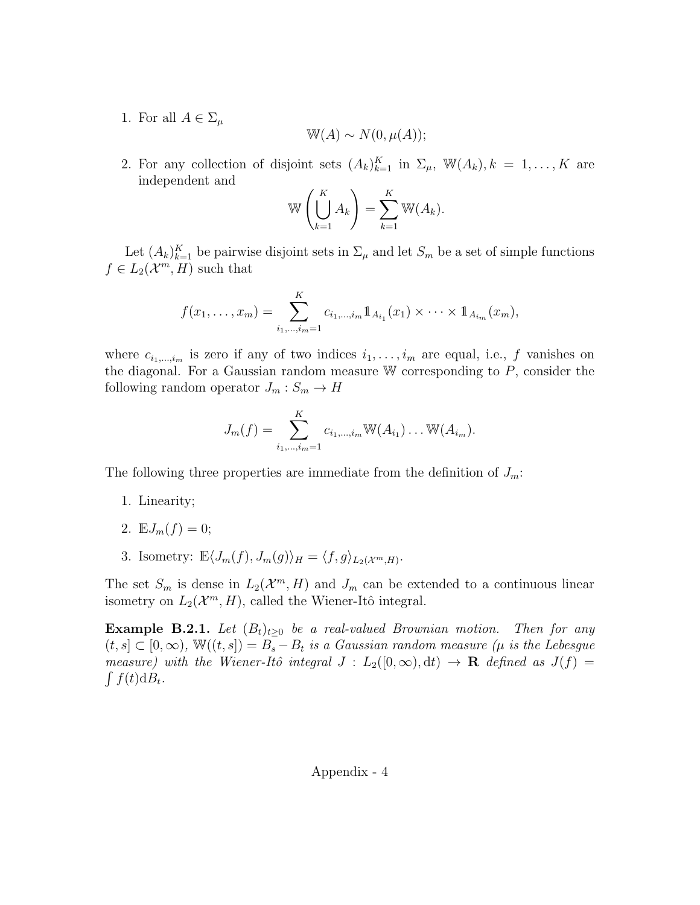1. For all  $A \in \Sigma_{\mu}$ 

$$
\mathbb{W}(A) \sim N(0, \mu(A));
$$

2. For any collection of disjoint sets  $(A_k)_{k=1}^K$  in  $\Sigma_\mu$ ,  $\mathbb{W}(A_k)$ ,  $k = 1, ..., K$  are independent and

$$
\mathbb{W}\left(\bigcup_{k=1}^K A_k\right) = \sum_{k=1}^K \mathbb{W}(A_k).
$$

Let  $(A_k)_{k=1}^K$  be pairwise disjoint sets in  $\Sigma_\mu$  and let  $S_m$  be a set of simple functions  $f \in L_2(\mathcal{X}^m, H)$  such that

$$
f(x_1,...,x_m) = \sum_{i_1,...,i_m=1}^K c_{i_1,...,i_m} 1\!\!1_{A_{i_1}}(x_1) \times \cdots \times 1\!\!1_{A_{i_m}}(x_m),
$$

where  $c_{i_1,\dots,i_m}$  is zero if any of two indices  $i_1,\dots,i_m$  are equal, i.e., f vanishes on the diagonal. For a Gaussian random measure  $W$  corresponding to  $P$ , consider the following random operator  $J_m: S_m \to H$ 

$$
J_m(f) = \sum_{i_1,\dots,i_m=1}^K c_{i_1,\dots,i_m} \mathbb{W}(A_{i_1}) \dots \mathbb{W}(A_{i_m}).
$$

The following three properties are immediate from the definition of  $J_m$ :

- 1. Linearity;
- 2.  $\mathbb{E}J_{m}(f)=0;$
- 3. Isometry:  $\mathbb{E}\langle J_m(f), J_m(g)\rangle_H = \langle f, g\rangle_{L_2(\mathcal{X}^m,H)}$ .

The set  $S_m$  is dense in  $L_2(\mathcal{X}^m, H)$  and  $J_m$  can be extended to a continuous linear isometry on  $L_2(\mathcal{X}^m, H)$ , called the Wiener-Itô integral.

**Example B.2.1.** Let  $(B_t)_{t\geq0}$  be a real-valued Brownian motion. Then for any  $(t, s] \subset [0, \infty)$ ,  $\mathbb{W}((t, s]) = B_s - B_t$  is a Gaussian random measure ( $\mu$  is the Lebesgue measure) with the Wiener-Itô integral  $J : L_2([0,\infty), dt) \to \mathbf{R}$  defined as  $J(f) =$  $\int f(t) \mathrm{d}B_t$ .